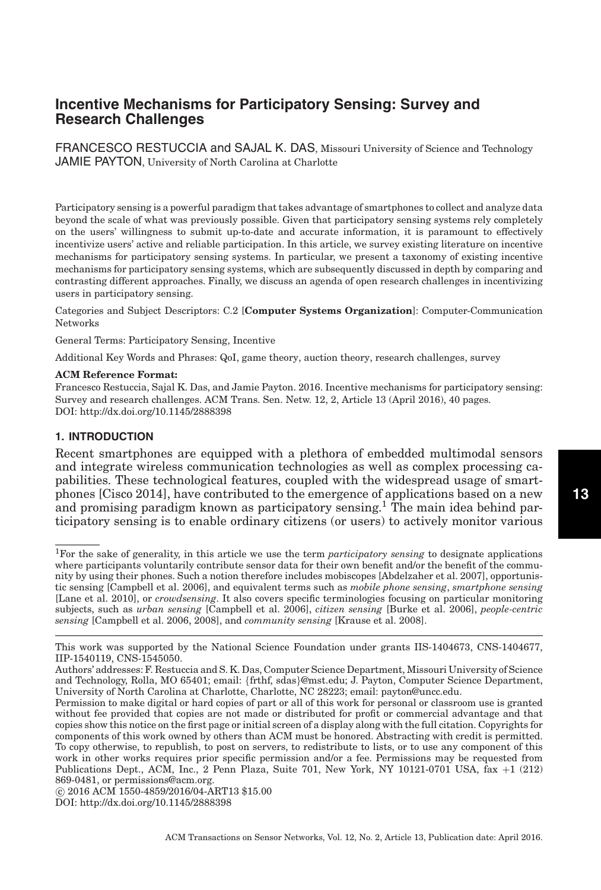FRANCESCO RESTUCCIA and SAJAL K. DAS, Missouri University of Science and Technology JAMIE PAYTON, University of North Carolina at Charlotte

Participatory sensing is a powerful paradigm that takes advantage of smartphones to collect and analyze data beyond the scale of what was previously possible. Given that participatory sensing systems rely completely on the users' willingness to submit up-to-date and accurate information, it is paramount to effectively incentivize users' active and reliable participation. In this article, we survey existing literature on incentive mechanisms for participatory sensing systems. In particular, we present a taxonomy of existing incentive mechanisms for participatory sensing systems, which are subsequently discussed in depth by comparing and contrasting different approaches. Finally, we discuss an agenda of open research challenges in incentivizing users in participatory sensing.

Categories and Subject Descriptors: C.2 [**Computer Systems Organization**]: Computer-Communication Networks

General Terms: Participatory Sensing, Incentive

Additional Key Words and Phrases: QoI, game theory, auction theory, research challenges, survey

#### **ACM Reference Format:**

Francesco Restuccia, Sajal K. Das, and Jamie Payton. 2016. Incentive mechanisms for participatory sensing: Survey and research challenges. ACM Trans. Sen. Netw. 12, 2, Article 13 (April 2016), 40 pages. DOI:<http://dx.doi.org/10.1145/2888398>

### **1. INTRODUCTION**

Recent smartphones are equipped with a plethora of embedded multimodal sensors and integrate wireless communication technologies as well as complex processing capabilities. These technological features, coupled with the widespread usage of smartphones [Cisco [2014\]](#page-33-0), have contributed to the emergence of applications based on a new and promising paradigm known as participatory sensing.<sup>[1](#page-0-0)</sup> The main idea behind participatory sensing is to enable ordinary citizens (or users) to actively monitor various

ACM Transactions on Sensor Networks, Vol. 12, No. 2, Article 13, Publication date: April 2016.

**13**

<span id="page-0-0"></span><sup>1</sup>For the sake of generality, in this article we use the term *participatory sensing* to designate applications where participants voluntarily contribute sensor data for their own benefit and/or the benefit of the community by using their phones. Such a notion therefore includes mobiscopes [Abdelzaher et al. [2007\]](#page-32-0), opportunistic sensing [Campbell et al. [2006\]](#page-33-1), and equivalent terms such as *mobile phone sensing*, *smartphone sensing* [Lane et al. [2010\]](#page-35-0), or *crowdsensing*. It also covers specific terminologies focusing on particular monitoring subjects, such as *urban sensing* [Campbell et al. [2006\]](#page-33-1), *citizen sensing* [Burke et al. [2006\]](#page-32-1), *people-centric sensing* [Campbell et al. 2006, 2008], and *community sensing* [Krause et al. [2008\]](#page-35-1).

This work was supported by the National Science Foundation under grants IIS-1404673, CNS-1404677, IIP-1540119, CNS-1545050.

Authors' addresses: F. Restuccia and S. K. Das, Computer Science Department, Missouri University of Science and Technology, Rolla, MO 65401; email: {frthf, sdas}@mst.edu; J. Payton, Computer Science Department, University of North Carolina at Charlotte, Charlotte, NC 28223; email: payton@uncc.edu.

Permission to make digital or hard copies of part or all of this work for personal or classroom use is granted without fee provided that copies are not made or distributed for profit or commercial advantage and that copies show this notice on the first page or initial screen of a display along with the full citation. Copyrights for components of this work owned by others than ACM must be honored. Abstracting with credit is permitted. To copy otherwise, to republish, to post on servers, to redistribute to lists, or to use any component of this work in other works requires prior specific permission and/or a fee. Permissions may be requested from Publications Dept., ACM, Inc., 2 Penn Plaza, Suite 701, New York, NY 10121-0701 USA, fax +1 (212) 869-0481, or permissions@acm.org.

<sup>© 2016</sup> ACM 1550-4859/2016/04-ART13 \$15.00

DOI:<http://dx.doi.org/10.1145/2888398>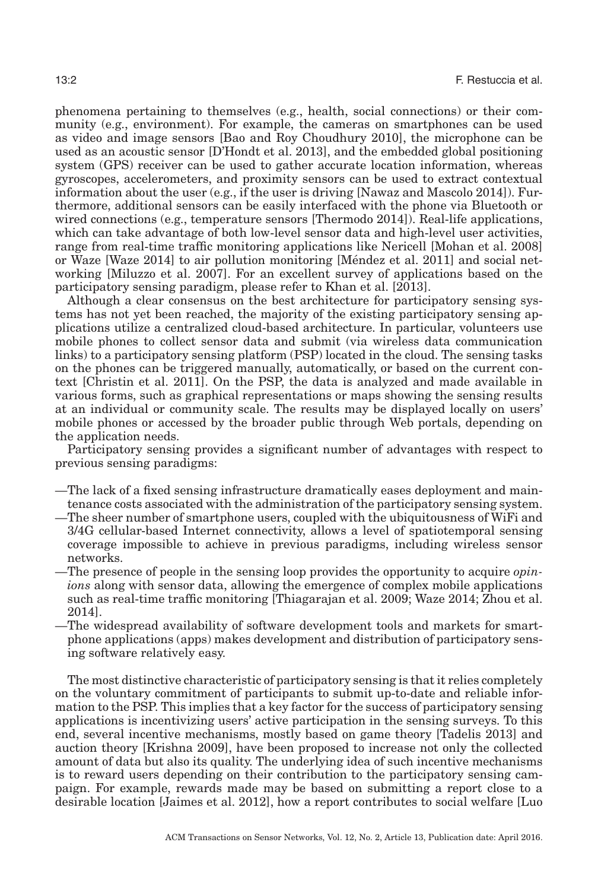phenomena pertaining to themselves (e.g., health, social connections) or their community (e.g., environment). For example, the cameras on smartphones can be used as video and image sensors [Bao and Roy Choudhury [2010\]](#page-32-2), the microphone can be used as an acoustic sensor [D'Hondt et al. [2013\]](#page-33-2), and the embedded global positioning system (GPS) receiver can be used to gather accurate location information, whereas gyroscopes, accelerometers, and proximity sensors can be used to extract contextual information about the user (e.g., if the user is driving [Nawaz and Mascolo [2014\]](#page-36-0)). Furthermore, additional sensors can be easily interfaced with the phone via Bluetooth or wired connections (e.g., temperature sensors [Thermodo [2014\]](#page-38-0)). Real-life applications, which can take advantage of both low-level sensor data and high-level user activities, range from real-time traffic monitoring applications like Nericell [Mohan et al. [2008\]](#page-36-1) or Waze [Waze [2014\]](#page-38-1) to air pollution monitoring [Méndez et al. [2011\]](#page-36-2) and social networking [Miluzzo et al. [2007\]](#page-36-3). For an excellent survey of applications based on the participatory sensing paradigm, please refer to Khan et al. [\[2013\]](#page-35-2).

Although a clear consensus on the best architecture for participatory sensing systems has not yet been reached, the majority of the existing participatory sensing applications utilize a centralized cloud-based architecture. In particular, volunteers use mobile phones to collect sensor data and submit (via wireless data communication links) to a participatory sensing platform (PSP) located in the cloud. The sensing tasks on the phones can be triggered manually, automatically, or based on the current context [Christin et al. [2011\]](#page-33-3). On the PSP, the data is analyzed and made available in various forms, such as graphical representations or maps showing the sensing results at an individual or community scale. The results may be displayed locally on users' mobile phones or accessed by the broader public through Web portals, depending on the application needs.

Participatory sensing provides a significant number of advantages with respect to previous sensing paradigms:

- —The lack of a fixed sensing infrastructure dramatically eases deployment and maintenance costs associated with the administration of the participatory sensing system.
- —The sheer number of smartphone users, coupled with the ubiquitousness of WiFi and 3/4G cellular-based Internet connectivity, allows a level of spatiotemporal sensing coverage impossible to achieve in previous paradigms, including wireless sensor networks.
- —The presence of people in the sensing loop provides the opportunity to acquire *opinions* along with sensor data, allowing the emergence of complex mobile applications such as real-time traffic monitoring [Thiagarajan et al. [2009;](#page-38-2) Waze [2014;](#page-38-1) Zhou et al. [2014\]](#page-39-0).
- —The widespread availability of software development tools and markets for smartphone applications (apps) makes development and distribution of participatory sensing software relatively easy.

The most distinctive characteristic of participatory sensing is that it relies completely on the voluntary commitment of participants to submit up-to-date and reliable information to the PSP. This implies that a key factor for the success of participatory sensing applications is incentivizing users' active participation in the sensing surveys. To this end, several incentive mechanisms, mostly based on game theory [Tadelis [2013\]](#page-37-0) and auction theory [Krishna [2009\]](#page-35-3), have been proposed to increase not only the collected amount of data but also its quality. The underlying idea of such incentive mechanisms is to reward users depending on their contribution to the participatory sensing campaign. For example, rewards made may be based on submitting a report close to a desirable location [Jaimes et al. [2012\]](#page-34-0), how a report contributes to social welfare [Luo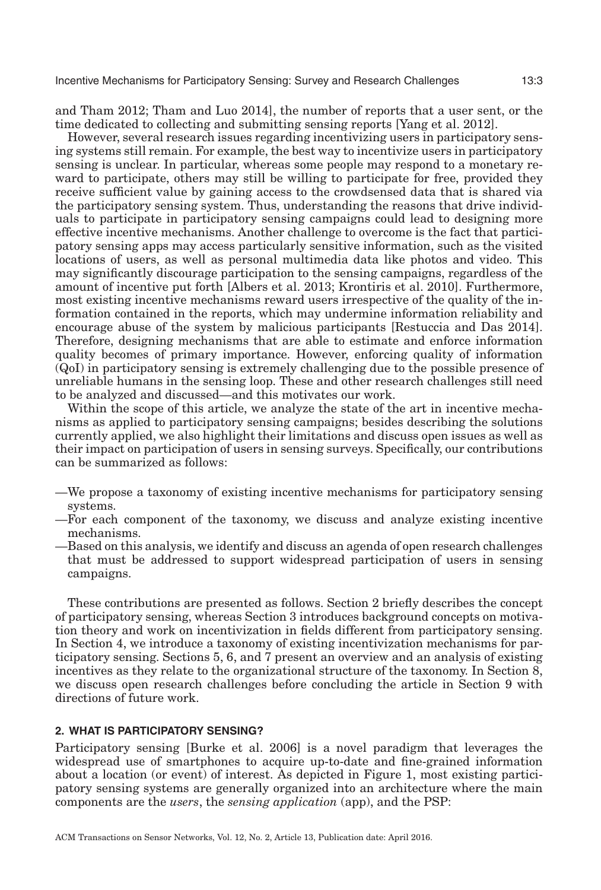and Tham [2012;](#page-36-4) Tham and Luo [2014\]](#page-38-3), the number of reports that a user sent, or the time dedicated to collecting and submitting sensing reports [Yang et al. [2012\]](#page-39-1).

However, several research issues regarding incentivizing users in participatory sensing systems still remain. For example, the best way to incentivize users in participatory sensing is unclear. In particular, whereas some people may respond to a monetary reward to participate, others may still be willing to participate for free, provided they receive sufficient value by gaining access to the crowdsensed data that is shared via the participatory sensing system. Thus, understanding the reasons that drive individuals to participate in participatory sensing campaigns could lead to designing more effective incentive mechanisms. Another challenge to overcome is the fact that participatory sensing apps may access particularly sensitive information, such as the visited locations of users, as well as personal multimedia data like photos and video. This may significantly discourage participation to the sensing campaigns, regardless of the amount of incentive put forth [Albers et al. [2013;](#page-32-3) Krontiris et al. [2010\]](#page-35-4). Furthermore, most existing incentive mechanisms reward users irrespective of the quality of the information contained in the reports, which may undermine information reliability and encourage abuse of the system by malicious participants [Restuccia and Das [2014\]](#page-37-1). Therefore, designing mechanisms that are able to estimate and enforce information quality becomes of primary importance. However, enforcing quality of information (QoI) in participatory sensing is extremely challenging due to the possible presence of unreliable humans in the sensing loop. These and other research challenges still need to be analyzed and discussed—and this motivates our work.

Within the scope of this article, we analyze the state of the art in incentive mechanisms as applied to participatory sensing campaigns; besides describing the solutions currently applied, we also highlight their limitations and discuss open issues as well as their impact on participation of users in sensing surveys. Specifically, our contributions can be summarized as follows:

- —We propose a taxonomy of existing incentive mechanisms for participatory sensing systems.
- —For each component of the taxonomy, we discuss and analyze existing incentive mechanisms.
- —Based on this analysis, we identify and discuss an agenda of open research challenges that must be addressed to support widespread participation of users in sensing campaigns.

These contributions are presented as follows. Section [2](#page-2-0) briefly describes the concept of participatory sensing, whereas Section [3](#page-3-0) introduces background concepts on motivation theory and work on incentivization in fields different from participatory sensing. In Section [4,](#page-5-0) we introduce a taxonomy of existing incentivization mechanisms for participatory sensing. Sections [5,](#page-8-0) [6,](#page-10-0) and [7](#page-17-0) present an overview and an analysis of existing incentives as they relate to the organizational structure of the taxonomy. In Section [8,](#page-27-0) we discuss open research challenges before concluding the article in Section [9](#page-32-4) with directions of future work.

#### **2. WHAT IS PARTICIPATORY SENSING?**

<span id="page-2-0"></span>Participatory sensing [Burke et al. [2006\]](#page-32-1) is a novel paradigm that leverages the widespread use of smartphones to acquire up-to-date and fine-grained information about a location (or event) of interest. As depicted in Figure [1,](#page-3-1) most existing participatory sensing systems are generally organized into an architecture where the main components are the *users*, the *sensing application* (app), and the PSP: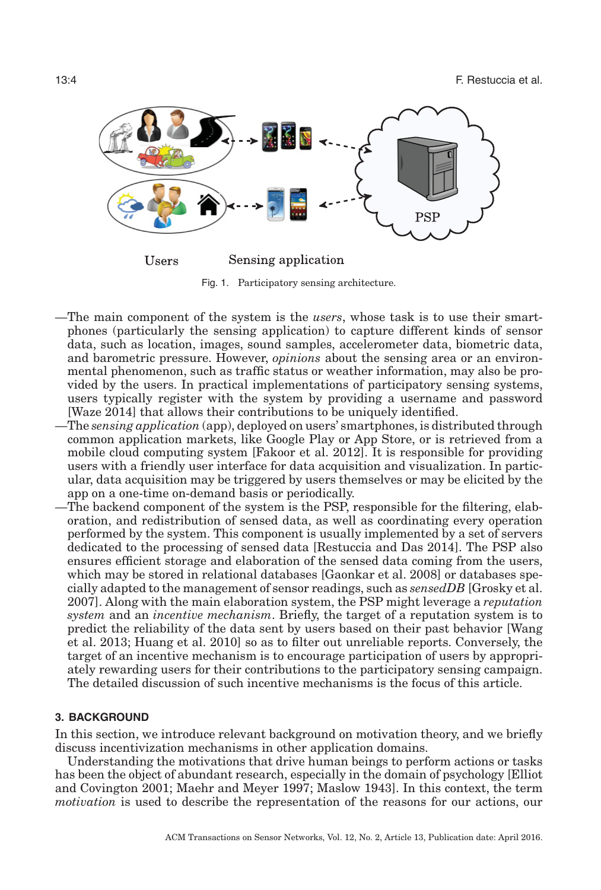13:4 F. Restuccia et al.

<span id="page-3-1"></span>

Fig. 1. Participatory sensing architecture.

- —The main component of the system is the *users*, whose task is to use their smartphones (particularly the sensing application) to capture different kinds of sensor data, such as location, images, sound samples, accelerometer data, biometric data, and barometric pressure. However, *opinions* about the sensing area or an environmental phenomenon, such as traffic status or weather information, may also be provided by the users. In practical implementations of participatory sensing systems, users typically register with the system by providing a username and password [Waze [2014\]](#page-38-1) that allows their contributions to be uniquely identified.
- —The *sensing application* (app), deployed on users' smartphones, is distributed through common application markets, like Google Play or App Store, or is retrieved from a mobile cloud computing system [Fakoor et al. [2012\]](#page-34-1). It is responsible for providing users with a friendly user interface for data acquisition and visualization. In particular, data acquisition may be triggered by users themselves or may be elicited by the app on a one-time on-demand basis or periodically.
- —The backend component of the system is the PSP, responsible for the filtering, elaboration, and redistribution of sensed data, as well as coordinating every operation performed by the system. This component is usually implemented by a set of servers dedicated to the processing of sensed data [Restuccia and Das [2014\]](#page-37-1). The PSP also ensures efficient storage and elaboration of the sensed data coming from the users, which may be stored in relational databases [Gaonkar et al. [2008\]](#page-34-2) or databases specially adapted to the management of sensor readings, such as *sensedDB* [Grosky et al. [2007\]](#page-34-3). Along with the main elaboration system, the PSP might leverage a *reputation system* and an *incentive mechanism*. Briefly, the target of a reputation system is to predict the reliability of the data sent by users based on their past behavior [Wang et al. [2013;](#page-38-4) Huang et al. [2010\]](#page-34-4) so as to filter out unreliable reports. Conversely, the target of an incentive mechanism is to encourage participation of users by appropriately rewarding users for their contributions to the participatory sensing campaign. The detailed discussion of such incentive mechanisms is the focus of this article.

#### **3. BACKGROUND**

<span id="page-3-0"></span>In this section, we introduce relevant background on motivation theory, and we briefly discuss incentivization mechanisms in other application domains.

Understanding the motivations that drive human beings to perform actions or tasks has been the object of abundant research, especially in the domain of psychology [Elliot and Covington [2001;](#page-34-5) Maehr and Meyer [1997;](#page-36-5) Maslow [1943\]](#page-36-6). In this context, the term *motivation* is used to describe the representation of the reasons for our actions, our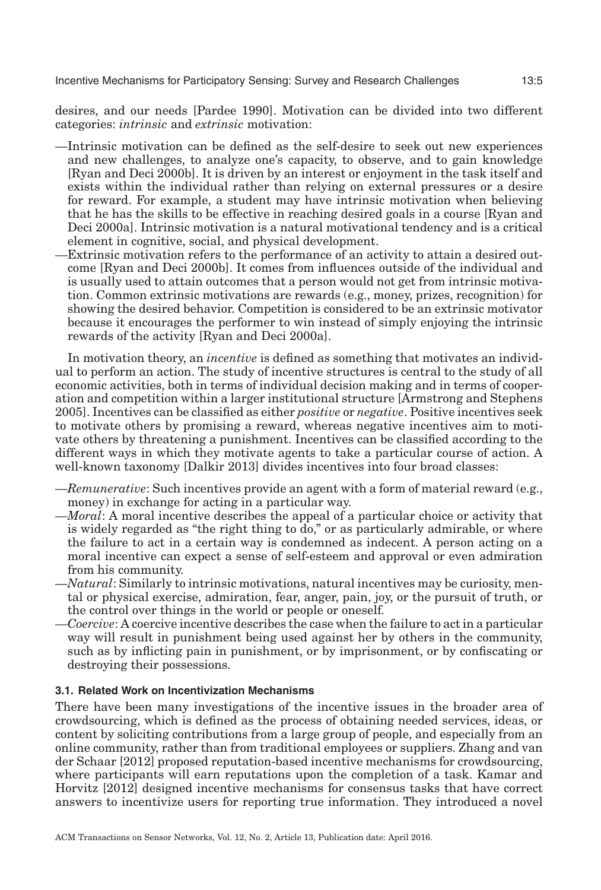desires, and our needs [Pardee [1990\]](#page-37-2). Motivation can be divided into two different categories: *intrinsic* and *extrinsic* motivation:

- —Intrinsic motivation can be defined as the self-desire to seek out new experiences and new challenges, to analyze one's capacity, to observe, and to gain knowledge [Ryan and Deci [2000b\]](#page-37-3). It is driven by an interest or enjoyment in the task itself and exists within the individual rather than relying on external pressures or a desire for reward. For example, a student may have intrinsic motivation when believing that he has the skills to be effective in reaching desired goals in a course [Ryan and Deci [2000a\]](#page-37-4). Intrinsic motivation is a natural motivational tendency and is a critical element in cognitive, social, and physical development.
- —Extrinsic motivation refers to the performance of an activity to attain a desired outcome [Ryan and Deci [2000b\]](#page-37-3). It comes from influences outside of the individual and is usually used to attain outcomes that a person would not get from intrinsic motivation. Common extrinsic motivations are rewards (e.g., money, prizes, recognition) for showing the desired behavior. Competition is considered to be an extrinsic motivator because it encourages the performer to win instead of simply enjoying the intrinsic rewards of the activity [Ryan and Deci [2000a\]](#page-37-4).

In motivation theory, an *incentive* is defined as something that motivates an individual to perform an action. The study of incentive structures is central to the study of all economic activities, both in terms of individual decision making and in terms of cooperation and competition within a larger institutional structure [Armstrong and Stephens [2005\]](#page-32-5). Incentives can be classified as either *positive* or *negative*. Positive incentives seek to motivate others by promising a reward, whereas negative incentives aim to motivate others by threatening a punishment. Incentives can be classified according to the different ways in which they motivate agents to take a particular course of action. A well-known taxonomy [Dalkir [2013\]](#page-33-4) divides incentives into four broad classes:

- —*Remunerative*: Such incentives provide an agent with a form of material reward (e.g., money) in exchange for acting in a particular way.
- —*Moral*: A moral incentive describes the appeal of a particular choice or activity that is widely regarded as "the right thing to do," or as particularly admirable, or where the failure to act in a certain way is condemned as indecent. A person acting on a moral incentive can expect a sense of self-esteem and approval or even admiration from his community.
- —*Natural*: Similarly to intrinsic motivations, natural incentives may be curiosity, mental or physical exercise, admiration, fear, anger, pain, joy, or the pursuit of truth, or the control over things in the world or people or oneself.
- —*Coercive*: A coercive incentive describes the case when the failure to act in a particular way will result in punishment being used against her by others in the community, such as by inflicting pain in punishment, or by imprisonment, or by confiscating or destroying their possessions.

# **3.1. Related Work on Incentivization Mechanisms**

There have been many investigations of the incentive issues in the broader area of crowdsourcing, which is defined as the process of obtaining needed services, ideas, or content by soliciting contributions from a large group of people, and especially from an online community, rather than from traditional employees or suppliers. Zhang and van der Schaar [2012] proposed reputation-based incentive mechanisms for crowdsourcing, where participants will earn reputations upon the completion of a task. Kamar and Horvitz [2012] designed incentive mechanisms for consensus tasks that have correct answers to incentivize users for reporting true information. They introduced a novel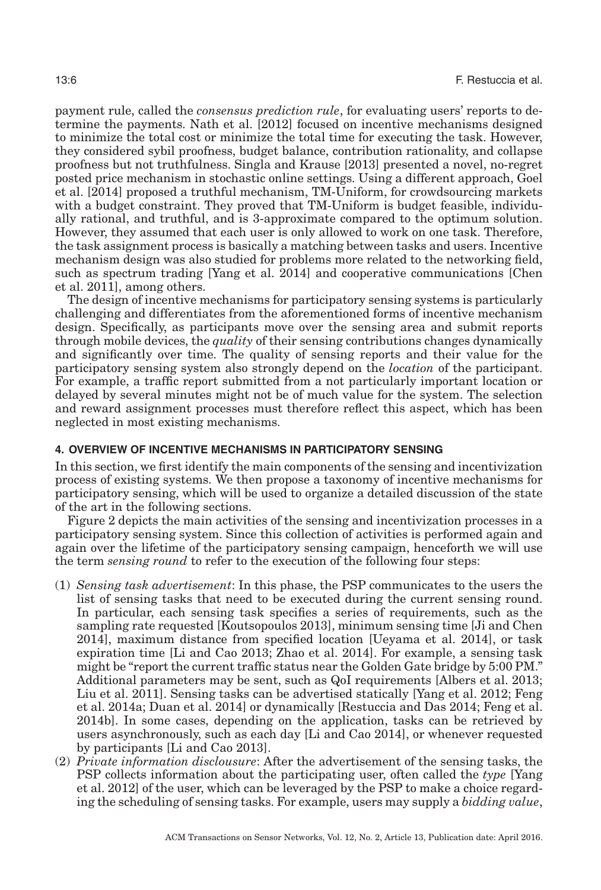payment rule, called the *consensus prediction rule*, for evaluating users' reports to determine the payments. Nath et al. [2012] focused on incentive mechanisms designed to minimize the total cost or minimize the total time for executing the task. However, they considered sybil proofness, budget balance, contribution rationality, and collapse proofness but not truthfulness. Singla and Krause [\[2013\]](#page-37-5) presented a novel, no-regret posted price mechanism in stochastic online settings. Using a different approach, Goel et al. [2014] proposed a truthful mechanism, TM-Uniform, for crowdsourcing markets with a budget constraint. They proved that TM-Uniform is budget feasible, individually rational, and truthful, and is 3-approximate compared to the optimum solution. However, they assumed that each user is only allowed to work on one task. Therefore, the task assignment process is basically a matching between tasks and users. Incentive mechanism design was also studied for problems more related to the networking field, such as spectrum trading [Yang et al. [2014\]](#page-39-2) and cooperative communications [Chen et al. [2011\]](#page-33-5), among others.

The design of incentive mechanisms for participatory sensing systems is particularly challenging and differentiates from the aforementioned forms of incentive mechanism design. Specifically, as participants move over the sensing area and submit reports through mobile devices, the *quality* of their sensing contributions changes dynamically and significantly over time. The quality of sensing reports and their value for the participatory sensing system also strongly depend on the *location* of the participant. For example, a traffic report submitted from a not particularly important location or delayed by several minutes might not be of much value for the system. The selection and reward assignment processes must therefore reflect this aspect, which has been neglected in most existing mechanisms.

# **4. OVERVIEW OF INCENTIVE MECHANISMS IN PARTICIPATORY SENSING**

<span id="page-5-0"></span>In this section, we first identify the main components of the sensing and incentivization process of existing systems. We then propose a taxonomy of incentive mechanisms for participatory sensing, which will be used to organize a detailed discussion of the state of the art in the following sections.

Figure [2](#page-6-0) depicts the main activities of the sensing and incentivization processes in a participatory sensing system. Since this collection of activities is performed again and again over the lifetime of the participatory sensing campaign, henceforth we will use the term *sensing round* to refer to the execution of the following four steps:

- (1) *Sensing task advertisement*: In this phase, the PSP communicates to the users the list of sensing tasks that need to be executed during the current sensing round. In particular, each sensing task specifies a series of requirements, such as the sampling rate requested [Koutsopoulos [2013\]](#page-35-5), minimum sensing time [Ji and Chen [2014\]](#page-35-6), maximum distance from specified location [Ueyama et al. [2014\]](#page-38-5), or task expiration time [Li and Cao [2013;](#page-35-7) Zhao et al. [2014\]](#page-39-3). For example, a sensing task might be "report the current traffic status near the Golden Gate bridge by 5:00 PM." Additional parameters may be sent, such as QoI requirements [Albers et al. [2013;](#page-32-3) Liu et al. [2011\]](#page-35-8). Sensing tasks can be advertised statically [Yang et al. [2012;](#page-39-1) Feng et al. [2014a;](#page-34-6) Duan et al. [2014\]](#page-33-6) or dynamically [Restuccia and Das [2014;](#page-37-1) Feng et al. [2014b\]](#page-34-7). In some cases, depending on the application, tasks can be retrieved by users asynchronously, such as each day [Li and Cao [2014\]](#page-35-9), or whenever requested by participants [Li and Cao [2013\]](#page-35-7).
- (2) *Private information disclousure*: After the advertisement of the sensing tasks, the PSP collects information about the participating user, often called the *type* [Yang et al. [2012\]](#page-39-1) of the user, which can be leveraged by the PSP to make a choice regarding the scheduling of sensing tasks. For example, users may supply a *bidding value*,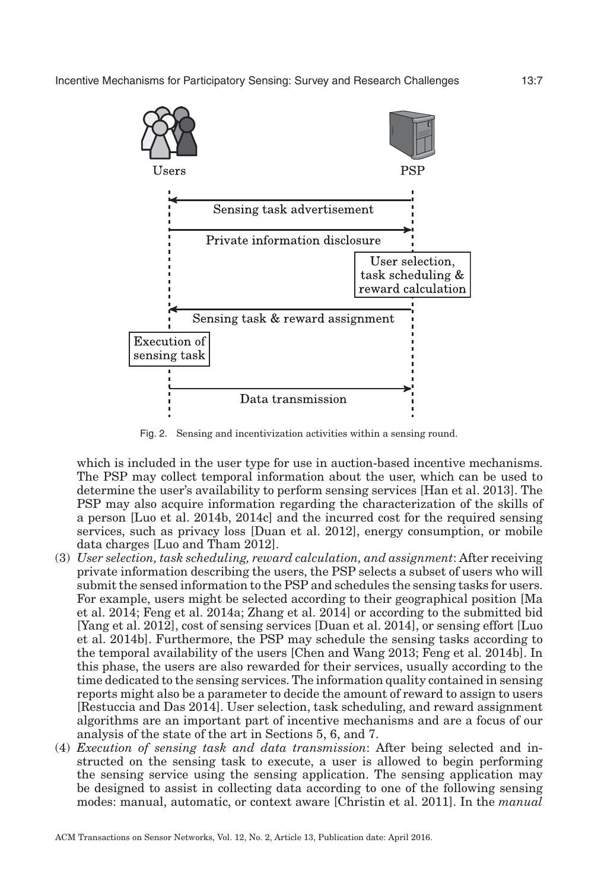<span id="page-6-0"></span>

Fig. 2. Sensing and incentivization activities within a sensing round.

which is included in the user type for use in auction-based incentive mechanisms. The PSP may collect temporal information about the user, which can be used to determine the user's availability to perform sensing services [Han et al. [2013\]](#page-34-8). The PSP may also acquire information regarding the characterization of the skills of a person [Luo et al. 2014b, 2014c] and the incurred cost for the required sensing services, such as privacy loss [Duan et al. [2012\]](#page-33-7), energy consumption, or mobile data charges [Luo and Tham [2012\]](#page-36-4).

- (3) *User selection, task scheduling, reward calculation, and assignment*: After receiving private information describing the users, the PSP selects a subset of users who will submit the sensed information to the PSP and schedules the sensing tasks for users. For example, users might be selected according to their geographical position [Ma et al. [2014;](#page-36-7) Feng et al. [2014a;](#page-34-6) Zhang et al. [2014\]](#page-39-4) or according to the submitted bid [Yang et al. [2012\]](#page-39-1), cost of sensing services [Duan et al. [2014\]](#page-33-6), or sensing effort [Luo et al. [2014b\]](#page-36-8). Furthermore, the PSP may schedule the sensing tasks according to the temporal availability of the users [Chen and Wang 2013; Feng et al. 2014b]. In this phase, the users are also rewarded for their services, usually according to the time dedicated to the sensing services. The information quality contained in sensing reports might also be a parameter to decide the amount of reward to assign to users [Restuccia and Das [2014\]](#page-37-1). User selection, task scheduling, and reward assignment algorithms are an important part of incentive mechanisms and are a focus of our analysis of the state of the art in Sections [5,](#page-8-0) [6,](#page-10-0) and [7.](#page-17-0)
- (4) *Execution of sensing task and data transmission*: After being selected and instructed on the sensing task to execute, a user is allowed to begin performing the sensing service using the sensing application. The sensing application may be designed to assist in collecting data according to one of the following sensing modes: manual, automatic, or context aware [Christin et al. [2011\]](#page-33-3). In the *manual*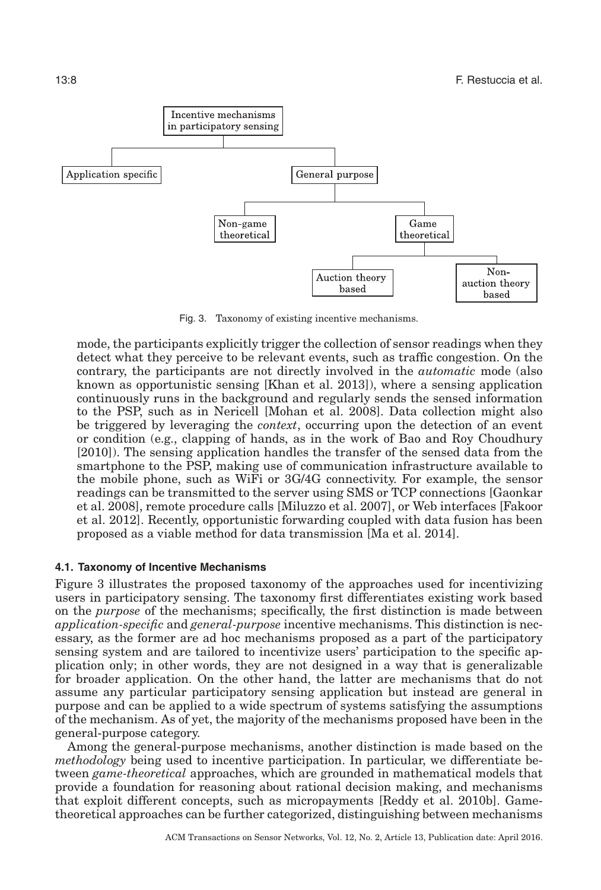<span id="page-7-0"></span>

Fig. 3. Taxonomy of existing incentive mechanisms.

mode, the participants explicitly trigger the collection of sensor readings when they detect what they perceive to be relevant events, such as traffic congestion. On the contrary, the participants are not directly involved in the *automatic* mode (also known as opportunistic sensing [Khan et al. [2013\]](#page-35-2)), where a sensing application continuously runs in the background and regularly sends the sensed information to the PSP, such as in Nericell [Mohan et al. [2008\]](#page-36-1). Data collection might also be triggered by leveraging the *context*, occurring upon the detection of an event or condition (e.g., clapping of hands, as in the work of Bao and Roy Choudhury [\[2010\]](#page-32-2)). The sensing application handles the transfer of the sensed data from the smartphone to the PSP, making use of communication infrastructure available to the mobile phone, such as WiFi or 3G/4G connectivity. For example, the sensor readings can be transmitted to the server using SMS or TCP connections [Gaonkar et al. [2008\]](#page-34-2), remote procedure calls [Miluzzo et al. [2007\]](#page-36-3), or Web interfaces [Fakoor et al. [2012\]](#page-34-1). Recently, opportunistic forwarding coupled with data fusion has been proposed as a viable method for data transmission [Ma et al. [2014\]](#page-36-7).

#### **4.1. Taxonomy of Incentive Mechanisms**

Figure [3](#page-7-0) illustrates the proposed taxonomy of the approaches used for incentivizing users in participatory sensing. The taxonomy first differentiates existing work based on the *purpose* of the mechanisms; specifically, the first distinction is made between *application-specific* and *general-purpose* incentive mechanisms. This distinction is necessary, as the former are ad hoc mechanisms proposed as a part of the participatory sensing system and are tailored to incentivize users' participation to the specific application only; in other words, they are not designed in a way that is generalizable for broader application. On the other hand, the latter are mechanisms that do not assume any particular participatory sensing application but instead are general in purpose and can be applied to a wide spectrum of systems satisfying the assumptions of the mechanism. As of yet, the majority of the mechanisms proposed have been in the general-purpose category.

Among the general-purpose mechanisms, another distinction is made based on the *methodology* being used to incentive participation. In particular, we differentiate between *game-theoretical* approaches, which are grounded in mathematical models that provide a foundation for reasoning about rational decision making, and mechanisms that exploit different concepts, such as micropayments [Reddy et al. [2010b\]](#page-37-6). Gametheoretical approaches can be further categorized, distinguishing between mechanisms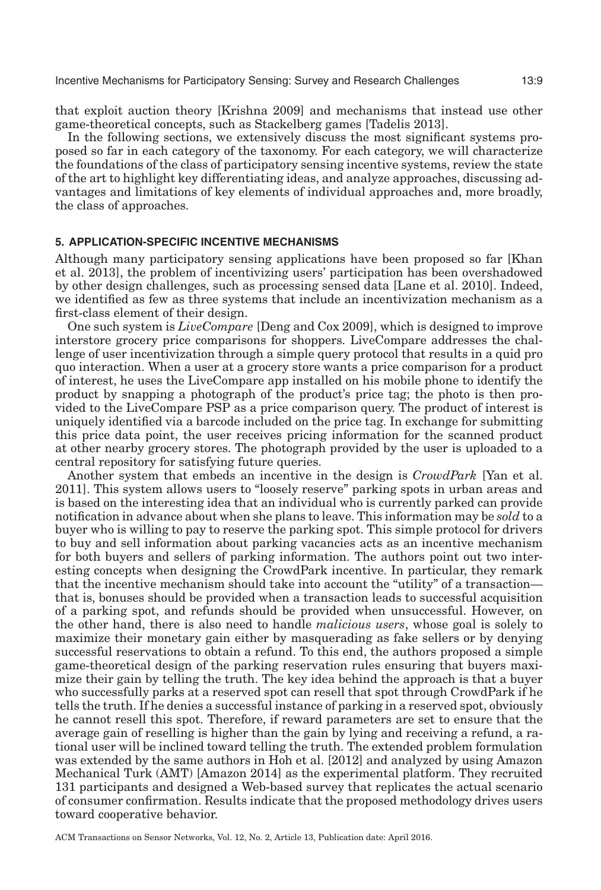that exploit auction theory [Krishna [2009\]](#page-35-3) and mechanisms that instead use other game-theoretical concepts, such as Stackelberg games [Tadelis [2013\]](#page-37-0).

In the following sections, we extensively discuss the most significant systems proposed so far in each category of the taxonomy. For each category, we will characterize the foundations of the class of participatory sensing incentive systems, review the state of the art to highlight key differentiating ideas, and analyze approaches, discussing advantages and limitations of key elements of individual approaches and, more broadly, the class of approaches.

#### **5. APPLICATION-SPECIFIC INCENTIVE MECHANISMS**

<span id="page-8-0"></span>Although many participatory sensing applications have been proposed so far [Khan et al. [2013\]](#page-35-2), the problem of incentivizing users' participation has been overshadowed by other design challenges, such as processing sensed data [Lane et al. [2010\]](#page-35-0). Indeed, we identified as few as three systems that include an incentivization mechanism as a first-class element of their design.

One such system is *LiveCompare* [Deng and Cox [2009\]](#page-33-8), which is designed to improve interstore grocery price comparisons for shoppers. LiveCompare addresses the challenge of user incentivization through a simple query protocol that results in a quid pro quo interaction. When a user at a grocery store wants a price comparison for a product of interest, he uses the LiveCompare app installed on his mobile phone to identify the product by snapping a photograph of the product's price tag; the photo is then provided to the LiveCompare PSP as a price comparison query. The product of interest is uniquely identified via a barcode included on the price tag. In exchange for submitting this price data point, the user receives pricing information for the scanned product at other nearby grocery stores. The photograph provided by the user is uploaded to a central repository for satisfying future queries.

Another system that embeds an incentive in the design is *CrowdPark* [Yan et al. [2011\]](#page-38-6). This system allows users to "loosely reserve" parking spots in urban areas and is based on the interesting idea that an individual who is currently parked can provide notification in advance about when she plans to leave. This information may be *sold* to a buyer who is willing to pay to reserve the parking spot. This simple protocol for drivers to buy and sell information about parking vacancies acts as an incentive mechanism for both buyers and sellers of parking information. The authors point out two interesting concepts when designing the CrowdPark incentive. In particular, they remark that the incentive mechanism should take into account the "utility" of a transaction that is, bonuses should be provided when a transaction leads to successful acquisition of a parking spot, and refunds should be provided when unsuccessful. However, on the other hand, there is also need to handle *malicious users*, whose goal is solely to maximize their monetary gain either by masquerading as fake sellers or by denying successful reservations to obtain a refund. To this end, the authors proposed a simple game-theoretical design of the parking reservation rules ensuring that buyers maximize their gain by telling the truth. The key idea behind the approach is that a buyer who successfully parks at a reserved spot can resell that spot through CrowdPark if he tells the truth. If he denies a successful instance of parking in a reserved spot, obviously he cannot resell this spot. Therefore, if reward parameters are set to ensure that the average gain of reselling is higher than the gain by lying and receiving a refund, a rational user will be inclined toward telling the truth. The extended problem formulation was extended by the same authors in Hoh et al. [\[2012\]](#page-34-9) and analyzed by using Amazon Mechanical Turk (AMT) [Amazon [2014\]](#page-32-6) as the experimental platform. They recruited 131 participants and designed a Web-based survey that replicates the actual scenario of consumer confirmation. Results indicate that the proposed methodology drives users toward cooperative behavior.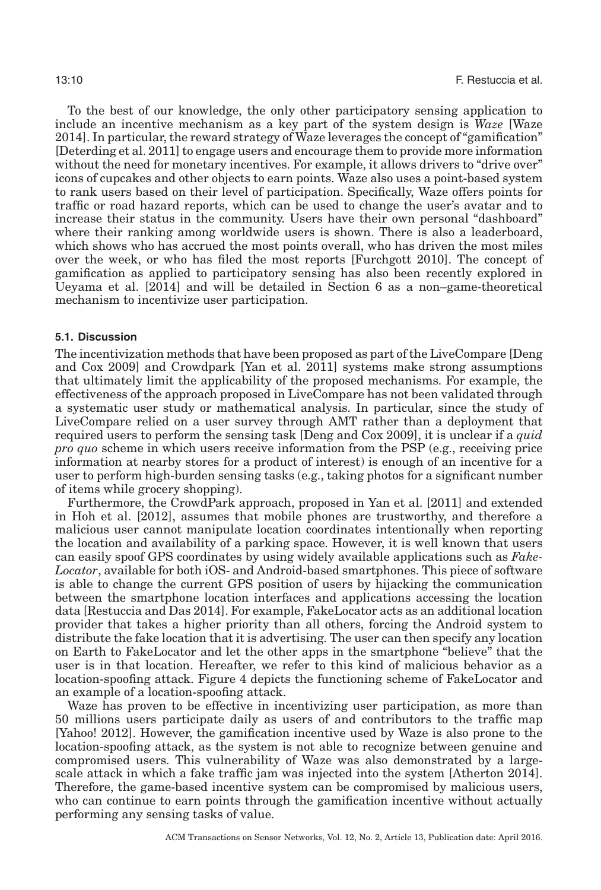To the best of our knowledge, the only other participatory sensing application to include an incentive mechanism as a key part of the system design is *Waze* [Waze [2014\]](#page-38-1). In particular, the reward strategy of Waze leverages the concept of "gamification" [Deterding et al. [2011\]](#page-33-9) to engage users and encourage them to provide more information without the need for monetary incentives. For example, it allows drivers to "drive over" icons of cupcakes and other objects to earn points. Waze also uses a point-based system to rank users based on their level of participation. Specifically, Waze offers points for traffic or road hazard reports, which can be used to change the user's avatar and to increase their status in the community. Users have their own personal "dashboard" where their ranking among worldwide users is shown. There is also a leaderboard, which shows who has accrued the most points overall, who has driven the most miles over the week, or who has filed the most reports [Furchgott [2010\]](#page-34-10). The concept of gamification as applied to participatory sensing has also been recently explored in Ueyama et al. [\[2014\]](#page-38-5) and will be detailed in Section [6](#page-10-0) as a non–game-theoretical mechanism to incentivize user participation.

#### <span id="page-9-0"></span>**5.1. Discussion**

The incentivization methods that have been proposed as part of the LiveCompare [Deng and Cox [2009\]](#page-33-8) and Crowdpark [Yan et al. [2011\]](#page-38-6) systems make strong assumptions that ultimately limit the applicability of the proposed mechanisms. For example, the effectiveness of the approach proposed in LiveCompare has not been validated through a systematic user study or mathematical analysis. In particular, since the study of LiveCompare relied on a user survey through AMT rather than a deployment that required users to perform the sensing task [Deng and Cox [2009\]](#page-33-8), it is unclear if a *quid pro quo* scheme in which users receive information from the PSP (e.g., receiving price information at nearby stores for a product of interest) is enough of an incentive for a user to perform high-burden sensing tasks (e.g., taking photos for a significant number of items while grocery shopping).

Furthermore, the CrowdPark approach, proposed in Yan et al. [\[2011\]](#page-38-6) and extended in Hoh et al. [\[2012\]](#page-34-9), assumes that mobile phones are trustworthy, and therefore a malicious user cannot manipulate location coordinates intentionally when reporting the location and availability of a parking space. However, it is well known that users can easily spoof GPS coordinates by using widely available applications such as *Fake-Locator*, available for both iOS- and Android-based smartphones. This piece of software is able to change the current GPS position of users by hijacking the communication between the smartphone location interfaces and applications accessing the location data [Restuccia and Das [2014\]](#page-37-1). For example, FakeLocator acts as an additional location provider that takes a higher priority than all others, forcing the Android system to distribute the fake location that it is advertising. The user can then specify any location on Earth to FakeLocator and let the other apps in the smartphone "believe" that the user is in that location. Hereafter, we refer to this kind of malicious behavior as a location-spoofing attack. Figure [4](#page-10-1) depicts the functioning scheme of FakeLocator and an example of a location-spoofing attack.

Waze has proven to be effective in incentivizing user participation, as more than 50 millions users participate daily as users of and contributors to the traffic map [Yahoo! [2012\]](#page-38-7). However, the gamification incentive used by Waze is also prone to the location-spoofing attack, as the system is not able to recognize between genuine and compromised users. This vulnerability of Waze was also demonstrated by a largescale attack in which a fake traffic jam was injected into the system [Atherton [2014\]](#page-32-7). Therefore, the game-based incentive system can be compromised by malicious users, who can continue to earn points through the gamification incentive without actually performing any sensing tasks of value.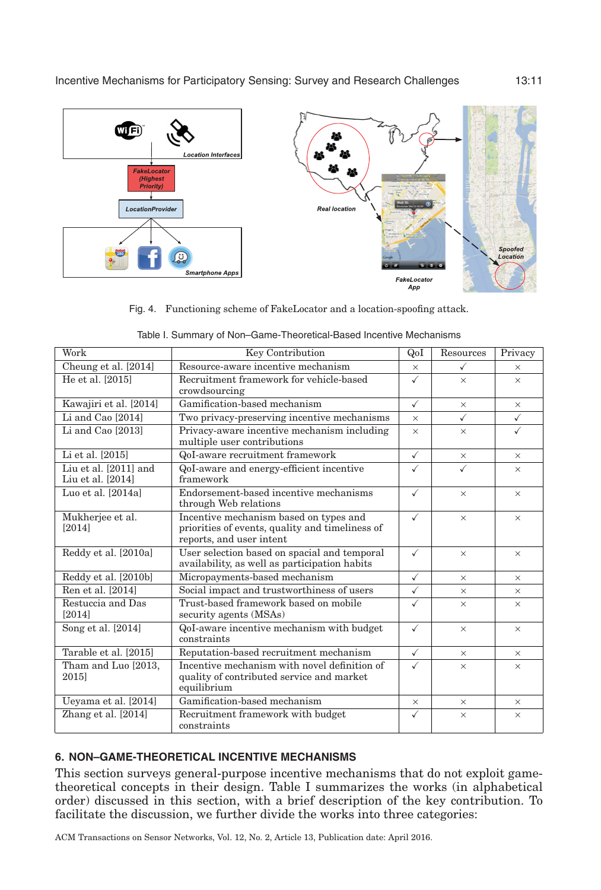<span id="page-10-1"></span>

Fig. 4. Functioning scheme of FakeLocator and a location-spoofing attack.

<span id="page-10-2"></span>

| Work                                       | Key Contribution                                                                                                      | QoI          | Resources    | Privacy      |
|--------------------------------------------|-----------------------------------------------------------------------------------------------------------------------|--------------|--------------|--------------|
| Cheung et al. [2014]                       | Resource-aware incentive mechanism                                                                                    |              | $\checkmark$ | $\times$     |
| He et al. [2015]                           | Recruitment framework for vehicle-based<br>crowdsourcing                                                              | ✓            | $\times$     | $\times$     |
| Kawajiri et al. [2014]                     | Gamification-based mechanism                                                                                          | $\checkmark$ | $\times$     | $\times$     |
| Li and Cao [2014]                          | Two privacy-preserving incentive mechanisms                                                                           | $\times$     | $\checkmark$ | $\checkmark$ |
| Li and Cao [2013]                          | Privacy-aware incentive mechanism including<br>multiple user contributions                                            |              | $\times$     | $\checkmark$ |
| Li et al. [2015]                           | QoI-aware recruitment framework                                                                                       | $\checkmark$ | $\times$     | $\times$     |
| Liu et al. [2011] and<br>Liu et al. [2014] | QoI-aware and energy-efficient incentive<br>framework                                                                 | $\checkmark$ | $\checkmark$ | $\times$     |
| Luo et al. [2014a]                         | Endorsement-based incentive mechanisms<br>through Web relations                                                       | $\checkmark$ | $\times$     | $\times$     |
| Mukherjee et al.<br>[2014]                 | Incentive mechanism based on types and<br>priorities of events, quality and timeliness of<br>reports, and user intent | $\checkmark$ | $\times$     | $\times$     |
| Reddy et al. [2010a]                       | User selection based on spacial and temporal<br>availability, as well as participation habits                         | $\checkmark$ | $\times$     | $\times$     |
| Reddy et al. [2010b]                       | Micropayments-based mechanism                                                                                         | $\checkmark$ | $\times$     | $\times$     |
| Ren et al. [2014]                          | Social impact and trustworthiness of users                                                                            | $\checkmark$ | $\times$     | $\times$     |
| Restuccia and Das<br>[2014]                | Trust-based framework based on mobile<br>security agents (MSAs)                                                       | $\checkmark$ | $\times$     | $\times$     |
| Song et al. [2014]                         | QoI-aware incentive mechanism with budget<br>constraints                                                              | $\checkmark$ | $\times$     | $\times$     |
| Tarable et al. [2015]                      | Reputation-based recruitment mechanism                                                                                | $\checkmark$ | $\times$     | $\times$     |
| Tham and Luo [2013,<br>2015]               | Incentive mechanism with novel definition of<br>quality of contributed service and market<br>equilibrium              | $\checkmark$ | $\times$     | $\times$     |
| Ueyama et al. [2014]                       | Gamification-based mechanism                                                                                          | $\times$     | $\times$     | $\times$     |
| Zhang et al. [2014]                        | Recruitment framework with budget<br>constraints                                                                      | ✓            | $\times$     | $\times$     |

# **6. NON–GAME-THEORETICAL INCENTIVE MECHANISMS**

<span id="page-10-0"></span>This section surveys general-purpose incentive mechanisms that do not exploit gametheoretical concepts in their design. Table [I](#page-10-2) summarizes the works (in alphabetical order) discussed in this section, with a brief description of the key contribution. To facilitate the discussion, we further divide the works into three categories:

ACM Transactions on Sensor Networks, Vol. 12, No. 2, Article 13, Publication date: April 2016.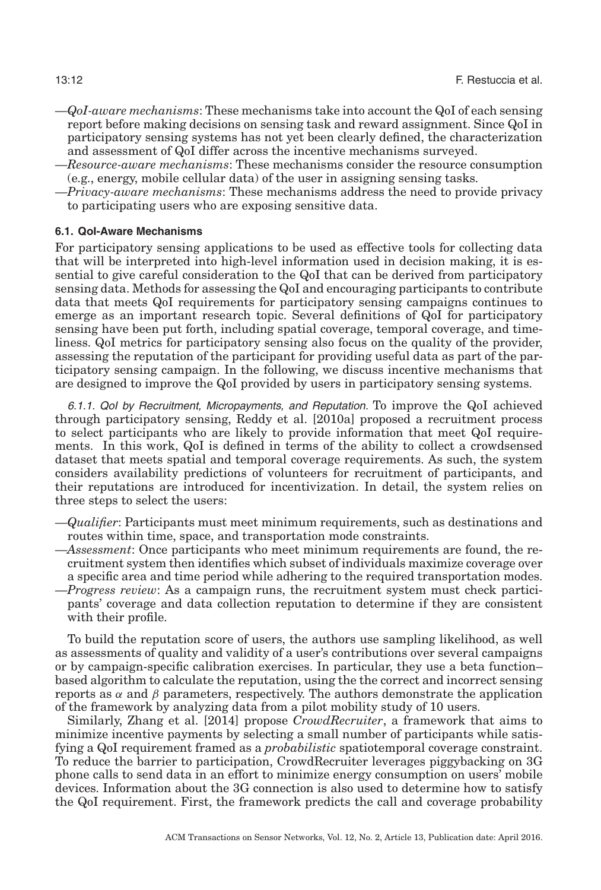- —*QoI-aware mechanisms*: These mechanisms take into account the QoI of each sensing report before making decisions on sensing task and reward assignment. Since QoI in participatory sensing systems has not yet been clearly defined, the characterization and assessment of QoI differ across the incentive mechanisms surveyed.
- —*Resource-aware mechanisms*: These mechanisms consider the resource consumption (e.g., energy, mobile cellular data) of the user in assigning sensing tasks.
- —*Privacy-aware mechanisms*: These mechanisms address the need to provide privacy to participating users who are exposing sensitive data.

#### **6.1. QoI-Aware Mechanisms**

For participatory sensing applications to be used as effective tools for collecting data that will be interpreted into high-level information used in decision making, it is essential to give careful consideration to the QoI that can be derived from participatory sensing data. Methods for assessing the QoI and encouraging participants to contribute data that meets QoI requirements for participatory sensing campaigns continues to emerge as an important research topic. Several definitions of QoI for participatory sensing have been put forth, including spatial coverage, temporal coverage, and timeliness. QoI metrics for participatory sensing also focus on the quality of the provider, assessing the reputation of the participant for providing useful data as part of the participatory sensing campaign. In the following, we discuss incentive mechanisms that are designed to improve the QoI provided by users in participatory sensing systems.

6.1.1. QoI by Recruitment, Micropayments, and Reputation. To improve the QoI achieved through participatory sensing, Reddy et al. [2010a] proposed a recruitment process to select participants who are likely to provide information that meet QoI requirements. In this work, QoI is defined in terms of the ability to collect a crowdsensed dataset that meets spatial and temporal coverage requirements. As such, the system considers availability predictions of volunteers for recruitment of participants, and their reputations are introduced for incentivization. In detail, the system relies on three steps to select the users:

- —*Qualifier*: Participants must meet minimum requirements, such as destinations and routes within time, space, and transportation mode constraints.
- —*Assessment*: Once participants who meet minimum requirements are found, the recruitment system then identifies which subset of individuals maximize coverage over a specific area and time period while adhering to the required transportation modes.
- —*Progress review*: As a campaign runs, the recruitment system must check participants' coverage and data collection reputation to determine if they are consistent with their profile.

To build the reputation score of users, the authors use sampling likelihood, as well as assessments of quality and validity of a user's contributions over several campaigns or by campaign-specific calibration exercises. In particular, they use a beta function– based algorithm to calculate the reputation, using the the correct and incorrect sensing reports as  $\alpha$  and  $\beta$  parameters, respectively. The authors demonstrate the application of the framework by analyzing data from a pilot mobility study of 10 users.

Similarly, Zhang et al. [\[2014\]](#page-39-4) propose *CrowdRecruiter*, a framework that aims to minimize incentive payments by selecting a small number of participants while satisfying a QoI requirement framed as a *probabilistic* spatiotemporal coverage constraint. To reduce the barrier to participation, CrowdRecruiter leverages piggybacking on 3G phone calls to send data in an effort to minimize energy consumption on users' mobile devices. Information about the 3G connection is also used to determine how to satisfy the QoI requirement. First, the framework predicts the call and coverage probability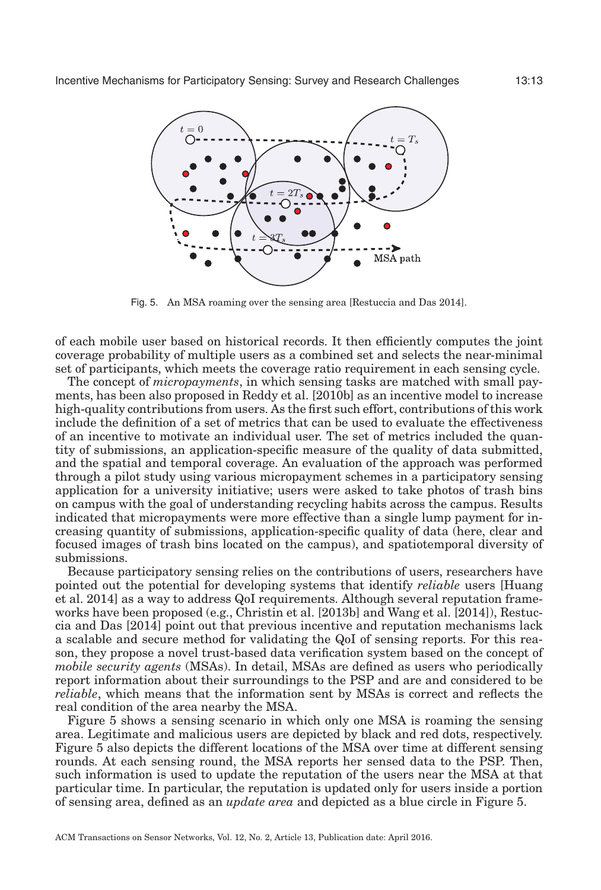<span id="page-12-0"></span>

Fig. 5. An MSA roaming over the sensing area [Restuccia and Das [2014\]](#page-37-1).

of each mobile user based on historical records. It then efficiently computes the joint coverage probability of multiple users as a combined set and selects the near-minimal set of participants, which meets the coverage ratio requirement in each sensing cycle.

The concept of *micropayments*, in which sensing tasks are matched with small payments, has been also proposed in Reddy et al. [\[2010b\]](#page-37-6) as an incentive model to increase high-quality contributions from users. As the first such effort, contributions of this work include the definition of a set of metrics that can be used to evaluate the effectiveness of an incentive to motivate an individual user. The set of metrics included the quantity of submissions, an application-specific measure of the quality of data submitted, and the spatial and temporal coverage. An evaluation of the approach was performed through a pilot study using various micropayment schemes in a participatory sensing application for a university initiative; users were asked to take photos of trash bins on campus with the goal of understanding recycling habits across the campus. Results indicated that micropayments were more effective than a single lump payment for increasing quantity of submissions, application-specific quality of data (here, clear and focused images of trash bins located on the campus), and spatiotemporal diversity of submissions.

Because participatory sensing relies on the contributions of users, researchers have pointed out the potential for developing systems that identify *reliable* users [Huang et al. [2014\]](#page-34-12) as a way to address QoI requirements. Although several reputation frameworks have been proposed (e.g., Christin et al. [\[2013b\]](#page-33-11) and Wang et al. [\[2014\]](#page-38-9)), Restuccia and Das [\[2014\]](#page-37-1) point out that previous incentive and reputation mechanisms lack a scalable and secure method for validating the QoI of sensing reports. For this reason, they propose a novel trust-based data verification system based on the concept of *mobile security agents* (MSAs). In detail, MSAs are defined as users who periodically report information about their surroundings to the PSP and are and considered to be *reliable*, which means that the information sent by MSAs is correct and reflects the real condition of the area nearby the MSA.

Figure [5](#page-12-0) shows a sensing scenario in which only one MSA is roaming the sensing area. Legitimate and malicious users are depicted by black and red dots, respectively. Figure [5](#page-12-0) also depicts the different locations of the MSA over time at different sensing rounds. At each sensing round, the MSA reports her sensed data to the PSP. Then, such information is used to update the reputation of the users near the MSA at that particular time. In particular, the reputation is updated only for users inside a portion of sensing area, defined as an *update area* and depicted as a blue circle in Figure [5.](#page-12-0)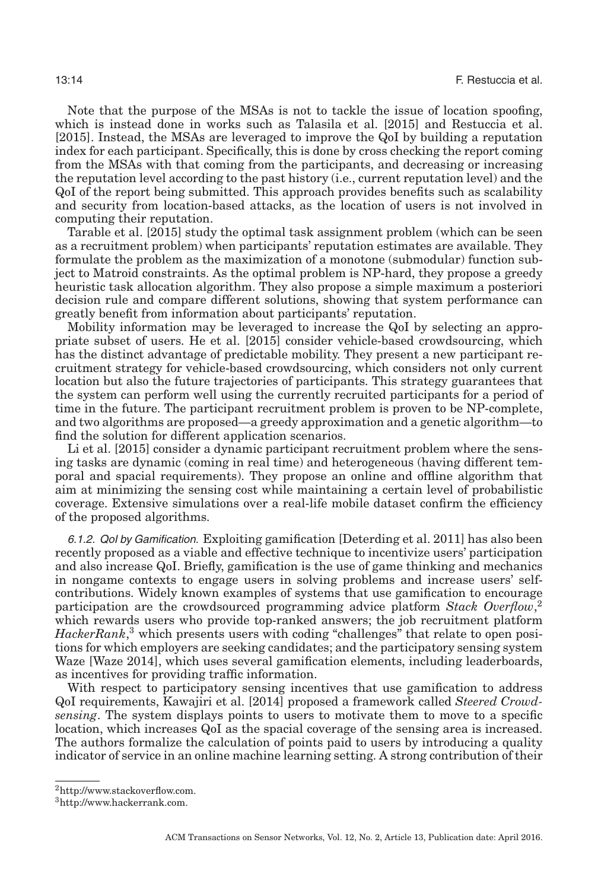Note that the purpose of the MSAs is not to tackle the issue of location spoofing, which is instead done in works such as Talasila et al. [2015] and Restuccia et al. [2015]. Instead, the MSAs are leveraged to improve the QoI by building a reputation index for each participant. Specifically, this is done by cross checking the report coming from the MSAs with that coming from the participants, and decreasing or increasing the reputation level according to the past history (i.e., current reputation level) and the QoI of the report being submitted. This approach provides benefits such as scalability and security from location-based attacks, as the location of users is not involved in computing their reputation.

Tarable et al. [\[2015\]](#page-38-8) study the optimal task assignment problem (which can be seen as a recruitment problem) when participants' reputation estimates are available. They formulate the problem as the maximization of a monotone (submodular) function subject to Matroid constraints. As the optimal problem is NP-hard, they propose a greedy heuristic task allocation algorithm. They also propose a simple maximum a posteriori decision rule and compare different solutions, showing that system performance can greatly benefit from information about participants' reputation.

Mobility information may be leveraged to increase the QoI by selecting an appropriate subset of users. He et al. [\[2015\]](#page-34-11) consider vehicle-based crowdsourcing, which has the distinct advantage of predictable mobility. They present a new participant recruitment strategy for vehicle-based crowdsourcing, which considers not only current location but also the future trajectories of participants. This strategy guarantees that the system can perform well using the currently recruited participants for a period of time in the future. The participant recruitment problem is proven to be NP-complete, and two algorithms are proposed—a greedy approximation and a genetic algorithm—to find the solution for different application scenarios.

Li et al. [\[2015\]](#page-35-11) consider a dynamic participant recruitment problem where the sensing tasks are dynamic (coming in real time) and heterogeneous (having different temporal and spacial requirements). They propose an online and offline algorithm that aim at minimizing the sensing cost while maintaining a certain level of probabilistic coverage. Extensive simulations over a real-life mobile dataset confirm the efficiency of the proposed algorithms.

6.1.2. QoI by Gamification. Exploiting gamification [Deterding et al. [2011\]](#page-33-9) has also been recently proposed as a viable and effective technique to incentivize users' participation and also increase QoI. Briefly, gamification is the use of game thinking and mechanics in nongame contexts to engage users in solving problems and increase users' selfcontributions. Widely known examples of systems that use gamification to encourage participation are the crowdsourced programming advice platform *Stack Overflow*, [2](#page-13-0) which rewards users who provide top-ranked answers; the job recruitment platform *HackerRank*, [3](#page-13-1) which presents users with coding "challenges" that relate to open positions for which employers are seeking candidates; and the participatory sensing system Waze [Waze [2014\]](#page-38-1), which uses several gamification elements, including leaderboards, as incentives for providing traffic information.

With respect to participatory sensing incentives that use gamification to address QoI requirements, Kawajiri et al. [2014] proposed a framework called *Steered Crowdsensing*. The system displays points to users to motivate them to move to a specific location, which increases QoI as the spacial coverage of the sensing area is increased. The authors formalize the calculation of points paid to users by introducing a quality indicator of service in an online machine learning setting. A strong contribution of their

<span id="page-13-0"></span>[<sup>2</sup>http://www.stackoverflow.com.](http://www.stackoverflow.com)

<span id="page-13-1"></span>[<sup>3</sup>http://www.hackerrank.com.](http://www.hackerrank.com)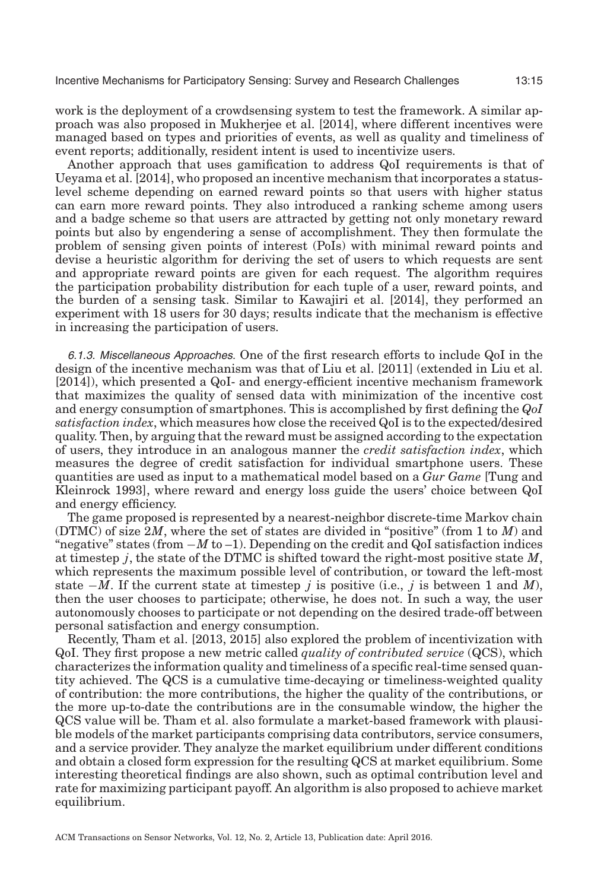work is the deployment of a crowdsensing system to test the framework. A similar approach was also proposed in Mukherjee et al. [\[2014\]](#page-36-10), where different incentives were managed based on types and priorities of events, as well as quality and timeliness of event reports; additionally, resident intent is used to incentivize users.

Another approach that uses gamification to address QoI requirements is that of Ueyama et al. [\[2014\]](#page-38-5), who proposed an incentive mechanism that incorporates a statuslevel scheme depending on earned reward points so that users with higher status can earn more reward points. They also introduced a ranking scheme among users and a badge scheme so that users are attracted by getting not only monetary reward points but also by engendering a sense of accomplishment. They then formulate the problem of sensing given points of interest (PoIs) with minimal reward points and devise a heuristic algorithm for deriving the set of users to which requests are sent and appropriate reward points are given for each request. The algorithm requires the participation probability distribution for each tuple of a user, reward points, and the burden of a sensing task. Similar to Kawajiri et al. [\[2014\]](#page-35-10), they performed an experiment with 18 users for 30 days; results indicate that the mechanism is effective in increasing the participation of users.

6.1.3. Miscellaneous Approaches. One of the first research efforts to include QoI in the design of the incentive mechanism was that of Liu et al. [\[2011\]](#page-35-8) (extended in Liu et al. [\[2014\]](#page-35-12)), which presented a QoI- and energy-efficient incentive mechanism framework that maximizes the quality of sensed data with minimization of the incentive cost and energy consumption of smartphones. This is accomplished by first defining the *QoI satisfaction index*, which measures how close the received QoI is to the expected/desired quality. Then, by arguing that the reward must be assigned according to the expectation of users, they introduce in an analogous manner the *credit satisfaction index*, which measures the degree of credit satisfaction for individual smartphone users. These quantities are used as input to a mathematical model based on a *Gur Game* [Tung and Kleinrock [1993\]](#page-38-10), where reward and energy loss guide the users' choice between QoI and energy efficiency.

The game proposed is represented by a nearest-neighbor discrete-time Markov chain (DTMC) of size 2*M*, where the set of states are divided in "positive" (from 1 to *M*) and "negative" states (from −*M* to –1). Depending on the credit and QoI satisfaction indices at timestep *j*, the state of the DTMC is shifted toward the right-most positive state *M*, which represents the maximum possible level of contribution, or toward the left-most state −*M*. If the current state at timestep *j* is positive (i.e., *j* is between 1 and *M*), then the user chooses to participate; otherwise, he does not. In such a way, the user autonomously chooses to participate or not depending on the desired trade-off between personal satisfaction and energy consumption.

Recently, Tham et al. [2013, 2015] also explored the problem of incentivization with QoI. They first propose a new metric called *quality of contributed service* (QCS), which characterizes the information quality and timeliness of a specific real-time sensed quantity achieved. The QCS is a cumulative time-decaying or timeliness-weighted quality of contribution: the more contributions, the higher the quality of the contributions, or the more up-to-date the contributions are in the consumable window, the higher the QCS value will be. Tham et al. also formulate a market-based framework with plausible models of the market participants comprising data contributors, service consumers, and a service provider. They analyze the market equilibrium under different conditions and obtain a closed form expression for the resulting QCS at market equilibrium. Some interesting theoretical findings are also shown, such as optimal contribution level and rate for maximizing participant payoff. An algorithm is also proposed to achieve market equilibrium.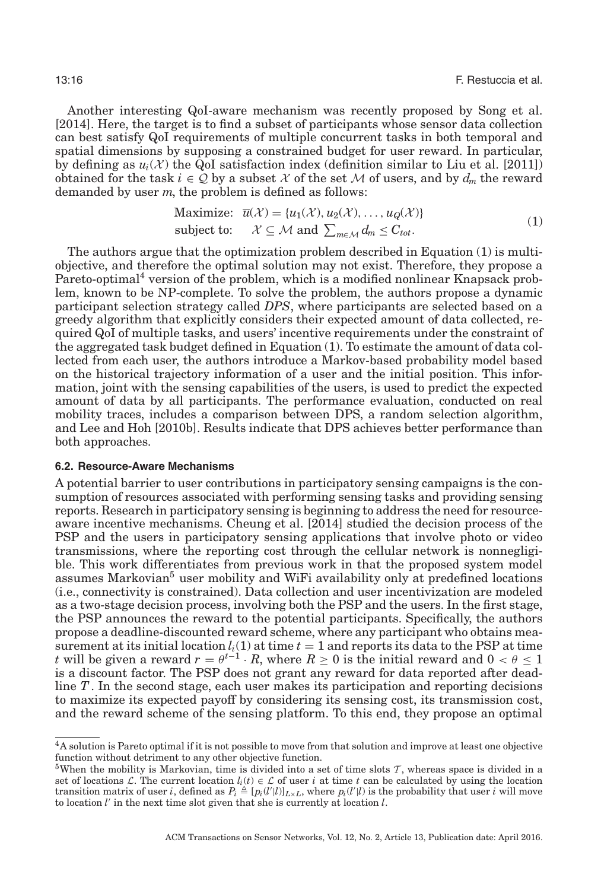Another interesting QoI-aware mechanism was recently proposed by Song et al. [\[2014\]](#page-37-9). Here, the target is to find a subset of participants whose sensor data collection can best satisfy QoI requirements of multiple concurrent tasks in both temporal and spatial dimensions by supposing a constrained budget for user reward. In particular, by defining as  $u_i(\mathcal{X})$  the QoI satisfaction index (definition similar to Liu et al. [\[2011\]](#page-35-8)) obtained for the task  $i \in \mathcal{Q}$  by a subset X of the set M of users, and by  $d_m$  the reward demanded by user *m*, the problem is defined as follows:

Maximize: 
$$
\overline{u}(\mathcal{X}) = \{u_1(\mathcal{X}), u_2(\mathcal{X}), \dots, u_Q(\mathcal{X})\}
$$
  
subject to:  $\mathcal{X} \subseteq \mathcal{M}$  and  $\sum_{m \in \mathcal{M}} d_m \leq C_{tot}$ . (1)

The authors argue that the optimization problem described in Equation (1) is multiobjective, and therefore the optimal solution may not exist. Therefore, they propose a Pareto-optimal<sup>4</sup> version of the problem, which is a modified nonlinear Knapsack problem, known to be NP-complete. To solve the problem, the authors propose a dynamic participant selection strategy called *DPS*, where participants are selected based on a greedy algorithm that explicitly considers their expected amount of data collected, required QoI of multiple tasks, and users' incentive requirements under the constraint of the aggregated task budget defined in Equation (1). To estimate the amount of data collected from each user, the authors introduce a Markov-based probability model based on the historical trajectory information of a user and the initial position. This information, joint with the sensing capabilities of the users, is used to predict the expected amount of data by all participants. The performance evaluation, conducted on real mobility traces, includes a comparison between DPS, a random selection algorithm, and Lee and Hoh [\[2010b\]](#page-35-13). Results indicate that DPS achieves better performance than both approaches.

#### **6.2. Resource-Aware Mechanisms**

A potential barrier to user contributions in participatory sensing campaigns is the consumption of resources associated with performing sensing tasks and providing sensing reports. Research in participatory sensing is beginning to address the need for resourceaware incentive mechanisms. Cheung et al. [\[2014\]](#page-33-10) studied the decision process of the PSP and the users in participatory sensing applications that involve photo or video transmissions, where the reporting cost through the cellular network is nonnegligible. This work differentiates from previous work in that the proposed system model assumes Markovian<sup>5</sup> user mobility and WiFi availability only at predefined locations (i.e., connectivity is constrained). Data collection and user incentivization are modeled as a two-stage decision process, involving both the PSP and the users. In the first stage, the PSP announces the reward to the potential participants. Specifically, the authors propose a deadline-discounted reward scheme, where any participant who obtains measurement at its initial location  $l_i(1)$  at time  $t = 1$  and reports its data to the PSP at time *t* will be given a reward  $r = \theta^{t-1} \cdot R$ , where  $R \ge 0$  is the initial reward and  $0 < \theta \le 1$ is a discount factor. The PSP does not grant any reward for data reported after deadline *T*. In the second stage, each user makes its participation and reporting decisions to maximize its expected payoff by considering its sensing cost, its transmission cost, and the reward scheme of the sensing platform. To this end, they propose an optimal

<span id="page-15-0"></span><sup>4</sup>A solution is Pareto optimal if it is not possible to move from that solution and improve at least one objective function without detriment to any other objective function.

<span id="page-15-1"></span> $5$ When the mobility is Markovian, time is divided into a set of time slots T, whereas space is divided in a set of locations L. The current location  $l_i(t) \in \mathcal{L}$  of user *i* at time t can be calculated by using the location transition matrix of user *i*, defined as  $P_i \triangleq [p_i(l'|l)]_{L \times L}$ , where  $p_i(l'|l)$  is the probability that user *i* will move to location *l* in the next time slot given that she is currently at location *l*.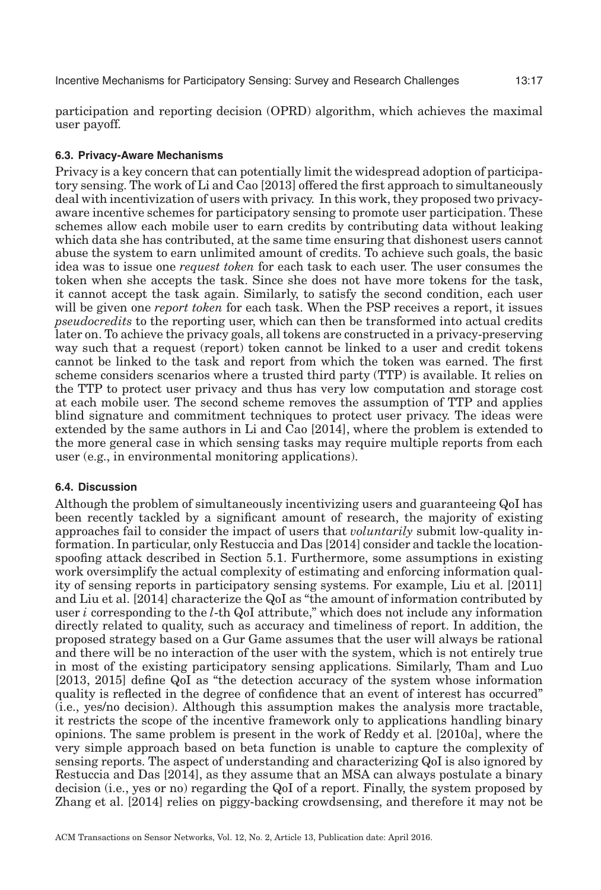participation and reporting decision (OPRD) algorithm, which achieves the maximal user payoff.

# **6.3. Privacy-Aware Mechanisms**

Privacy is a key concern that can potentially limit the widespread adoption of participatory sensing. The work of Li and Cao [2013] offered the first approach to simultaneously deal with incentivization of users with privacy. In this work, they proposed two privacyaware incentive schemes for participatory sensing to promote user participation. These schemes allow each mobile user to earn credits by contributing data without leaking which data she has contributed, at the same time ensuring that dishonest users cannot abuse the system to earn unlimited amount of credits. To achieve such goals, the basic idea was to issue one *request token* for each task to each user. The user consumes the token when she accepts the task. Since she does not have more tokens for the task, it cannot accept the task again. Similarly, to satisfy the second condition, each user will be given one *report token* for each task. When the PSP receives a report, it issues *pseudocredits* to the reporting user, which can then be transformed into actual credits later on. To achieve the privacy goals, all tokens are constructed in a privacy-preserving way such that a request (report) token cannot be linked to a user and credit tokens cannot be linked to the task and report from which the token was earned. The first scheme considers scenarios where a trusted third party (TTP) is available. It relies on the TTP to protect user privacy and thus has very low computation and storage cost at each mobile user. The second scheme removes the assumption of TTP and applies blind signature and commitment techniques to protect user privacy. The ideas were extended by the same authors in Li and Cao [\[2014\]](#page-35-9), where the problem is extended to the more general case in which sensing tasks may require multiple reports from each user (e.g., in environmental monitoring applications).

#### **6.4. Discussion**

Although the problem of simultaneously incentivizing users and guaranteeing QoI has been recently tackled by a significant amount of research, the majority of existing approaches fail to consider the impact of users that *voluntarily* submit low-quality information. In particular, only Restuccia and Das [\[2014\]](#page-37-1) consider and tackle the locationspoofing attack described in Section [5.1.](#page-9-0) Furthermore, some assumptions in existing work oversimplify the actual complexity of estimating and enforcing information quality of sensing reports in participatory sensing systems. For example, Liu et al. [\[2011\]](#page-35-8) and Liu et al. [\[2014\]](#page-35-12) characterize the QoI as "the amount of information contributed by user *i* corresponding to the *l*-th QoI attribute," which does not include any information directly related to quality, such as accuracy and timeliness of report. In addition, the proposed strategy based on a Gur Game assumes that the user will always be rational and there will be no interaction of the user with the system, which is not entirely true in most of the existing participatory sensing applications. Similarly, Tham and Luo [2013, 2015] define QoI as "the detection accuracy of the system whose information quality is reflected in the degree of confidence that an event of interest has occurred" (i.e., yes/no decision). Although this assumption makes the analysis more tractable, it restricts the scope of the incentive framework only to applications handling binary opinions. The same problem is present in the work of Reddy et al. [\[2010a\]](#page-37-7), where the very simple approach based on beta function is unable to capture the complexity of sensing reports. The aspect of understanding and characterizing QoI is also ignored by Restuccia and Das [\[2014\]](#page-37-1), as they assume that an MSA can always postulate a binary decision (i.e., yes or no) regarding the QoI of a report. Finally, the system proposed by Zhang et al. [\[2014\]](#page-39-4) relies on piggy-backing crowdsensing, and therefore it may not be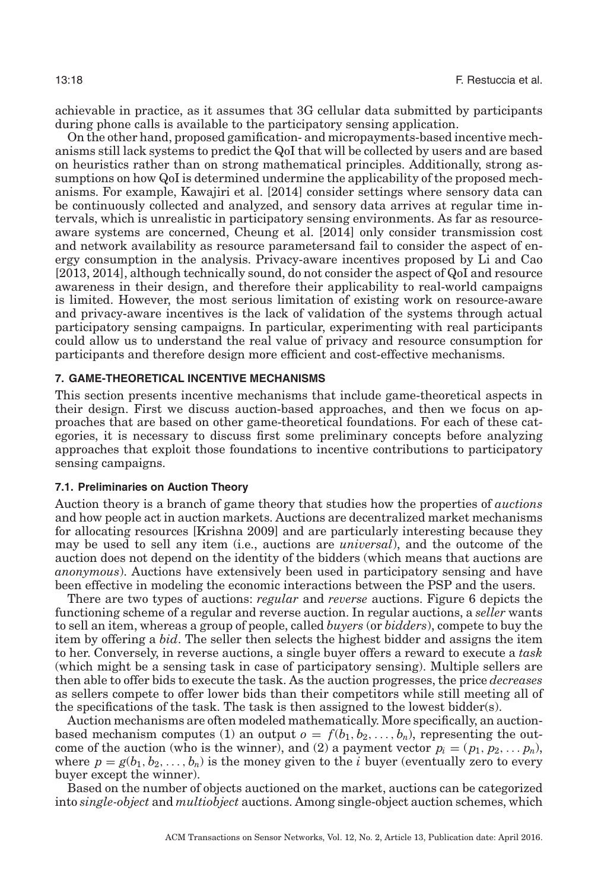achievable in practice, as it assumes that 3G cellular data submitted by participants during phone calls is available to the participatory sensing application.

On the other hand, proposed gamification- and micropayments-based incentive mechanisms still lack systems to predict the QoI that will be collected by users and are based on heuristics rather than on strong mathematical principles. Additionally, strong assumptions on how QoI is determined undermine the applicability of the proposed mechanisms. For example, Kawajiri et al. [\[2014\]](#page-35-10) consider settings where sensory data can be continuously collected and analyzed, and sensory data arrives at regular time intervals, which is unrealistic in participatory sensing environments. As far as resourceaware systems are concerned, Cheung et al. [\[2014\]](#page-33-10) only consider transmission cost and network availability as resource parametersand fail to consider the aspect of energy consumption in the analysis. Privacy-aware incentives proposed by Li and Cao [2013, 2014], although technically sound, do not consider the aspect of QoI and resource awareness in their design, and therefore their applicability to real-world campaigns is limited. However, the most serious limitation of existing work on resource-aware and privacy-aware incentives is the lack of validation of the systems through actual participatory sensing campaigns. In particular, experimenting with real participants could allow us to understand the real value of privacy and resource consumption for participants and therefore design more efficient and cost-effective mechanisms.

# **7. GAME-THEORETICAL INCENTIVE MECHANISMS**

<span id="page-17-0"></span>This section presents incentive mechanisms that include game-theoretical aspects in their design. First we discuss auction-based approaches, and then we focus on approaches that are based on other game-theoretical foundations. For each of these categories, it is necessary to discuss first some preliminary concepts before analyzing approaches that exploit those foundations to incentive contributions to participatory sensing campaigns.

# **7.1. Preliminaries on Auction Theory**

Auction theory is a branch of game theory that studies how the properties of *auctions* and how people act in auction markets. Auctions are decentralized market mechanisms for allocating resources [Krishna [2009\]](#page-35-3) and are particularly interesting because they may be used to sell any item (i.e., auctions are *universal*), and the outcome of the auction does not depend on the identity of the bidders (which means that auctions are *anonymous*). Auctions have extensively been used in participatory sensing and have been effective in modeling the economic interactions between the PSP and the users.

There are two types of auctions: *regular* and *reverse* auctions. Figure [6](#page-18-0) depicts the functioning scheme of a regular and reverse auction. In regular auctions, a *seller* wants to sell an item, whereas a group of people, called *buyers* (or *bidders*), compete to buy the item by offering a *bid*. The seller then selects the highest bidder and assigns the item to her. Conversely, in reverse auctions, a single buyer offers a reward to execute a *task* (which might be a sensing task in case of participatory sensing). Multiple sellers are then able to offer bids to execute the task. As the auction progresses, the price *decreases* as sellers compete to offer lower bids than their competitors while still meeting all of the specifications of the task. The task is then assigned to the lowest bidder(s).

Auction mechanisms are often modeled mathematically. More specifically, an auctionbased mechanism computes (1) an output  $o = f(b_1, b_2, \ldots, b_n)$ , representing the outcome of the auction (who is the winner), and (2) a payment vector  $p_i = (p_1, p_2, \ldots, p_n)$ , where  $p = g(b_1, b_2, \ldots, b_n)$  is the money given to the *i* buyer (eventually zero to every buyer except the winner).

Based on the number of objects auctioned on the market, auctions can be categorized into *single-object* and *multiobject* auctions. Among single-object auction schemes, which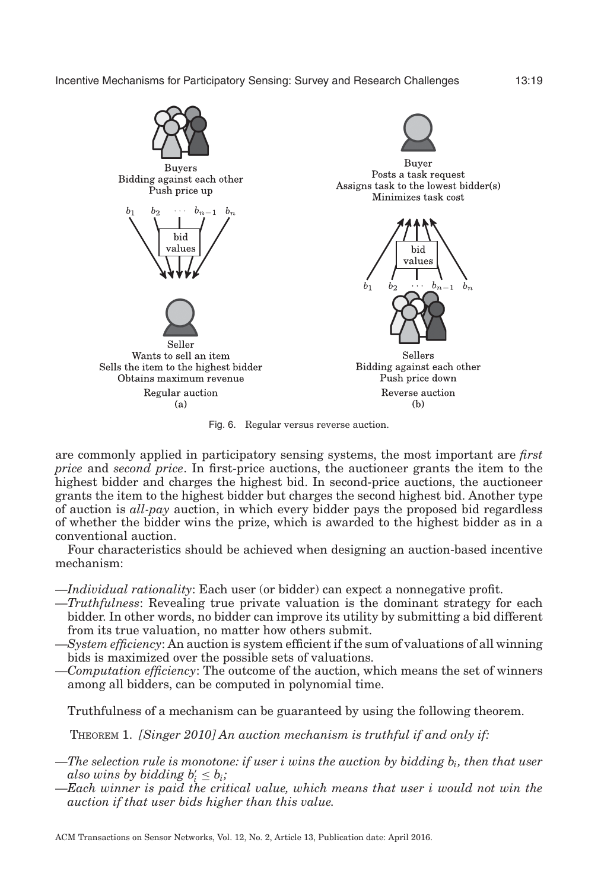<span id="page-18-0"></span>

Fig. 6. Regular versus reverse auction.

are commonly applied in participatory sensing systems, the most important are *first price* and *second price*. In first-price auctions, the auctioneer grants the item to the highest bidder and charges the highest bid. In second-price auctions, the auctioneer grants the item to the highest bidder but charges the second highest bid. Another type of auction is *all-pay* auction, in which every bidder pays the proposed bid regardless of whether the bidder wins the prize, which is awarded to the highest bidder as in a conventional auction.

Four characteristics should be achieved when designing an auction-based incentive mechanism:

—*Individual rationality*: Each user (or bidder) can expect a nonnegative profit.

- —*Truthfulness*: Revealing true private valuation is the dominant strategy for each bidder. In other words, no bidder can improve its utility by submitting a bid different from its true valuation, no matter how others submit.
- —*System efficiency*: An auction is system efficient if the sum of valuations of all winning bids is maximized over the possible sets of valuations.
- —*Computation efficiency*: The outcome of the auction, which means the set of winners among all bidders, can be computed in polynomial time.

Truthfulness of a mechanism can be guaranteed by using the following theorem.

<span id="page-18-1"></span>THEOREM 1. *[Singer [2010\]](#page-37-10) An auction mechanism is truthful if and only if:*

- —*The selection rule is monotone: if user i wins the auction by bidding bi, then that user*  $a$ *lso wins by bidding*  $b'_i \leq b_i$ *;*
- —*Each winner is paid the critical value, which means that user i would not win the auction if that user bids higher than this value.*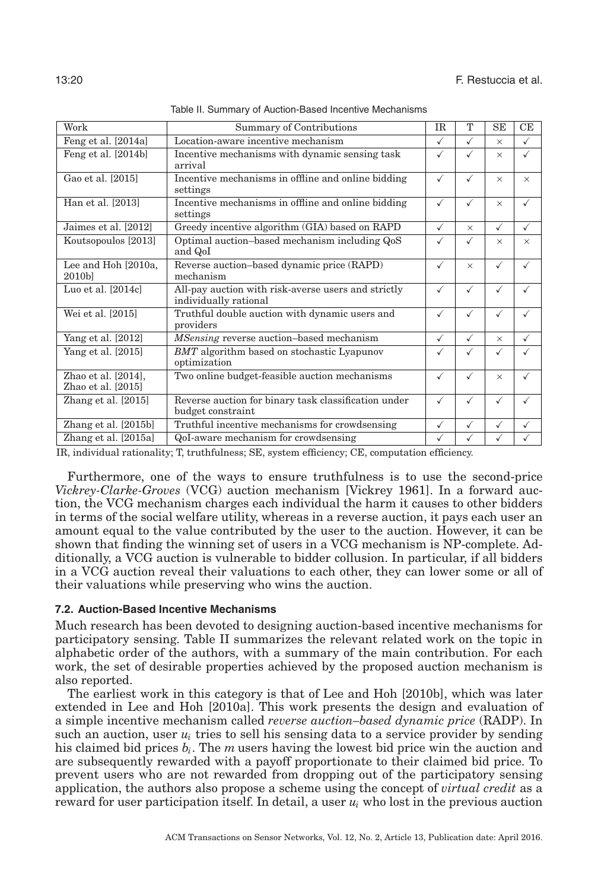<span id="page-19-0"></span>

| Work                                      | Summary of Contributions                                                     |              | T            | SE           | CE           |
|-------------------------------------------|------------------------------------------------------------------------------|--------------|--------------|--------------|--------------|
| Feng et al. [2014a]                       | Location-aware incentive mechanism                                           |              | ✓            | $\times$     | $\checkmark$ |
| Feng et al. [2014b]                       | Incentive mechanisms with dynamic sensing task<br>arrival                    |              | ✓            | $\times$     | $\checkmark$ |
| Gao et al. [2015]                         | Incentive mechanisms in offline and online bidding<br>settings               | $\checkmark$ | $\checkmark$ | $\times$     | $\times$     |
| Han et al. [2013]                         | Incentive mechanisms in offline and online bidding<br>settings               | $\checkmark$ | $\checkmark$ | $\times$     | ✓            |
| Jaimes et al. [2012]                      | Greedy incentive algorithm (GIA) based on RAPD                               | $\checkmark$ | $\times$     | ✓            | $\checkmark$ |
| Koutsopoulos [2013]                       | Optimal auction-based mechanism including QoS<br>and QoI                     | $\checkmark$ | $\checkmark$ | $\times$     | $\times$     |
| Lee and Hoh [2010a,<br>2010b]             | Reverse auction-based dynamic price (RAPD)<br>mechanism                      | $\checkmark$ | $\times$     | $\checkmark$ | ✓            |
| Luo et al. $[2014c]$                      | All-pay auction with risk-averse users and strictly<br>individually rational | $\checkmark$ | ✓            | $\checkmark$ | ✓            |
| Wei et al. [2015]                         | Truthful double auction with dynamic users and<br>providers                  | $\checkmark$ | $\checkmark$ | $\checkmark$ | √            |
| Yang et al. [2012]                        | MSensing reverse auction-based mechanism                                     | $\checkmark$ | ✓            | $\times$     | ✓            |
| Yang et al. [2015]                        | <b>BMT</b> algorithm based on stochastic Lyapunov<br>optimization            | ✓            | $\checkmark$ | $\checkmark$ | ✓            |
| Zhao et al. [2014],<br>Zhao et al. [2015] | Two online budget-feasible auction mechanisms                                | $\checkmark$ | $\checkmark$ | $\times$     | $\checkmark$ |
| Zhang et al. $[2015]$                     | Reverse auction for binary task classification under<br>budget constraint    | $\checkmark$ | $\checkmark$ | $\checkmark$ | ✓            |
| Zhang et al. [2015b]                      | Truthful incentive mechanisms for crowdsensing                               | $\checkmark$ | $\checkmark$ | $\checkmark$ | $\checkmark$ |
| Zhang et al. [2015a]                      | QoI-aware mechanism for crowdsensing                                         | $\checkmark$ | ✓            | ✓            | $\checkmark$ |

Table II. Summary of Auction-Based Incentive Mechanisms

IR, individual rationality; T, truthfulness; SE, system efficiency; CE, computation efficiency.

Furthermore, one of the ways to ensure truthfulness is to use the second-price *Vickrey-Clarke-Groves* (VCG) auction mechanism [Vickrey [1961\]](#page-38-12). In a forward auction, the VCG mechanism charges each individual the harm it causes to other bidders in terms of the social welfare utility, whereas in a reverse auction, it pays each user an amount equal to the value contributed by the user to the auction. However, it can be shown that finding the winning set of users in a VCG mechanism is NP-complete. Additionally, a VCG auction is vulnerable to bidder collusion. In particular, if all bidders in a VCG auction reveal their valuations to each other, they can lower some or all of their valuations while preserving who wins the auction.

#### **7.2. Auction-Based Incentive Mechanisms**

Much research has been devoted to designing auction-based incentive mechanisms for participatory sensing. Table [II](#page-19-0) summarizes the relevant related work on the topic in alphabetic order of the authors, with a summary of the main contribution. For each work, the set of desirable properties achieved by the proposed auction mechanism is also reported.

The earliest work in this category is that of Lee and Hoh [\[2010b\]](#page-35-13), which was later extended in Lee and Hoh [\[2010a\]](#page-35-14). This work presents the design and evaluation of a simple incentive mechanism called *reverse auction–based dynamic price* (RADP). In such an auction, user  $u_i$  tries to sell his sensing data to a service provider by sending his claimed bid prices *bi*. The *m* users having the lowest bid price win the auction and are subsequently rewarded with a payoff proportionate to their claimed bid price. To prevent users who are not rewarded from dropping out of the participatory sensing application, the authors also propose a scheme using the concept of *virtual credit* as a reward for user participation itself. In detail, a user *ui* who lost in the previous auction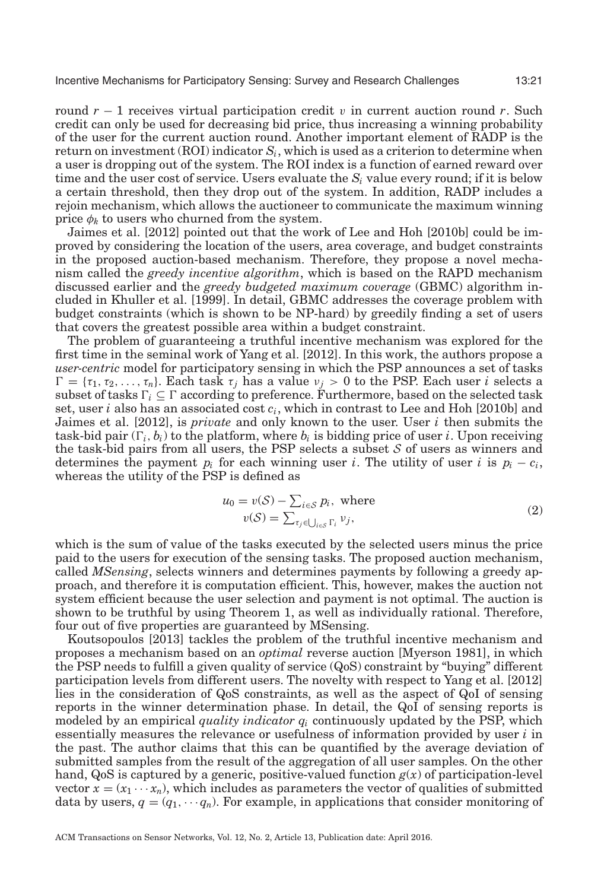round *r* − 1 receives virtual participation credit v in current auction round *r*. Such credit can only be used for decreasing bid price, thus increasing a winning probability of the user for the current auction round. Another important element of RADP is the return on investment (ROI) indicator *Si*, which is used as a criterion to determine when a user is dropping out of the system. The ROI index is a function of earned reward over time and the user cost of service. Users evaluate the  $S_i$  value every round; if it is below a certain threshold, then they drop out of the system. In addition, RADP includes a rejoin mechanism, which allows the auctioneer to communicate the maximum winning price  $\phi_k$  to users who churned from the system.

Jaimes et al. [2012] pointed out that the work of Lee and Hoh [\[2010b\]](#page-35-13) could be improved by considering the location of the users, area coverage, and budget constraints in the proposed auction-based mechanism. Therefore, they propose a novel mechanism called the *greedy incentive algorithm*, which is based on the RAPD mechanism discussed earlier and the *greedy budgeted maximum coverage* (GBMC) algorithm included in Khuller et al. [\[1999\]](#page-35-15). In detail, GBMC addresses the coverage problem with budget constraints (which is shown to be NP-hard) by greedily finding a set of users that covers the greatest possible area within a budget constraint.

The problem of guaranteeing a truthful incentive mechanism was explored for the first time in the seminal work of Yang et al. [\[2012\]](#page-39-1). In this work, the authors propose a *user-centric* model for participatory sensing in which the PSP announces a set of tasks  $\Gamma = {\tau_1, \tau_2, \ldots, \tau_n}$ . Each task  $\tau_i$  has a value  $\nu_i > 0$  to the PSP. Each user *i* selects a subset of tasks  $\Gamma_i \subseteq \Gamma$  according to preference. Furthermore, based on the selected task set, user *i* also has an associated cost *ci*, which in contrast to Lee and Hoh [2010b] and Jaimes et al. [2012], is *private* and only known to the user. User *i* then submits the task-bid pair  $(\Gamma_i, b_i)$  to the platform, where  $b_i$  is bidding price of user *i*. Upon receiving the task-bid pairs from all users, the PSP selects a subset  $S$  of users as winners and determines the payment  $p_i$  for each winning user *i*. The utility of user *i* is  $p_i - c_i$ , whereas the utility of the PSP is defined as

$$
u_0 = v(S) - \sum_{i \in S} p_i, \text{ where}
$$
  

$$
v(S) = \sum_{\tau_j \in \bigcup_{i \in S} \Gamma_i} v_j,
$$
 (2)

which is the sum of value of the tasks executed by the selected users minus the price paid to the users for execution of the sensing tasks. The proposed auction mechanism, called *MSensing*, selects winners and determines payments by following a greedy approach, and therefore it is computation efficient. This, however, makes the auction not system efficient because the user selection and payment is not optimal. The auction is shown to be truthful by using Theorem [1,](#page-18-1) as well as individually rational. Therefore, four out of five properties are guaranteed by MSensing.

Koutsopoulos [\[2013\]](#page-35-5) tackles the problem of the truthful incentive mechanism and proposes a mechanism based on an *optimal* reverse auction [Myerson [1981\]](#page-36-12), in which the PSP needs to fulfill a given quality of service (QoS) constraint by "buying" different participation levels from different users. The novelty with respect to Yang et al. [\[2012\]](#page-39-1) lies in the consideration of QoS constraints, as well as the aspect of QoI of sensing reports in the winner determination phase. In detail, the QoI of sensing reports is modeled by an empirical *quality indicator qi* continuously updated by the PSP, which essentially measures the relevance or usefulness of information provided by user *i* in the past. The author claims that this can be quantified by the average deviation of submitted samples from the result of the aggregation of all user samples. On the other hand, QoS is captured by a generic, positive-valued function  $g(x)$  of participation-level vector  $x = (x_1 \cdots x_n)$ , which includes as parameters the vector of qualities of submitted data by users,  $q = (q_1, \dots, q_n)$ . For example, in applications that consider monitoring of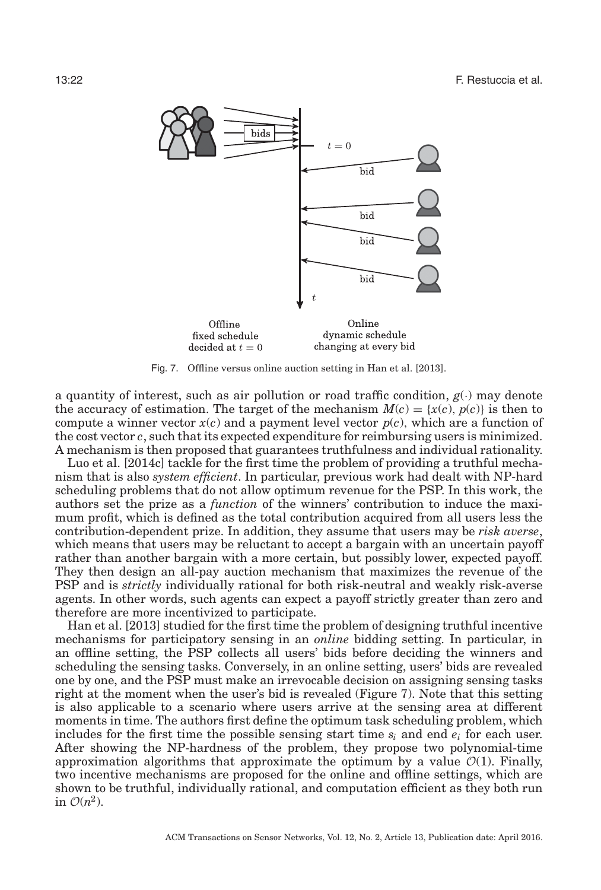<span id="page-21-0"></span>

Fig. 7. Offline versus online auction setting in Han et al. [\[2013\]](#page-34-8).

a quantity of interest, such as air pollution or road traffic condition,  $g(\cdot)$  may denote the accuracy of estimation. The target of the mechanism  $M(c) = \{x(c), p(c)\}\$ is then to compute a winner vector  $x(c)$  and a payment level vector  $p(c)$ , which are a function of the cost vector *c*, such that its expected expenditure for reimbursing users is minimized. A mechanism is then proposed that guarantees truthfulness and individual rationality.

Luo et al. [\[2014c\]](#page-36-11) tackle for the first time the problem of providing a truthful mechanism that is also *system efficient*. In particular, previous work had dealt with NP-hard scheduling problems that do not allow optimum revenue for the PSP. In this work, the authors set the prize as a *function* of the winners' contribution to induce the maximum profit, which is defined as the total contribution acquired from all users less the contribution-dependent prize. In addition, they assume that users may be *risk averse*, which means that users may be reluctant to accept a bargain with an uncertain payoff rather than another bargain with a more certain, but possibly lower, expected payoff. They then design an all-pay auction mechanism that maximizes the revenue of the PSP and is *strictly* individually rational for both risk-neutral and weakly risk-averse agents. In other words, such agents can expect a payoff strictly greater than zero and therefore are more incentivized to participate.

Han et al. [2013] studied for the first time the problem of designing truthful incentive mechanisms for participatory sensing in an *online* bidding setting. In particular, in an offline setting, the PSP collects all users' bids before deciding the winners and scheduling the sensing tasks. Conversely, in an online setting, users' bids are revealed one by one, and the PSP must make an irrevocable decision on assigning sensing tasks right at the moment when the user's bid is revealed (Figure [7\)](#page-21-0). Note that this setting is also applicable to a scenario where users arrive at the sensing area at different moments in time. The authors first define the optimum task scheduling problem, which includes for the first time the possible sensing start time *si* and end *ei* for each user. After showing the NP-hardness of the problem, they propose two polynomial-time approximation algorithms that approximate the optimum by a value  $\mathcal{O}(1)$ . Finally, two incentive mechanisms are proposed for the online and offline settings, which are shown to be truthful, individually rational, and computation efficient as they both run in  $\mathcal{O}(n^2)$ .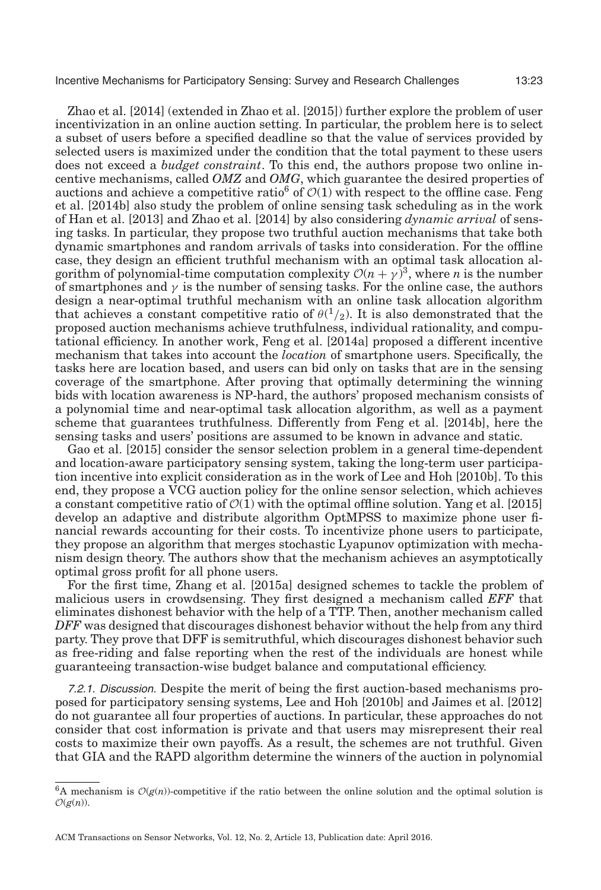Zhao et al. [\[2014\]](#page-39-3) (extended in Zhao et al. [\[2015\]](#page-39-6)) further explore the problem of user incentivization in an online auction setting. In particular, the problem here is to select a subset of users before a specified deadline so that the value of services provided by selected users is maximized under the condition that the total payment to these users does not exceed a *budget constraint*. To this end, the authors propose two online incentive mechanisms, called *OMZ* and *OMG*, which guarantee the desired properties of auctions and achieve a competitive ratio<sup>6</sup> of  $\mathcal{O}(1)$  with respect to the offline case. Feng et al. [\[2014b\]](#page-34-7) also study the problem of online sensing task scheduling as in the work of Han et al. [\[2013\]](#page-34-8) and Zhao et al. [\[2014\]](#page-39-3) by also considering *dynamic arrival* of sensing tasks. In particular, they propose two truthful auction mechanisms that take both dynamic smartphones and random arrivals of tasks into consideration. For the offline case, they design an efficient truthful mechanism with an optimal task allocation algorithm of polynomial-time computation complexity  $\mathcal{O}(n + \gamma)^3$ , where *n* is the number of smartphones and  $\gamma$  is the number of sensing tasks. For the online case, the authors design a near-optimal truthful mechanism with an online task allocation algorithm that achieves a constant competitive ratio of  $\theta({}^1/2)$ . It is also demonstrated that the proposed auction mechanisms achieve truthfulness, individual rationality, and computational efficiency. In another work, Feng et al. [\[2014a\]](#page-34-6) proposed a different incentive mechanism that takes into account the *location* of smartphone users. Specifically, the tasks here are location based, and users can bid only on tasks that are in the sensing coverage of the smartphone. After proving that optimally determining the winning bids with location awareness is NP-hard, the authors' proposed mechanism consists of a polynomial time and near-optimal task allocation algorithm, as well as a payment scheme that guarantees truthfulness. Differently from Feng et al. [\[2014b\]](#page-34-7), here the sensing tasks and users' positions are assumed to be known in advance and static.

Gao et al. [\[2015\]](#page-34-13) consider the sensor selection problem in a general time-dependent and location-aware participatory sensing system, taking the long-term user participation incentive into explicit consideration as in the work of Lee and Hoh [\[2010b\]](#page-35-13). To this end, they propose a VCG auction policy for the online sensor selection, which achieves a constant competitive ratio of  $\mathcal{O}(1)$  with the optimal offline solution. Yang et al. [\[2015\]](#page-39-5) develop an adaptive and distribute algorithm OptMPSS to maximize phone user financial rewards accounting for their costs. To incentivize phone users to participate, they propose an algorithm that merges stochastic Lyapunov optimization with mechanism design theory. The authors show that the mechanism achieves an asymptotically optimal gross profit for all phone users.

For the first time, Zhang et al. [\[2015a\]](#page-39-9) designed schemes to tackle the problem of malicious users in crowdsensing. They first designed a mechanism called *EFF* that eliminates dishonest behavior with the help of a TTP. Then, another mechanism called *DFF* was designed that discourages dishonest behavior without the help from any third party. They prove that DFF is semitruthful, which discourages dishonest behavior such as free-riding and false reporting when the rest of the individuals are honest while guaranteeing transaction-wise budget balance and computational efficiency.

7.2.1. Discussion. Despite the merit of being the first auction-based mechanisms proposed for participatory sensing systems, Lee and Hoh [\[2010b\]](#page-35-13) and Jaimes et al. [\[2012\]](#page-34-0) do not guarantee all four properties of auctions. In particular, these approaches do not consider that cost information is private and that users may misrepresent their real costs to maximize their own payoffs. As a result, the schemes are not truthful. Given that GIA and the RAPD algorithm determine the winners of the auction in polynomial

<span id="page-22-0"></span> $6A$  mechanism is  $\mathcal{O}(g(n))$ -competitive if the ratio between the online solution and the optimal solution is  $\mathcal{O}(g(n)).$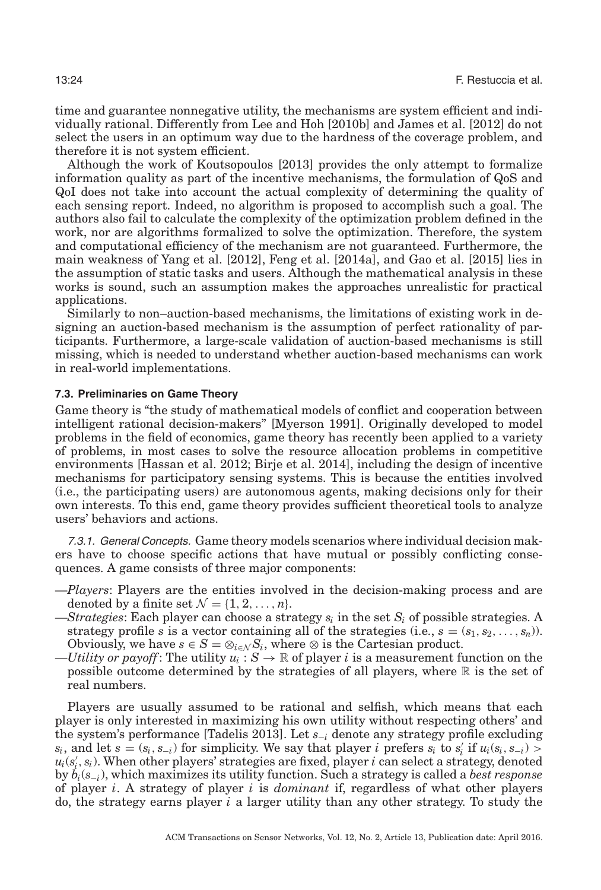time and guarantee nonnegative utility, the mechanisms are system efficient and individually rational. Differently from Lee and Hoh [2010b] and James et al. [2012] do not select the users in an optimum way due to the hardness of the coverage problem, and therefore it is not system efficient.

Although the work of Koutsopoulos [\[2013\]](#page-35-5) provides the only attempt to formalize information quality as part of the incentive mechanisms, the formulation of QoS and QoI does not take into account the actual complexity of determining the quality of each sensing report. Indeed, no algorithm is proposed to accomplish such a goal. The authors also fail to calculate the complexity of the optimization problem defined in the work, nor are algorithms formalized to solve the optimization. Therefore, the system and computational efficiency of the mechanism are not guaranteed. Furthermore, the main weakness of Yang et al. [2012], Feng et al. [2014a], and Gao et al. [2015] lies in the assumption of static tasks and users. Although the mathematical analysis in these works is sound, such an assumption makes the approaches unrealistic for practical applications.

Similarly to non–auction-based mechanisms, the limitations of existing work in designing an auction-based mechanism is the assumption of perfect rationality of participants. Furthermore, a large-scale validation of auction-based mechanisms is still missing, which is needed to understand whether auction-based mechanisms can work in real-world implementations.

#### **7.3. Preliminaries on Game Theory**

Game theory is "the study of mathematical models of conflict and cooperation between intelligent rational decision-makers" [Myerson [1991\]](#page-36-13). Originally developed to model problems in the field of economics, game theory has recently been applied to a variety of problems, in most cases to solve the resource allocation problems in competitive environments [Hassan et al. [2012;](#page-34-14) Birje et al. [2014\]](#page-32-8), including the design of incentive mechanisms for participatory sensing systems. This is because the entities involved (i.e., the participating users) are autonomous agents, making decisions only for their own interests. To this end, game theory provides sufficient theoretical tools to analyze users' behaviors and actions.

7.3.1. General Concepts. Game theory models scenarios where individual decision makers have to choose specific actions that have mutual or possibly conflicting consequences. A game consists of three major components:

- —*Players*: Players are the entities involved in the decision-making process and are denoted by a finite set  $\mathcal{N} = \{1, 2, ..., n\}.$
- —*Strategies*: Each player can choose a strategy *si* in the set *Si* of possible strategies. A strategy profile *s* is a vector containing all of the strategies (i.e.,  $s = (s_1, s_2, \ldots, s_n)$ ). Obviously, we have  $s \in S = \otimes_{i \in \mathcal{N}} S_i$ , where  $\otimes$  is the Cartesian product.
- —*Utility or payoff*: The utility  $u_i : S \to \mathbb{R}$  of player *i* is a measurement function on the possible outcome determined by the strategies of all players, where R is the set of real numbers.

Players are usually assumed to be rational and selfish, which means that each player is only interested in maximizing his own utility without respecting others' and the system's performance [Tadelis [2013\]](#page-37-0). Let *s*<sup>−</sup>*<sup>i</sup>* denote any strategy profile excluding  $s_i$ , and let  $s = (s_i, s_{-i})$  for simplicity. We say that player *i* prefers  $s_i$  to  $s'_i$  if  $u_i(s_i, s_{-i}) >$  $u_i(s'_i, s_i)$ . When other players' strategies are fixed, player *i* can select a strategy, denoted by *bi*(*s*<sup>−</sup>*i*), which maximizes its utility function. Such a strategy is called a *best response* of player *i*. A strategy of player *i* is *dominant* if, regardless of what other players do, the strategy earns player *i* a larger utility than any other strategy. To study the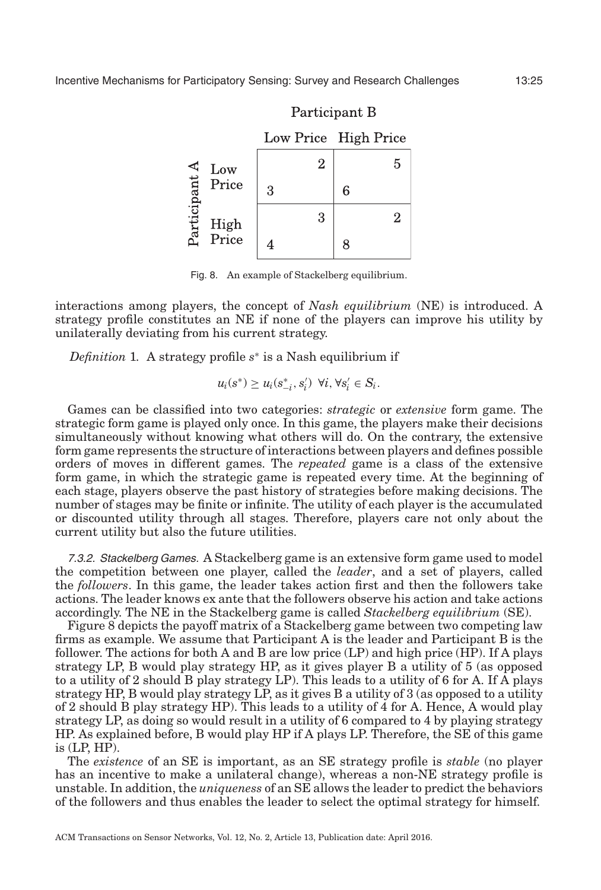<span id="page-24-0"></span>

|               |               |   | Low Price High Price |
|---------------|---------------|---|----------------------|
|               |               | 2 | 5                    |
| Participant A | Low<br>Price  | 3 | 6                    |
|               | High<br>Price | 3 | 2                    |
|               |               |   |                      |

#### Participant B

Fig. 8. An example of Stackelberg equilibrium.

interactions among players, the concept of *Nash equilibrium* (NE) is introduced. A strategy profile constitutes an NE if none of the players can improve his utility by unilaterally deviating from his current strategy.

*Definition* 1*.* A strategy profile *s*<sup>∗</sup> is a Nash equilibrium if

$$
u_i(s^*) \geq u_i(s_{-i}^*, s_i') \ \forall i, \forall s_i' \in S_i.
$$

Games can be classified into two categories: *strategic* or *extensive* form game. The strategic form game is played only once. In this game, the players make their decisions simultaneously without knowing what others will do. On the contrary, the extensive form game represents the structure of interactions between players and defines possible orders of moves in different games. The *repeated* game is a class of the extensive form game, in which the strategic game is repeated every time. At the beginning of each stage, players observe the past history of strategies before making decisions. The number of stages may be finite or infinite. The utility of each player is the accumulated or discounted utility through all stages. Therefore, players care not only about the current utility but also the future utilities.

7.3.2. Stackelberg Games. A Stackelberg game is an extensive form game used to model the competition between one player, called the *leader*, and a set of players, called the *followers*. In this game, the leader takes action first and then the followers take actions. The leader knows ex ante that the followers observe his action and take actions accordingly. The NE in the Stackelberg game is called *Stackelberg equilibrium* (SE).

Figure [8](#page-24-0) depicts the payoff matrix of a Stackelberg game between two competing law firms as example. We assume that Participant A is the leader and Participant B is the follower. The actions for both A and B are low price (LP) and high price (HP). If A plays strategy LP, B would play strategy HP, as it gives player B a utility of 5 (as opposed to a utility of 2 should B play strategy LP). This leads to a utility of 6 for A. If A plays strategy HP, B would play strategy LP, as it gives B a utility of 3 (as opposed to a utility of 2 should B play strategy HP). This leads to a utility of 4 for A. Hence, A would play strategy LP, as doing so would result in a utility of 6 compared to 4 by playing strategy HP. As explained before, B would play HP if A plays LP. Therefore, the SE of this game is (LP, HP).

The *existence* of an SE is important, as an SE strategy profile is *stable* (no player has an incentive to make a unilateral change), whereas a non-NE strategy profile is unstable. In addition, the *uniqueness* of an SE allows the leader to predict the behaviors of the followers and thus enables the leader to select the optimal strategy for himself.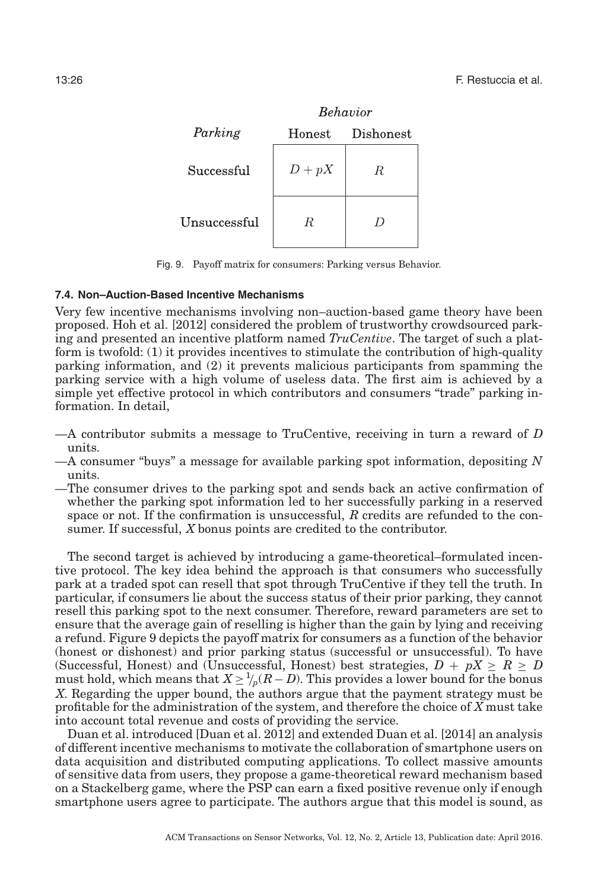<span id="page-25-0"></span>

|              | <b>Behavior</b> |           |  |
|--------------|-----------------|-----------|--|
| Parking      | Honest          | Dishonest |  |
| Successful   | $D+pX$          | R         |  |
| Unsuccessful | R               | 1)        |  |

Fig. 9. Payoff matrix for consumers: Parking versus Behavior.

#### **7.4. Non–Auction-Based Incentive Mechanisms**

Very few incentive mechanisms involving non–auction-based game theory have been proposed. Hoh et al. [\[2012\]](#page-34-9) considered the problem of trustworthy crowdsourced parking and presented an incentive platform named *TruCentive*. The target of such a platform is twofold: (1) it provides incentives to stimulate the contribution of high-quality parking information, and (2) it prevents malicious participants from spamming the parking service with a high volume of useless data. The first aim is achieved by a simple yet effective protocol in which contributors and consumers "trade" parking information. In detail,

- —A contributor submits a message to TruCentive, receiving in turn a reward of *D* units.
- —A consumer "buys" a message for available parking spot information, depositing *N* units.
- —The consumer drives to the parking spot and sends back an active confirmation of whether the parking spot information led to her successfully parking in a reserved space or not. If the confirmation is unsuccessful, *R* credits are refunded to the consumer. If successful, *X* bonus points are credited to the contributor.

The second target is achieved by introducing a game-theoretical–formulated incentive protocol. The key idea behind the approach is that consumers who successfully park at a traded spot can resell that spot through TruCentive if they tell the truth. In particular, if consumers lie about the success status of their prior parking, they cannot resell this parking spot to the next consumer. Therefore, reward parameters are set to ensure that the average gain of reselling is higher than the gain by lying and receiving a refund. Figure [9](#page-25-0) depicts the payoff matrix for consumers as a function of the behavior (honest or dishonest) and prior parking status (successful or unsuccessful). To have (Successful, Honest) and (Unsuccessful, Honest) best strategies,  $D + pX \ge R \ge D$ must hold, which means that  $X \geq \frac{1}{p}(R - D)$ . This provides a lower bound for the bonus *X*. Regarding the upper bound, the authors argue that the payment strategy must be profitable for the administration of the system, and therefore the choice of *X* must take into account total revenue and costs of providing the service.

Duan et al. introduced [Duan et al. [2012\]](#page-33-7) and extended Duan et al. [\[2014\]](#page-33-6) an analysis of different incentive mechanisms to motivate the collaboration of smartphone users on data acquisition and distributed computing applications. To collect massive amounts of sensitive data from users, they propose a game-theoretical reward mechanism based on a Stackelberg game, where the PSP can earn a fixed positive revenue only if enough smartphone users agree to participate. The authors argue that this model is sound, as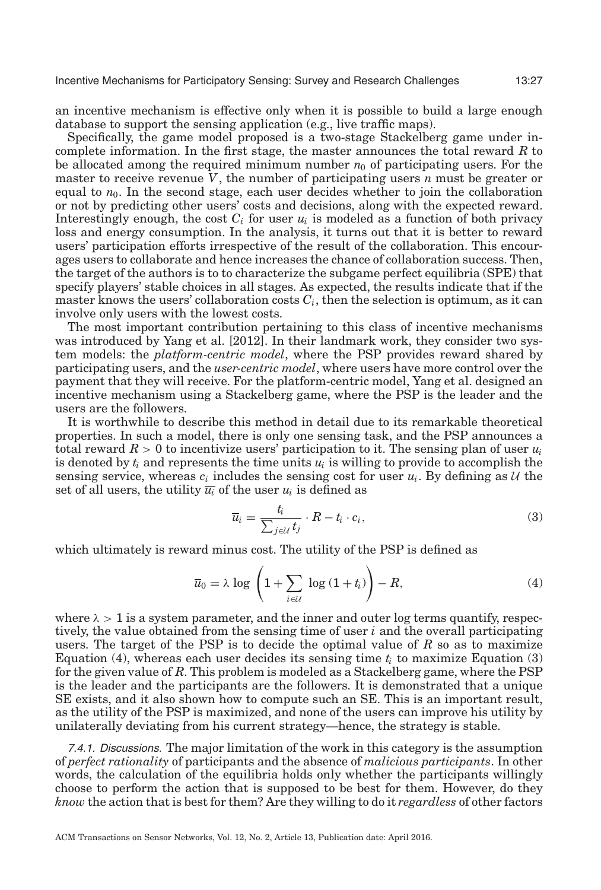an incentive mechanism is effective only when it is possible to build a large enough database to support the sensing application (e.g., live traffic maps).

Specifically, the game model proposed is a two-stage Stackelberg game under incomplete information. In the first stage, the master announces the total reward *R* to be allocated among the required minimum number  $n_0$  of participating users. For the master to receive revenue *V* , the number of participating users *n* must be greater or equal to  $n_0$ . In the second stage, each user decides whether to join the collaboration or not by predicting other users' costs and decisions, along with the expected reward. Interestingly enough, the cost  $C_i$  for user  $u_i$  is modeled as a function of both privacy loss and energy consumption. In the analysis, it turns out that it is better to reward users' participation efforts irrespective of the result of the collaboration. This encourages users to collaborate and hence increases the chance of collaboration success. Then, the target of the authors is to to characterize the subgame perfect equilibria (SPE) that specify players' stable choices in all stages. As expected, the results indicate that if the master knows the users' collaboration costs *Ci*, then the selection is optimum, as it can involve only users with the lowest costs.

The most important contribution pertaining to this class of incentive mechanisms was introduced by Yang et al. [\[2012\]](#page-39-1). In their landmark work, they consider two system models: the *platform-centric model*, where the PSP provides reward shared by participating users, and the *user-centric model*, where users have more control over the payment that they will receive. For the platform-centric model, Yang et al. designed an incentive mechanism using a Stackelberg game, where the PSP is the leader and the users are the followers.

It is worthwhile to describe this method in detail due to its remarkable theoretical properties. In such a model, there is only one sensing task, and the PSP announces a total reward  $R > 0$  to incentivize users' participation to it. The sensing plan of user  $u_i$ is denoted by  $t_i$  and represents the time units  $u_i$  is willing to provide to accomplish the sensing service, whereas  $c_i$  includes the sensing cost for user  $u_i$ . By defining as  $U$  the set of all users, the utility  $\overline{u_i}$  of the user  $u_i$  is defined as

$$
\overline{u}_i = \frac{t_i}{\sum_{j \in \mathcal{U}} t_j} \cdot R - t_i \cdot c_i,\tag{3}
$$

which ultimately is reward minus cost. The utility of the PSP is defined as

$$
\overline{u}_0 = \lambda \log \left( 1 + \sum_{i \in \mathcal{U}} \log \left( 1 + t_i \right) \right) - R,\tag{4}
$$

where  $\lambda > 1$  is a system parameter, and the inner and outer log terms quantify, respectively, the value obtained from the sensing time of user *i* and the overall participating users. The target of the PSP is to decide the optimal value of  $R$  so as to maximize Equation (4), whereas each user decides its sensing time  $t_i$  to maximize Equation (3) for the given value of *R*. This problem is modeled as a Stackelberg game, where the PSP is the leader and the participants are the followers. It is demonstrated that a unique SE exists, and it also shown how to compute such an SE. This is an important result, as the utility of the PSP is maximized, and none of the users can improve his utility by unilaterally deviating from his current strategy—hence, the strategy is stable.

7.4.1. Discussions. The major limitation of the work in this category is the assumption of *perfect rationality* of participants and the absence of *malicious participants*. In other words, the calculation of the equilibria holds only whether the participants willingly choose to perform the action that is supposed to be best for them. However, do they *know* the action that is best for them? Are they willing to do it *regardless* of other factors

ACM Transactions on Sensor Networks, Vol. 12, No. 2, Article 13, Publication date: April 2016.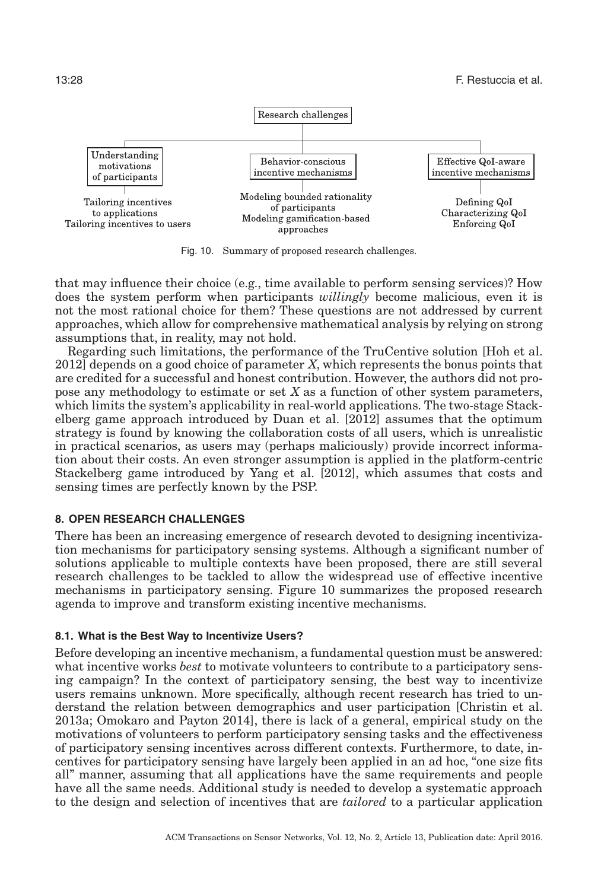<span id="page-27-1"></span>

Fig. 10. Summary of proposed research challenges.

that may influence their choice (e.g., time available to perform sensing services)? How does the system perform when participants *willingly* become malicious, even it is not the most rational choice for them? These questions are not addressed by current approaches, which allow for comprehensive mathematical analysis by relying on strong assumptions that, in reality, may not hold.

Regarding such limitations, the performance of the TruCentive solution [Hoh et al. [2012\]](#page-34-9) depends on a good choice of parameter *X*, which represents the bonus points that are credited for a successful and honest contribution. However, the authors did not propose any methodology to estimate or set *X* as a function of other system parameters, which limits the system's applicability in real-world applications. The two-stage Stackelberg game approach introduced by Duan et al. [\[2012\]](#page-33-7) assumes that the optimum strategy is found by knowing the collaboration costs of all users, which is unrealistic in practical scenarios, as users may (perhaps maliciously) provide incorrect information about their costs. An even stronger assumption is applied in the platform-centric Stackelberg game introduced by Yang et al. [\[2012\]](#page-39-1), which assumes that costs and sensing times are perfectly known by the PSP.

# **8. OPEN RESEARCH CHALLENGES**

<span id="page-27-0"></span>There has been an increasing emergence of research devoted to designing incentivization mechanisms for participatory sensing systems. Although a significant number of solutions applicable to multiple contexts have been proposed, there are still several research challenges to be tackled to allow the widespread use of effective incentive mechanisms in participatory sensing. Figure [10](#page-27-1) summarizes the proposed research agenda to improve and transform existing incentive mechanisms.

# **8.1. What is the Best Way to Incentivize Users?**

Before developing an incentive mechanism, a fundamental question must be answered: what incentive works *best* to motivate volunteers to contribute to a participatory sensing campaign? In the context of participatory sensing, the best way to incentivize users remains unknown. More specifically, although recent research has tried to understand the relation between demographics and user participation [Christin et al. [2013a;](#page-33-12) Omokaro and Payton [2014\]](#page-36-14), there is lack of a general, empirical study on the motivations of volunteers to perform participatory sensing tasks and the effectiveness of participatory sensing incentives across different contexts. Furthermore, to date, incentives for participatory sensing have largely been applied in an ad hoc, "one size fits all" manner, assuming that all applications have the same requirements and people have all the same needs. Additional study is needed to develop a systematic approach to the design and selection of incentives that are *tailored* to a particular application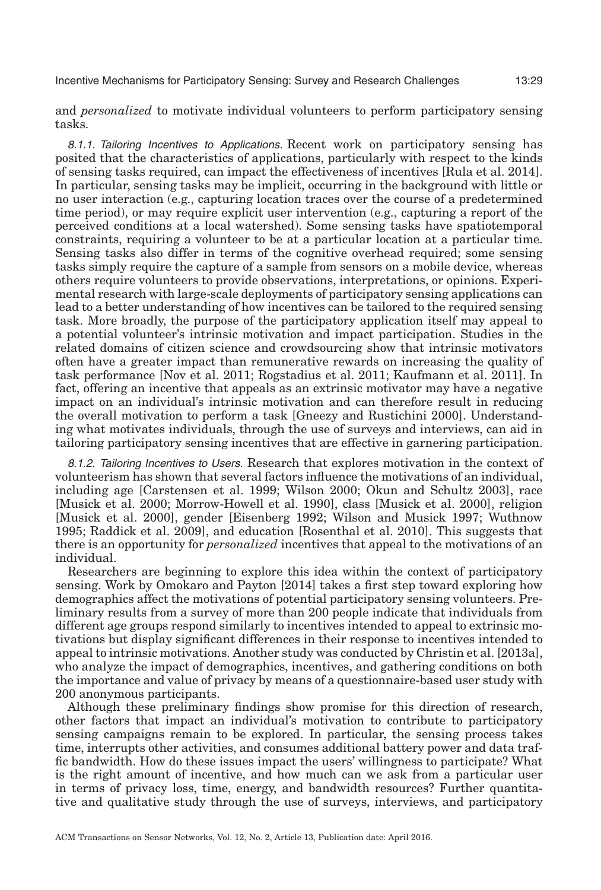and *personalized* to motivate individual volunteers to perform participatory sensing tasks.

8.1.1. Tailoring Incentives to Applications. Recent work on participatory sensing has posited that the characteristics of applications, particularly with respect to the kinds of sensing tasks required, can impact the effectiveness of incentives [Rula et al. [2014\]](#page-37-11). In particular, sensing tasks may be implicit, occurring in the background with little or no user interaction (e.g., capturing location traces over the course of a predetermined time period), or may require explicit user intervention (e.g., capturing a report of the perceived conditions at a local watershed). Some sensing tasks have spatiotemporal constraints, requiring a volunteer to be at a particular location at a particular time. Sensing tasks also differ in terms of the cognitive overhead required; some sensing tasks simply require the capture of a sample from sensors on a mobile device, whereas others require volunteers to provide observations, interpretations, or opinions. Experimental research with large-scale deployments of participatory sensing applications can lead to a better understanding of how incentives can be tailored to the required sensing task. More broadly, the purpose of the participatory application itself may appeal to a potential volunteer's intrinsic motivation and impact participation. Studies in the related domains of citizen science and crowdsourcing show that intrinsic motivators often have a greater impact than remunerative rewards on increasing the quality of task performance [Nov et al. [2011;](#page-36-15) Rogstadius et al. [2011;](#page-37-12) Kaufmann et al. [2011\]](#page-35-16). In fact, offering an incentive that appeals as an extrinsic motivator may have a negative impact on an individual's intrinsic motivation and can therefore result in reducing the overall motivation to perform a task [Gneezy and Rustichini [2000\]](#page-34-15). Understanding what motivates individuals, through the use of surveys and interviews, can aid in tailoring participatory sensing incentives that are effective in garnering participation.

8.1.2. Tailoring Incentives to Users. Research that explores motivation in the context of volunteerism has shown that several factors influence the motivations of an individual, including age [Carstensen et al. [1999;](#page-33-13) Wilson [2000;](#page-38-13) Okun and Schultz [2003\]](#page-36-16), race [Musick et al. [2000;](#page-36-17) Morrow-Howell et al. [1990\]](#page-36-18), class [Musick et al. [2000\]](#page-36-17), religion [Musick et al. [2000\]](#page-36-17), gender [Eisenberg [1992;](#page-33-14) Wilson and Musick [1997;](#page-38-14) Wuthnow [1995;](#page-38-15) Raddick et al. [2009\]](#page-37-13), and education [Rosenthal et al. [2010\]](#page-37-14). This suggests that there is an opportunity for *personalized* incentives that appeal to the motivations of an individual.

Researchers are beginning to explore this idea within the context of participatory sensing. Work by Omokaro and Payton [\[2014\]](#page-36-14) takes a first step toward exploring how demographics affect the motivations of potential participatory sensing volunteers. Preliminary results from a survey of more than 200 people indicate that individuals from different age groups respond similarly to incentives intended to appeal to extrinsic motivations but display significant differences in their response to incentives intended to appeal to intrinsic motivations. Another study was conducted by Christin et al. [\[2013a\]](#page-33-12), who analyze the impact of demographics, incentives, and gathering conditions on both the importance and value of privacy by means of a questionnaire-based user study with 200 anonymous participants.

Although these preliminary findings show promise for this direction of research, other factors that impact an individual's motivation to contribute to participatory sensing campaigns remain to be explored. In particular, the sensing process takes time, interrupts other activities, and consumes additional battery power and data traffic bandwidth. How do these issues impact the users' willingness to participate? What is the right amount of incentive, and how much can we ask from a particular user in terms of privacy loss, time, energy, and bandwidth resources? Further quantitative and qualitative study through the use of surveys, interviews, and participatory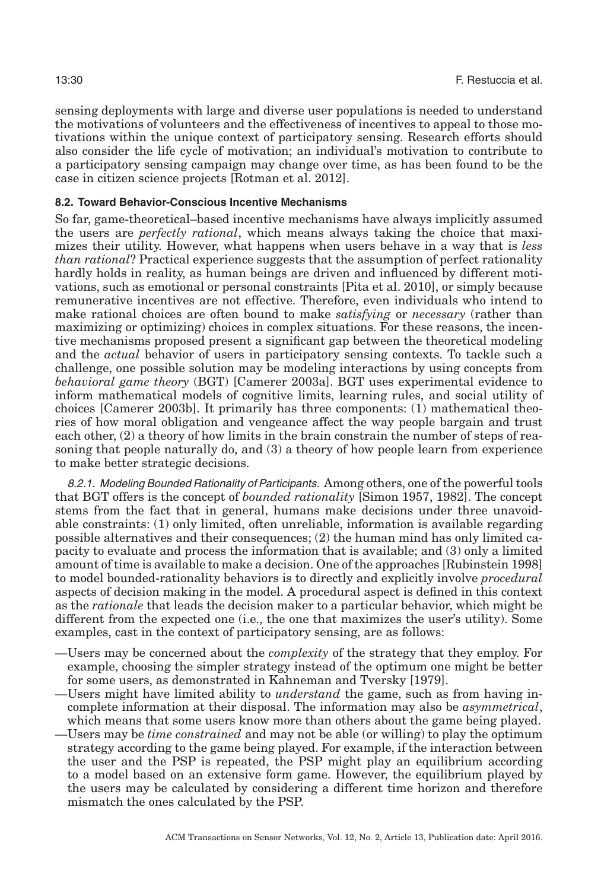sensing deployments with large and diverse user populations is needed to understand the motivations of volunteers and the effectiveness of incentives to appeal to those motivations within the unique context of participatory sensing. Research efforts should also consider the life cycle of motivation; an individual's motivation to contribute to a participatory sensing campaign may change over time, as has been found to be the case in citizen science projects [Rotman et al. [2012\]](#page-37-15).

# **8.2. Toward Behavior-Conscious Incentive Mechanisms**

So far, game-theoretical–based incentive mechanisms have always implicitly assumed the users are *perfectly rational*, which means always taking the choice that maximizes their utility. However, what happens when users behave in a way that is *less than rational*? Practical experience suggests that the assumption of perfect rationality hardly holds in reality, as human beings are driven and influenced by different motivations, such as emotional or personal constraints [Pita et al. [2010\]](#page-37-16), or simply because remunerative incentives are not effective. Therefore, even individuals who intend to make rational choices are often bound to make *satisfying* or *necessary* (rather than maximizing or optimizing) choices in complex situations. For these reasons, the incentive mechanisms proposed present a significant gap between the theoretical modeling and the *actual* behavior of users in participatory sensing contexts. To tackle such a challenge, one possible solution may be modeling interactions by using concepts from *behavioral game theory* (BGT) [Camerer [2003a\]](#page-33-15). BGT uses experimental evidence to inform mathematical models of cognitive limits, learning rules, and social utility of choices [Camerer [2003b\]](#page-33-16). It primarily has three components: (1) mathematical theories of how moral obligation and vengeance affect the way people bargain and trust each other, (2) a theory of how limits in the brain constrain the number of steps of reasoning that people naturally do, and (3) a theory of how people learn from experience to make better strategic decisions.

8.2.1. Modeling Bounded Rationality of Participants. Among others, one of the powerful tools that BGT offers is the concept of *bounded rationality* [Simon [1957,](#page-37-17) [1982\]](#page-37-18). The concept stems from the fact that in general, humans make decisions under three unavoidable constraints: (1) only limited, often unreliable, information is available regarding possible alternatives and their consequences; (2) the human mind has only limited capacity to evaluate and process the information that is available; and (3) only a limited amount of time is available to make a decision. One of the approaches [Rubinstein [1998\]](#page-37-19) to model bounded-rationality behaviors is to directly and explicitly involve *procedural* aspects of decision making in the model. A procedural aspect is defined in this context as the *rationale* that leads the decision maker to a particular behavior, which might be different from the expected one (i.e., the one that maximizes the user's utility). Some examples, cast in the context of participatory sensing, are as follows:

- —Users may be concerned about the *complexity* of the strategy that they employ. For example, choosing the simpler strategy instead of the optimum one might be better for some users, as demonstrated in Kahneman and Tversky [\[1979\]](#page-35-17).
- —Users might have limited ability to *understand* the game, such as from having incomplete information at their disposal. The information may also be *asymmetrical*, which means that some users know more than others about the game being played.
- —Users may be *time constrained* and may not be able (or willing) to play the optimum strategy according to the game being played. For example, if the interaction between the user and the PSP is repeated, the PSP might play an equilibrium according to a model based on an extensive form game. However, the equilibrium played by the users may be calculated by considering a different time horizon and therefore mismatch the ones calculated by the PSP.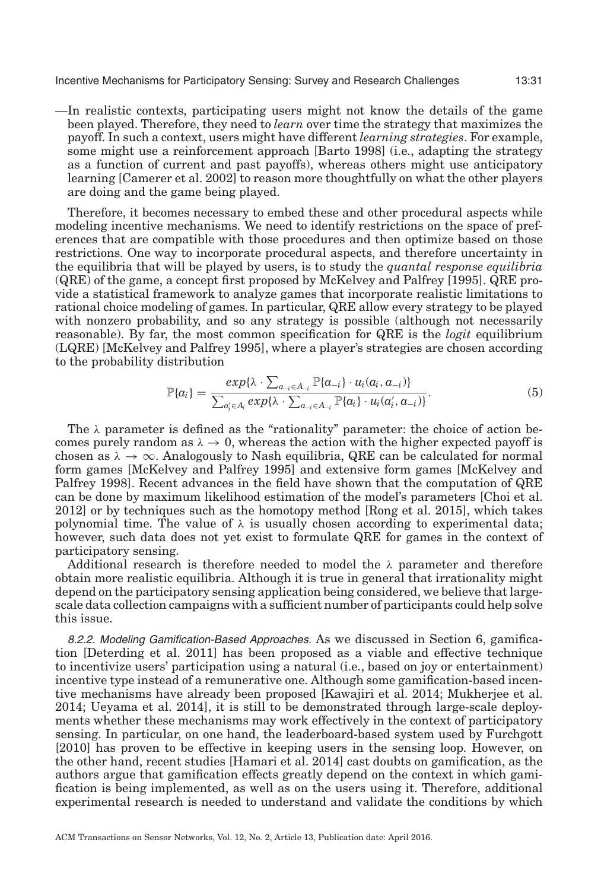—In realistic contexts, participating users might not know the details of the game been played. Therefore, they need to *learn* over time the strategy that maximizes the payoff. In such a context, users might have different *learning strategies*. For example, some might use a reinforcement approach [Barto [1998\]](#page-32-9) (i.e., adapting the strategy as a function of current and past payoffs), whereas others might use anticipatory learning [Camerer et al. [2002\]](#page-33-17) to reason more thoughtfully on what the other players are doing and the game being played.

Therefore, it becomes necessary to embed these and other procedural aspects while modeling incentive mechanisms. We need to identify restrictions on the space of preferences that are compatible with those procedures and then optimize based on those restrictions. One way to incorporate procedural aspects, and therefore uncertainty in the equilibria that will be played by users, is to study the *quantal response equilibria* (QRE) of the game, a concept first proposed by McKelvey and Palfrey [\[1995\]](#page-36-19). QRE provide a statistical framework to analyze games that incorporate realistic limitations to rational choice modeling of games. In particular, QRE allow every strategy to be played with nonzero probability, and so any strategy is possible (although not necessarily reasonable). By far, the most common specification for QRE is the *logit* equilibrium (LQRE) [McKelvey and Palfrey [1995\]](#page-36-19), where a player's strategies are chosen according to the probability distribution

$$
\mathbb{P}\{a_i\} = \frac{exp\{\lambda \cdot \sum_{a_{-i} \in A_i} \mathbb{P}\{a_{-i}\} \cdot u_i(a_i, a_{-i})\}}{\sum_{a'_i \in A_i} exp\{\lambda \cdot \sum_{a_{-i} \in A_{-i}} \mathbb{P}\{a_i\} \cdot u_i(a'_i, a_{-i})\}}.
$$
(5)

The  $\lambda$  parameter is defined as the "rationality" parameter: the choice of action becomes purely random as  $\lambda \to 0$ , whereas the action with the higher expected payoff is chosen as  $\lambda \to \infty$ . Analogously to Nash equilibria, QRE can be calculated for normal form games [McKelvey and Palfrey [1995\]](#page-36-19) and extensive form games [McKelvey and Palfrey [1998\]](#page-36-20). Recent advances in the field have shown that the computation of QRE can be done by maximum likelihood estimation of the model's parameters [Choi et al. [2012\]](#page-33-18) or by techniques such as the homotopy method [Rong et al. [2015\]](#page-37-20), which takes polynomial time. The value of  $\lambda$  is usually chosen according to experimental data; however, such data does not yet exist to formulate QRE for games in the context of participatory sensing.

Additional research is therefore needed to model the  $\lambda$  parameter and therefore obtain more realistic equilibria. Although it is true in general that irrationality might depend on the participatory sensing application being considered, we believe that largescale data collection campaigns with a sufficient number of participants could help solve this issue.

8.2.2. Modeling Gamification-Based Approaches. As we discussed in Section [6,](#page-10-0) gamification [Deterding et al. [2011\]](#page-33-9) has been proposed as a viable and effective technique to incentivize users' participation using a natural (i.e., based on joy or entertainment) incentive type instead of a remunerative one. Although some gamification-based incentive mechanisms have already been proposed [Kawajiri et al. [2014;](#page-35-10) Mukherjee et al. [2014;](#page-36-10) Ueyama et al. [2014\]](#page-38-5), it is still to be demonstrated through large-scale deployments whether these mechanisms may work effectively in the context of participatory sensing. In particular, on one hand, the leaderboard-based system used by Furchgott [\[2010\]](#page-34-10) has proven to be effective in keeping users in the sensing loop. However, on the other hand, recent studies [Hamari et al. [2014\]](#page-34-16) cast doubts on gamification, as the authors argue that gamification effects greatly depend on the context in which gamification is being implemented, as well as on the users using it. Therefore, additional experimental research is needed to understand and validate the conditions by which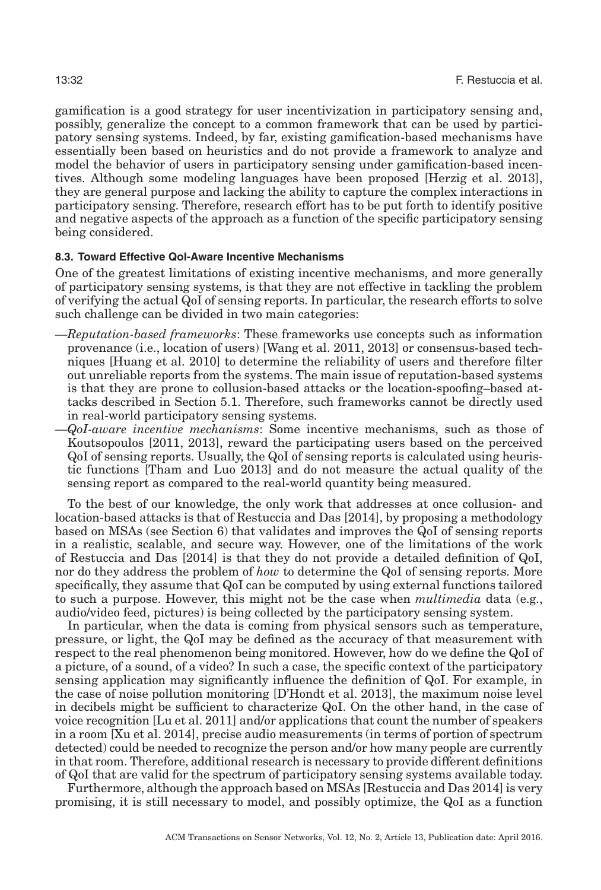gamification is a good strategy for user incentivization in participatory sensing and, possibly, generalize the concept to a common framework that can be used by participatory sensing systems. Indeed, by far, existing gamification-based mechanisms have essentially been based on heuristics and do not provide a framework to analyze and model the behavior of users in participatory sensing under gamification-based incentives. Although some modeling languages have been proposed [Herzig et al. [2013\]](#page-34-17), they are general purpose and lacking the ability to capture the complex interactions in participatory sensing. Therefore, research effort has to be put forth to identify positive and negative aspects of the approach as a function of the specific participatory sensing being considered.

#### **8.3. Toward Effective QoI-Aware Incentive Mechanisms**

One of the greatest limitations of existing incentive mechanisms, and more generally of participatory sensing systems, is that they are not effective in tackling the problem of verifying the actual QoI of sensing reports. In particular, the research efforts to solve such challenge can be divided in two main categories:

- —*Reputation-based frameworks*: These frameworks use concepts such as information provenance (i.e., location of users) [Wang et al. [2011,](#page-38-16) [2013\]](#page-38-4) or consensus-based techniques [Huang et al. [2010\]](#page-34-4) to determine the reliability of users and therefore filter out unreliable reports from the systems. The main issue of reputation-based systems is that they are prone to collusion-based attacks or the location-spoofing–based attacks described in Section [5.1.](#page-9-0) Therefore, such frameworks cannot be directly used in real-world participatory sensing systems.
- —*QoI-aware incentive mechanisms*: Some incentive mechanisms, such as those of Koutsopoulos [2011, 2013], reward the participating users based on the perceived QoI of sensing reports. Usually, the QoI of sensing reports is calculated using heuristic functions [Tham and Luo [2013\]](#page-38-17) and do not measure the actual quality of the sensing report as compared to the real-world quantity being measured.

To the best of our knowledge, the only work that addresses at once collusion- and location-based attacks is that of Restuccia and Das [\[2014\]](#page-37-1), by proposing a methodology based on MSAs (see Section [6\)](#page-10-0) that validates and improves the QoI of sensing reports in a realistic, scalable, and secure way. However, one of the limitations of the work of Restuccia and Das [\[2014\]](#page-37-1) is that they do not provide a detailed definition of QoI, nor do they address the problem of *how* to determine the QoI of sensing reports. More specifically, they assume that QoI can be computed by using external functions tailored to such a purpose. However, this might not be the case when *multimedia* data (e.g., audio/video feed, pictures) is being collected by the participatory sensing system.

In particular, when the data is coming from physical sensors such as temperature, pressure, or light, the QoI may be defined as the accuracy of that measurement with respect to the real phenomenon being monitored. However, how do we define the QoI of a picture, of a sound, of a video? In such a case, the specific context of the participatory sensing application may significantly influence the definition of QoI. For example, in the case of noise pollution monitoring [D'Hondt et al. [2013\]](#page-33-2), the maximum noise level in decibels might be sufficient to characterize QoI. On the other hand, in the case of voice recognition [Lu et al. [2011\]](#page-35-18) and/or applications that count the number of speakers in a room [Xu et al. [2014\]](#page-38-18), precise audio measurements (in terms of portion of spectrum detected) could be needed to recognize the person and/or how many people are currently in that room. Therefore, additional research is necessary to provide different definitions of QoI that are valid for the spectrum of participatory sensing systems available today.

Furthermore, although the approach based on MSAs [Restuccia and Das [2014\]](#page-37-1) is very promising, it is still necessary to model, and possibly optimize, the QoI as a function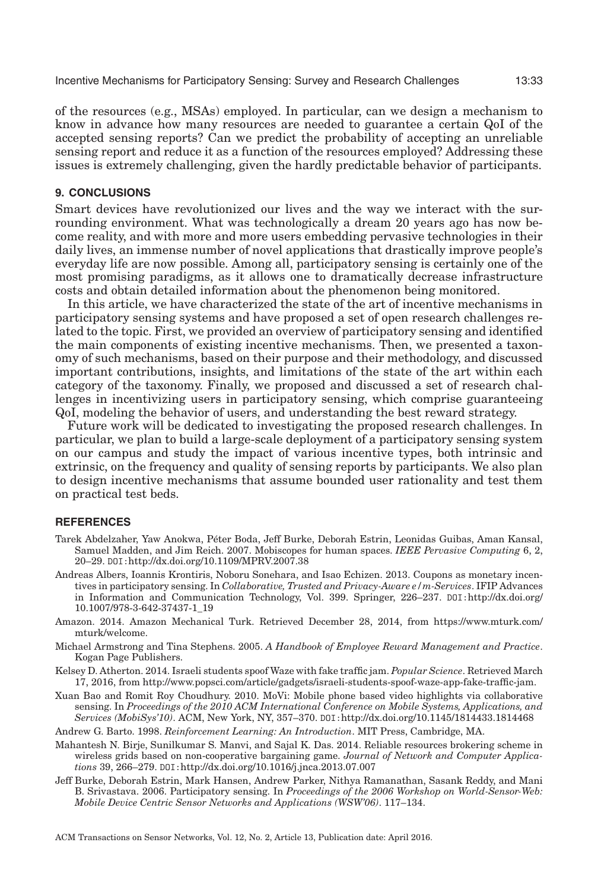of the resources (e.g., MSAs) employed. In particular, can we design a mechanism to know in advance how many resources are needed to guarantee a certain QoI of the accepted sensing reports? Can we predict the probability of accepting an unreliable sensing report and reduce it as a function of the resources employed? Addressing these issues is extremely challenging, given the hardly predictable behavior of participants.

# <span id="page-32-4"></span>**9. CONCLUSIONS**

Smart devices have revolutionized our lives and the way we interact with the surrounding environment. What was technologically a dream 20 years ago has now become reality, and with more and more users embedding pervasive technologies in their daily lives, an immense number of novel applications that drastically improve people's everyday life are now possible. Among all, participatory sensing is certainly one of the most promising paradigms, as it allows one to dramatically decrease infrastructure costs and obtain detailed information about the phenomenon being monitored.

In this article, we have characterized the state of the art of incentive mechanisms in participatory sensing systems and have proposed a set of open research challenges related to the topic. First, we provided an overview of participatory sensing and identified the main components of existing incentive mechanisms. Then, we presented a taxonomy of such mechanisms, based on their purpose and their methodology, and discussed important contributions, insights, and limitations of the state of the art within each category of the taxonomy. Finally, we proposed and discussed a set of research challenges in incentivizing users in participatory sensing, which comprise guaranteeing QoI, modeling the behavior of users, and understanding the best reward strategy.

Future work will be dedicated to investigating the proposed research challenges. In particular, we plan to build a large-scale deployment of a participatory sensing system on our campus and study the impact of various incentive types, both intrinsic and extrinsic, on the frequency and quality of sensing reports by participants. We also plan to design incentive mechanisms that assume bounded user rationality and test them on practical test beds.

#### **REFERENCES**

- <span id="page-32-0"></span>Tarek Abdelzaher, Yaw Anokwa, Peter Boda, Jeff Burke, Deborah Estrin, Leonidas Guibas, Aman Kansal, ´ Samuel Madden, and Jim Reich. 2007. Mobiscopes for human spaces. *IEEE Pervasive Computing* 6, 2, 20–29. DOI:<http://dx.doi.org/10.1109/MPRV.2007.38>
- <span id="page-32-3"></span>Andreas Albers, Ioannis Krontiris, Noboru Sonehara, and Isao Echizen. 2013. Coupons as monetary incentives in participatory sensing. In *Collaborative, Trusted and Privacy-Aware e/m-Services*. IFIP Advances in Information and Communication Technology, Vol. 399. Springer, 226–237. DOI:[http://dx.doi.org/](http://dx.doi.org/10.1007/978-3-642-37437-119) [10.1007/978-3-642-37437-1\\_19](http://dx.doi.org/10.1007/978-3-642-37437-119)
- <span id="page-32-6"></span>Amazon. 2014. Amazon Mechanical Turk. Retrieved December 28, 2014, from [https://www.mturk.com/](https://www.mturk.com/mturk/welcome) [mturk/welcome.](https://www.mturk.com/mturk/welcome)
- <span id="page-32-5"></span>Michael Armstrong and Tina Stephens. 2005. *A Handbook of Employee Reward Management and Practice*. Kogan Page Publishers.
- <span id="page-32-7"></span>Kelsey D. Atherton. 2014. Israeli students spoof Waze with fake traffic jam. *Popular Science*. Retrieved March 17, 2016, from [http://www.popsci.com/article/gadgets/israeli-students-spoof-waze-app-fake-traffic-jam.](http://www.popsci.com/article/gadgets/israeli-students-spoof-waze-app-fake-traffic-jam)
- <span id="page-32-2"></span>Xuan Bao and Romit Roy Choudhury. 2010. MoVi: Mobile phone based video highlights via collaborative sensing. In *Proceedings of the 2010 ACM International Conference on Mobile Systems, Applications, and Services (MobiSys'10)*. ACM, New York, NY, 357–370. DOI:<http://dx.doi.org/10.1145/1814433.1814468>
- <span id="page-32-9"></span>Andrew G. Barto. 1998. *Reinforcement Learning: An Introduction*. MIT Press, Cambridge, MA.
- <span id="page-32-8"></span>Mahantesh N. Birje, Sunilkumar S. Manvi, and Sajal K. Das. 2014. Reliable resources brokering scheme in wireless grids based on non-cooperative bargaining game. *Journal of Network and Computer Applications* 39, 266–279. DOI:<http://dx.doi.org/10.1016/j.jnca.2013.07.007>
- <span id="page-32-1"></span>Jeff Burke, Deborah Estrin, Mark Hansen, Andrew Parker, Nithya Ramanathan, Sasank Reddy, and Mani B. Srivastava. 2006. Participatory sensing. In *Proceedings of the 2006 Workshop on World-Sensor-Web: Mobile Device Centric Sensor Networks and Applications (WSW'06)*. 117–134.

ACM Transactions on Sensor Networks, Vol. 12, No. 2, Article 13, Publication date: April 2016.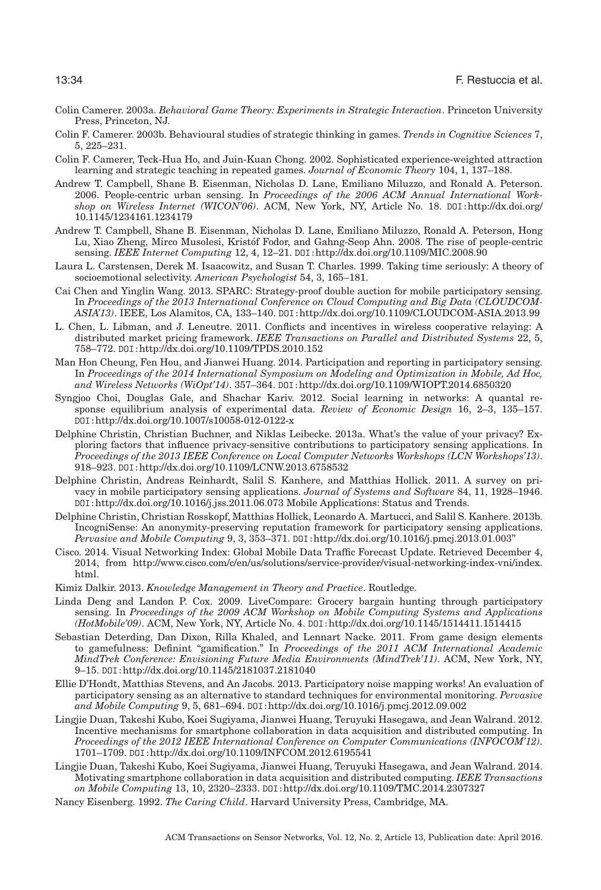- <span id="page-33-15"></span>Colin Camerer. 2003a. *Behavioral Game Theory: Experiments in Strategic Interaction*. Princeton University Press, Princeton, NJ.
- <span id="page-33-16"></span>Colin F. Camerer. 2003b. Behavioural studies of strategic thinking in games. *Trends in Cognitive Sciences* 7, 5, 225–231.
- <span id="page-33-17"></span>Colin F. Camerer, Teck-Hua Ho, and Juin-Kuan Chong. 2002. Sophisticated experience-weighted attraction learning and strategic teaching in repeated games. *Journal of Economic Theory* 104, 1, 137–188.
- <span id="page-33-1"></span>Andrew T. Campbell, Shane B. Eisenman, Nicholas D. Lane, Emiliano Miluzzo, and Ronald A. Peterson. 2006. People-centric urban sensing. In *Proceedings of the 2006 ACM Annual International Workshop on Wireless Internet (WICON'06)*. ACM, New York, NY, Article No. 18. DOI:[http://dx.doi.org/](http://dx.doi.org/10.1145/1234161.1234179) [10.1145/1234161.1234179](http://dx.doi.org/10.1145/1234161.1234179)
- Andrew T. Campbell, Shane B. Eisenman, Nicholas D. Lane, Emiliano Miluzzo, Ronald A. Peterson, Hong Lu, Xiao Zheng, Mirco Musolesi, Kristof Fodor, and Gahng-Seop Ahn. 2008. The rise of people-centric ´ sensing. *IEEE Internet Computing* 12, 4, 12–21. DOI:<http://dx.doi.org/10.1109/MIC.2008.90>
- <span id="page-33-13"></span>Laura L. Carstensen, Derek M. Isaacowitz, and Susan T. Charles. 1999. Taking time seriously: A theory of socioemotional selectivity. *American Psychologist* 54, 3, 165–181.
- Cai Chen and Yinglin Wang. 2013. SPARC: Strategy-proof double auction for mobile participatory sensing. In *Proceedings of the 2013 International Conference on Cloud Computing and Big Data (CLOUDCOM-ASIA'13)*. IEEE, Los Alamitos, CA, 133–140. DOI:<http://dx.doi.org/10.1109/CLOUDCOM-ASIA.2013.99>
- <span id="page-33-5"></span>L. Chen, L. Libman, and J. Leneutre. 2011. Conflicts and incentives in wireless cooperative relaying: A distributed market pricing framework. *IEEE Transactions on Parallel and Distributed Systems* 22, 5, 758–772. DOI:<http://dx.doi.org/10.1109/TPDS.2010.152>
- <span id="page-33-10"></span>Man Hon Cheung, Fen Hou, and Jianwei Huang. 2014. Participation and reporting in participatory sensing. In *Proceedings of the 2014 International Symposium on Modeling and Optimization in Mobile, Ad Hoc, and Wireless Networks (WiOpt'14)*. 357–364. DOI:<http://dx.doi.org/10.1109/WIOPT.2014.6850320>
- <span id="page-33-18"></span>Syngjoo Choi, Douglas Gale, and Shachar Kariv. 2012. Social learning in networks: A quantal response equilibrium analysis of experimental data. *Review of Economic Design* 16, 2–3, 135–157. DOI:<http://dx.doi.org/10.1007/s10058-012-0122-x>
- <span id="page-33-12"></span>Delphine Christin, Christian Buchner, and Niklas Leibecke. 2013a. What's the value of your privacy? Exploring factors that influence privacy-sensitive contributions to participatory sensing applications. In *Proceedings of the 2013 IEEE Conference on Local Computer Networks Workshops (LCN Workshops'13)*. 918–923. DOI:<http://dx.doi.org/10.1109/LCNW.2013.6758532>
- <span id="page-33-3"></span>Delphine Christin, Andreas Reinhardt, Salil S. Kanhere, and Matthias Hollick. 2011. A survey on privacy in mobile participatory sensing applications. *Journal of Systems and Software* 84, 11, 1928–1946. DOI:<http://dx.doi.org/10.1016/j.jss.2011.06.073> Mobile Applications: Status and Trends.
- <span id="page-33-11"></span>Delphine Christin, Christian Rosskopf, Matthias Hollick, Leonardo A. Martucci, and Salil S. Kanhere. 2013b. IncogniSense: An anonymity-preserving reputation framework for participatory sensing applications. *Pervasive and Mobile Computing* 9, 3, 353–371. DOI:[http://dx.doi.org/10.1016/j.pmcj.2013.01.003"](http://dx.doi.org/10.1016/j.pmcj.2013.01.003)
- <span id="page-33-0"></span>Cisco. 2014. Visual Networking Index: Global Mobile Data Traffic Forecast Update. Retrieved December 4, 2014, from [http://www.cisco.com/c/en/us/solutions/service-provider/visual-networking-index-vni/index.](http://www.cisco.com/c/en/us/solutions/service-provider/visual-networking-index-vni/index.html) [html.](http://www.cisco.com/c/en/us/solutions/service-provider/visual-networking-index-vni/index.html)
- <span id="page-33-4"></span>Kimiz Dalkir. 2013. *Knowledge Management in Theory and Practice*. Routledge.
- <span id="page-33-8"></span>Linda Deng and Landon P. Cox. 2009. LiveCompare: Grocery bargain hunting through participatory sensing. In *Proceedings of the 2009 ACM Workshop on Mobile Computing Systems and Applications (HotMobile'09)*. ACM, New York, NY, Article No. 4. DOI:<http://dx.doi.org/10.1145/1514411.1514415>
- <span id="page-33-9"></span>Sebastian Deterding, Dan Dixon, Rilla Khaled, and Lennart Nacke. 2011. From game design elements to gamefulness: Definint "gamification." In *Proceedings of the 2011 ACM International Academic MindTrek Conference: Envisioning Future Media Environments (MindTrek'11)*. ACM, New York, NY, 9–15. DOI:<http://dx.doi.org/10.1145/2181037.2181040>
- <span id="page-33-2"></span>Ellie D'Hondt, Matthias Stevens, and An Jacobs. 2013. Participatory noise mapping works! An evaluation of participatory sensing as an alternative to standard techniques for environmental monitoring. *Pervasive and Mobile Computing* 9, 5, 681–694. DOI:<http://dx.doi.org/10.1016/j.pmcj.2012.09.002>
- <span id="page-33-7"></span>Lingjie Duan, Takeshi Kubo, Koei Sugiyama, Jianwei Huang, Teruyuki Hasegawa, and Jean Walrand. 2012. Incentive mechanisms for smartphone collaboration in data acquisition and distributed computing. In *Proceedings of the 2012 IEEE International Conference on Computer Communications (INFOCOM'12)*. 1701–1709. DOI:<http://dx.doi.org/10.1109/INFCOM.2012.6195541>
- <span id="page-33-6"></span>Lingjie Duan, Takeshi Kubo, Koei Sugiyama, Jianwei Huang, Teruyuki Hasegawa, and Jean Walrand. 2014. Motivating smartphone collaboration in data acquisition and distributed computing. *IEEE Transactions on Mobile Computing* 13, 10, 2320–2333. DOI:<http://dx.doi.org/10.1109/TMC.2014.2307327>
- <span id="page-33-14"></span>Nancy Eisenberg. 1992. *The Caring Child*. Harvard University Press, Cambridge, MA.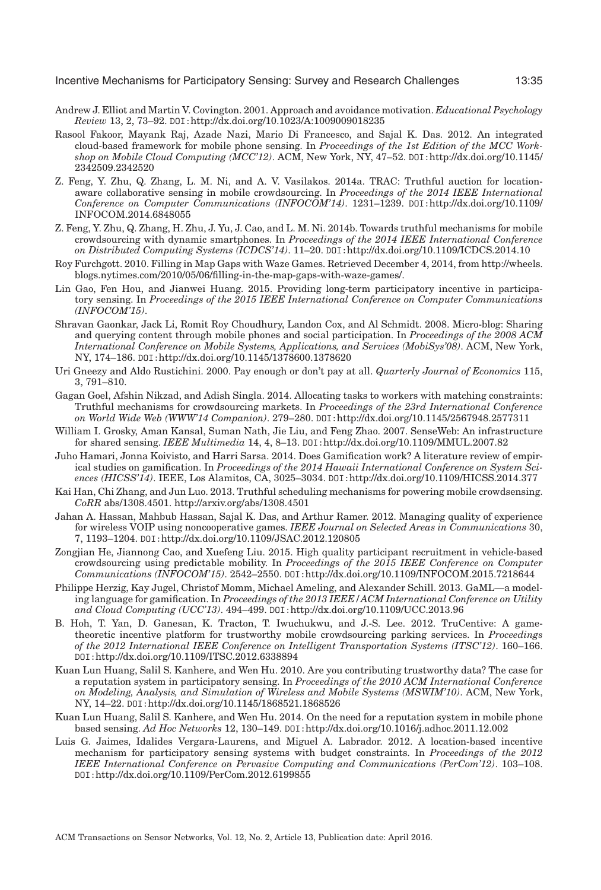- <span id="page-34-5"></span>Andrew J. Elliot and Martin V. Covington. 2001. Approach and avoidance motivation. *Educational Psychology Review* 13, 2, 73–92. DOI:<http://dx.doi.org/10.1023/A:1009009018235>
- <span id="page-34-1"></span>Rasool Fakoor, Mayank Raj, Azade Nazi, Mario Di Francesco, and Sajal K. Das. 2012. An integrated cloud-based framework for mobile phone sensing. In *Proceedings of the 1st Edition of the MCC Workshop on Mobile Cloud Computing (MCC'12)*. ACM, New York, NY, 47–52. DOI:[http://dx.doi.org/10.1145/](http://dx.doi.org/10.1145/2342509.2342520) [2342509.2342520](http://dx.doi.org/10.1145/2342509.2342520)
- <span id="page-34-6"></span>Z. Feng, Y. Zhu, Q. Zhang, L. M. Ni, and A. V. Vasilakos. 2014a. TRAC: Truthful auction for locationaware collaborative sensing in mobile crowdsourcing. In *Proceedings of the 2014 IEEE International Conference on Computer Communications (INFOCOM'14)*. 1231–1239. DOI:[http://dx.doi.org/10.1109/](http://dx.doi.org/10.1109/INFOCOM.2014.6848055) [INFOCOM.2014.6848055](http://dx.doi.org/10.1109/INFOCOM.2014.6848055)
- <span id="page-34-7"></span>Z. Feng, Y. Zhu, Q. Zhang, H. Zhu, J. Yu, J. Cao, and L. M. Ni. 2014b. Towards truthful mechanisms for mobile crowdsourcing with dynamic smartphones. In *Proceedings of the 2014 IEEE International Conference on Distributed Computing Systems (ICDCS'14)*. 11–20. DOI:<http://dx.doi.org/10.1109/ICDCS.2014.10>
- <span id="page-34-10"></span>Roy Furchgott. 2010. Filling in Map Gaps with Waze Games. Retrieved December 4, 2014, from [http://wheels.](http://wheels.blogs.nytimes.com/2010/05/06/filling-in-the-map-gaps-with-waze-games/) [blogs.nytimes.com/2010/05/06/filling-in-the-map-gaps-with-waze-games/.](http://wheels.blogs.nytimes.com/2010/05/06/filling-in-the-map-gaps-with-waze-games/)
- <span id="page-34-13"></span>Lin Gao, Fen Hou, and Jianwei Huang. 2015. Providing long-term participatory incentive in participatory sensing. In *Proceedings of the 2015 IEEE International Conference on Computer Communications (INFOCOM'15)*.
- <span id="page-34-2"></span>Shravan Gaonkar, Jack Li, Romit Roy Choudhury, Landon Cox, and Al Schmidt. 2008. Micro-blog: Sharing and querying content through mobile phones and social participation. In *Proceedings of the 2008 ACM International Conference on Mobile Systems, Applications, and Services (MobiSys'08)*. ACM, New York, NY, 174–186. DOI:<http://dx.doi.org/10.1145/1378600.1378620>
- <span id="page-34-15"></span>Uri Gneezy and Aldo Rustichini. 2000. Pay enough or don't pay at all. *Quarterly Journal of Economics* 115, 3, 791–810.
- Gagan Goel, Afshin Nikzad, and Adish Singla. 2014. Allocating tasks to workers with matching constraints: Truthful mechanisms for crowdsourcing markets. In *Proceedings of the 23rd International Conference on World Wide Web (WWW'14 Companion)*. 279–280. DOI:<http://dx.doi.org/10.1145/2567948.2577311>
- <span id="page-34-3"></span>William I. Grosky, Aman Kansal, Suman Nath, Jie Liu, and Feng Zhao. 2007. SenseWeb: An infrastructure for shared sensing. *IEEE Multimedia* 14, 4, 8–13. DOI:<http://dx.doi.org/10.1109/MMUL.2007.82>
- <span id="page-34-16"></span>Juho Hamari, Jonna Koivisto, and Harri Sarsa. 2014. Does Gamification work? A literature review of empirical studies on gamification. In *Proceedings of the 2014 Hawaii International Conference on System Sciences (HICSS'14)*. IEEE, Los Alamitos, CA, 3025–3034. DOI:<http://dx.doi.org/10.1109/HICSS.2014.377>
- <span id="page-34-8"></span>Kai Han, Chi Zhang, and Jun Luo. 2013. Truthful scheduling mechanisms for powering mobile crowdsensing. *CoRR* abs/1308.4501.<http://arxiv.org/abs/1308.4501>
- <span id="page-34-14"></span>Jahan A. Hassan, Mahbub Hassan, Sajal K. Das, and Arthur Ramer. 2012. Managing quality of experience for wireless VOIP using noncooperative games. *IEEE Journal on Selected Areas in Communications* 30, 7, 1193–1204. DOI:<http://dx.doi.org/10.1109/JSAC.2012.120805>
- <span id="page-34-11"></span>Zongjian He, Jiannong Cao, and Xuefeng Liu. 2015. High quality participant recruitment in vehicle-based crowdsourcing using predictable mobility. In *Proceedings of the 2015 IEEE Conference on Computer Communications (INFOCOM'15)*. 2542–2550. DOI:<http://dx.doi.org/10.1109/INFOCOM.2015.7218644>
- <span id="page-34-17"></span>Philippe Herzig, Kay Jugel, Christof Momm, Michael Ameling, and Alexander Schill. 2013. GaML—a modeling language for gamification. In *Proceedings of the 2013 IEEE/ACM International Conference on Utility and Cloud Computing (UCC'13)*. 494–499. DOI:<http://dx.doi.org/10.1109/UCC.2013.96>
- <span id="page-34-9"></span>B. Hoh, T. Yan, D. Ganesan, K. Tracton, T. Iwuchukwu, and J.-S. Lee. 2012. TruCentive: A gametheoretic incentive platform for trustworthy mobile crowdsourcing parking services. In *Proceedings of the 2012 International IEEE Conference on Intelligent Transportation Systems (ITSC'12)*. 160–166. DOI:<http://dx.doi.org/10.1109/ITSC.2012.6338894>
- <span id="page-34-4"></span>Kuan Lun Huang, Salil S. Kanhere, and Wen Hu. 2010. Are you contributing trustworthy data? The case for a reputation system in participatory sensing. In *Proceedings of the 2010 ACM International Conference on Modeling, Analysis, and Simulation of Wireless and Mobile Systems (MSWIM'10)*. ACM, New York, NY, 14–22. DOI:<http://dx.doi.org/10.1145/1868521.1868526>
- <span id="page-34-12"></span>Kuan Lun Huang, Salil S. Kanhere, and Wen Hu. 2014. On the need for a reputation system in mobile phone based sensing. *Ad Hoc Networks* 12, 130–149. DOI:<http://dx.doi.org/10.1016/j.adhoc.2011.12.002>
- <span id="page-34-0"></span>Luis G. Jaimes, Idalides Vergara-Laurens, and Miguel A. Labrador. 2012. A location-based incentive mechanism for participatory sensing systems with budget constraints. In *Proceedings of the 2012 IEEE International Conference on Pervasive Computing and Communications (PerCom'12)*. 103–108. DOI:<http://dx.doi.org/10.1109/PerCom.2012.6199855>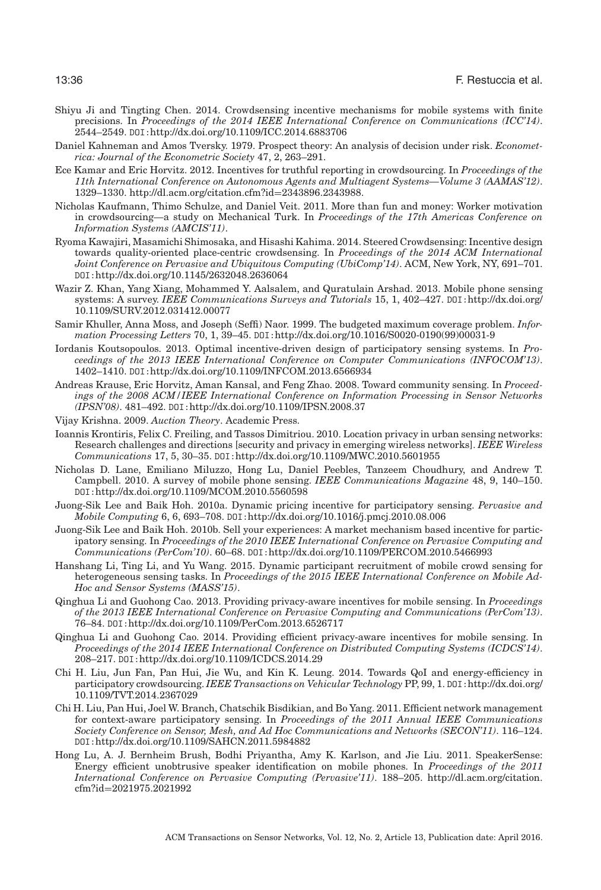- <span id="page-35-6"></span>Shiyu Ji and Tingting Chen. 2014. Crowdsensing incentive mechanisms for mobile systems with finite precisions. In *Proceedings of the 2014 IEEE International Conference on Communications (ICC'14)*. 2544–2549. DOI:<http://dx.doi.org/10.1109/ICC.2014.6883706>
- <span id="page-35-17"></span>Daniel Kahneman and Amos Tversky. 1979. Prospect theory: An analysis of decision under risk. *Econometrica: Journal of the Econometric Society* 47, 2, 263–291.
- Ece Kamar and Eric Horvitz. 2012. Incentives for truthful reporting in crowdsourcing. In *Proceedings of the 11th International Conference on Autonomous Agents and Multiagent Systems—Volume 3 (AAMAS'12)*. 1329–1330. [http://dl.acm.org/citation.cfm?id](http://dl.acm.org/citation.cfm?id$=$2343896.2343988)=2343896.2343988.
- <span id="page-35-16"></span>Nicholas Kaufmann, Thimo Schulze, and Daniel Veit. 2011. More than fun and money: Worker motivation in crowdsourcing—a study on Mechanical Turk. In *Proceedings of the 17th Americas Conference on Information Systems (AMCIS'11)*.
- <span id="page-35-10"></span>Ryoma Kawajiri, Masamichi Shimosaka, and Hisashi Kahima. 2014. Steered Crowdsensing: Incentive design towards quality-oriented place-centric crowdsensing. In *Proceedings of the 2014 ACM International Joint Conference on Pervasive and Ubiquitous Computing (UbiComp'14)*. ACM, New York, NY, 691–701. DOI:<http://dx.doi.org/10.1145/2632048.2636064>
- <span id="page-35-2"></span>Wazir Z. Khan, Yang Xiang, Mohammed Y. Aalsalem, and Quratulain Arshad. 2013. Mobile phone sensing systems: A survey. *IEEE Communications Surveys and Tutorials* 15, 1, 402–427. DOI:[http://dx.doi.org/](http://dx.doi.org/10.1109/SURV.2012.031412.00077) [10.1109/SURV.2012.031412.00077](http://dx.doi.org/10.1109/SURV.2012.031412.00077)
- <span id="page-35-15"></span>Samir Khuller, Anna Moss, and Joseph (Seffi) Naor. 1999. The budgeted maximum coverage problem. *Information Processing Letters* 70, 1, 39–45. DOI:[http://dx.doi.org/10.1016/S0020-0190\(99\)00031-9](http://dx.doi.org/10.1016/S0020-0190(99)00031-9)
- <span id="page-35-5"></span>Iordanis Koutsopoulos. 2013. Optimal incentive-driven design of participatory sensing systems. In *Proceedings of the 2013 IEEE International Conference on Computer Communications (INFOCOM'13)*. 1402–1410. DOI:<http://dx.doi.org/10.1109/INFCOM.2013.6566934>
- <span id="page-35-1"></span>Andreas Krause, Eric Horvitz, Aman Kansal, and Feng Zhao. 2008. Toward community sensing. In *Proceedings of the 2008 ACM/IEEE International Conference on Information Processing in Sensor Networks (IPSN'08)*. 481–492. DOI:<http://dx.doi.org/10.1109/IPSN.2008.37>
- <span id="page-35-3"></span>Vijay Krishna. 2009. *Auction Theory*. Academic Press.
- <span id="page-35-4"></span>Ioannis Krontiris, Felix C. Freiling, and Tassos Dimitriou. 2010. Location privacy in urban sensing networks: Research challenges and directions [security and privacy in emerging wireless networks]. *IEEE Wireless Communications* 17, 5, 30–35. DOI:<http://dx.doi.org/10.1109/MWC.2010.5601955>
- <span id="page-35-0"></span>Nicholas D. Lane, Emiliano Miluzzo, Hong Lu, Daniel Peebles, Tanzeem Choudhury, and Andrew T. Campbell. 2010. A survey of mobile phone sensing. *IEEE Communications Magazine* 48, 9, 140–150. DOI:<http://dx.doi.org/10.1109/MCOM.2010.5560598>
- <span id="page-35-14"></span>Juong-Sik Lee and Baik Hoh. 2010a. Dynamic pricing incentive for participatory sensing. *Pervasive and Mobile Computing* 6, 6, 693–708. DOI:<http://dx.doi.org/10.1016/j.pmcj.2010.08.006>
- <span id="page-35-13"></span>Juong-Sik Lee and Baik Hoh. 2010b. Sell your experiences: A market mechanism based incentive for participatory sensing. In *Proceedings of the 2010 IEEE International Conference on Pervasive Computing and Communications (PerCom'10)*. 60–68. DOI:<http://dx.doi.org/10.1109/PERCOM.2010.5466993>
- <span id="page-35-11"></span>Hanshang Li, Ting Li, and Yu Wang. 2015. Dynamic participant recruitment of mobile crowd sensing for heterogeneous sensing tasks. In *Proceedings of the 2015 IEEE International Conference on Mobile Ad-Hoc and Sensor Systems (MASS'15)*.
- <span id="page-35-7"></span>Qinghua Li and Guohong Cao. 2013. Providing privacy-aware incentives for mobile sensing. In *Proceedings of the 2013 IEEE International Conference on Pervasive Computing and Communications (PerCom'13)*. 76–84. DOI:<http://dx.doi.org/10.1109/PerCom.2013.6526717>
- <span id="page-35-9"></span>Qinghua Li and Guohong Cao. 2014. Providing efficient privacy-aware incentives for mobile sensing. In *Proceedings of the 2014 IEEE International Conference on Distributed Computing Systems (ICDCS'14)*. 208–217. DOI:<http://dx.doi.org/10.1109/ICDCS.2014.29>
- <span id="page-35-12"></span>Chi H. Liu, Jun Fan, Pan Hui, Jie Wu, and Kin K. Leung. 2014. Towards QoI and energy-efficiency in participatory crowdsourcing. *IEEE Transactions on Vehicular Technology* PP, 99, 1. DOI:[http://dx.doi.org/](http://dx.doi.org/10.1109/TVT.2014.2367029) [10.1109/TVT.2014.2367029](http://dx.doi.org/10.1109/TVT.2014.2367029)
- <span id="page-35-8"></span>Chi H. Liu, Pan Hui, Joel W. Branch, Chatschik Bisdikian, and Bo Yang. 2011. Efficient network management for context-aware participatory sensing. In *Proceedings of the 2011 Annual IEEE Communications Society Conference on Sensor, Mesh, and Ad Hoc Communications and Networks (SECON'11)*. 116–124. DOI:<http://dx.doi.org/10.1109/SAHCN.2011.5984882>
- <span id="page-35-18"></span>Hong Lu, A. J. Bernheim Brush, Bodhi Priyantha, Amy K. Karlson, and Jie Liu. 2011. SpeakerSense: Energy efficient unobtrusive speaker identification on mobile phones. In *Proceedings of the 2011 International Conference on Pervasive Computing (Pervasive'11)*. 188–205. [http://dl.acm.org/citation.](http://dl.acm.org/citation.cfm?id=2021975.2021992) cfm?id=[2021975.2021992](http://dl.acm.org/citation.cfm?id=2021975.2021992)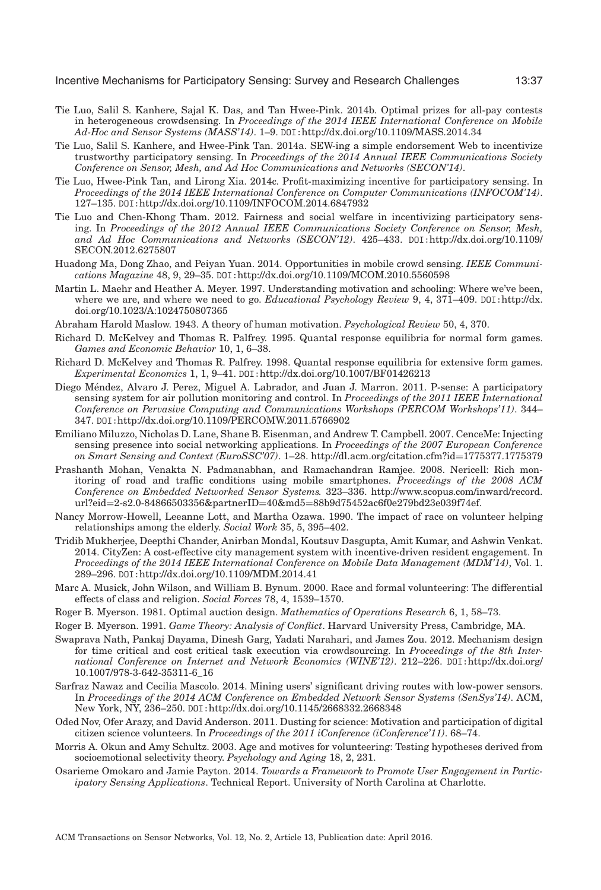- <span id="page-36-8"></span>Tie Luo, Salil S. Kanhere, Sajal K. Das, and Tan Hwee-Pink. 2014b. Optimal prizes for all-pay contests in heterogeneous crowdsensing. In *Proceedings of the 2014 IEEE International Conference on Mobile Ad-Hoc and Sensor Systems (MASS'14)*. 1–9. DOI:<http://dx.doi.org/10.1109/MASS.2014.34>
- <span id="page-36-9"></span>Tie Luo, Salil S. Kanhere, and Hwee-Pink Tan. 2014a. SEW-ing a simple endorsement Web to incentivize trustworthy participatory sensing. In *Proceedings of the 2014 Annual IEEE Communications Society Conference on Sensor, Mesh, and Ad Hoc Communications and Networks (SECON'14)*.
- <span id="page-36-11"></span>Tie Luo, Hwee-Pink Tan, and Lirong Xia. 2014c. Profit-maximizing incentive for participatory sensing. In *Proceedings of the 2014 IEEE International Conference on Computer Communications (INFOCOM'14)*. 127–135. DOI:<http://dx.doi.org/10.1109/INFOCOM.2014.6847932>
- <span id="page-36-4"></span>Tie Luo and Chen-Khong Tham. 2012. Fairness and social welfare in incentivizing participatory sensing. In *Proceedings of the 2012 Annual IEEE Communications Society Conference on Sensor, Mesh, and Ad Hoc Communications and Networks (SECON'12)*. 425–433. DOI:[http://dx.doi.org/10.1109/](http://dx.doi.org/10.1109/SECON.2012.6275807) [SECON.2012.6275807](http://dx.doi.org/10.1109/SECON.2012.6275807)
- <span id="page-36-7"></span>Huadong Ma, Dong Zhao, and Peiyan Yuan. 2014. Opportunities in mobile crowd sensing. *IEEE Communications Magazine* 48, 9, 29–35. DOI:<http://dx.doi.org/10.1109/MCOM.2010.5560598>
- <span id="page-36-5"></span>Martin L. Maehr and Heather A. Meyer. 1997. Understanding motivation and schooling: Where we've been, where we are, and where we need to go. *Educational Psychology Review* 9, 4, 371–409. DOI:[http://dx.](http://dx.doi.org/10.1023/A:1024750807365) [doi.org/10.1023/A:1024750807365](http://dx.doi.org/10.1023/A:1024750807365)
- <span id="page-36-6"></span>Abraham Harold Maslow. 1943. A theory of human motivation. *Psychological Review* 50, 4, 370.
- <span id="page-36-19"></span>Richard D. McKelvey and Thomas R. Palfrey. 1995. Quantal response equilibria for normal form games. *Games and Economic Behavior* 10, 1, 6–38.
- <span id="page-36-20"></span>Richard D. McKelvey and Thomas R. Palfrey. 1998. Quantal response equilibria for extensive form games. *Experimental Economics* 1, 1, 9–41. DOI:<http://dx.doi.org/10.1007/BF01426213>
- <span id="page-36-2"></span>Diego Mendez, Alvaro J. Perez, Miguel A. Labrador, and Juan J. Marron. 2011. P-sense: A participatory ´ sensing system for air pollution monitoring and control. In *Proceedings of the 2011 IEEE International Conference on Pervasive Computing and Communications Workshops (PERCOM Workshops'11)*. 344– 347. DOI:<http://dx.doi.org/10.1109/PERCOMW.2011.5766902>
- <span id="page-36-3"></span>Emiliano Miluzzo, Nicholas D. Lane, Shane B. Eisenman, and Andrew T. Campbell. 2007. CenceMe: Injecting sensing presence into social networking applications. In *Proceedings of the 2007 European Conference on Smart Sensing and Context (EuroSSC'07)*. 1–28. [http://dl.acm.org/citation.cfm?id](http://dl.acm.org/citation.cfm?id$=$1775377.1775379)=1775377.1775379
- <span id="page-36-1"></span>Prashanth Mohan, Venakta N. Padmanabhan, and Ramachandran Ramjee. 2008. Nericell: Rich monitoring of road and traffic conditions using mobile smartphones. *Proceedings of the 2008 ACM Conference on Embedded Networked Sensor Systems.* 323–336. [http://www.scopus.com/inward/record.](http://www.scopus.com/inward/record.url?eid=2-s2.0-84866503356amp;partnerID=40amp;md5=88b9d75452ac6f0e279bd23e039f74ef) url?eid=2-s2.0-84866503356&partnerID=40&md5=[88b9d75452ac6f0e279bd23e039f74ef.](http://www.scopus.com/inward/record.url?eid=2-s2.0-84866503356amp;partnerID=40amp;md5=88b9d75452ac6f0e279bd23e039f74ef)
- <span id="page-36-18"></span>Nancy Morrow-Howell, Leeanne Lott, and Martha Ozawa. 1990. The impact of race on volunteer helping relationships among the elderly. *Social Work* 35, 5, 395–402.
- <span id="page-36-10"></span>Tridib Mukherjee, Deepthi Chander, Anirban Mondal, Koutsuv Dasgupta, Amit Kumar, and Ashwin Venkat. 2014. CityZen: A cost-effective city management system with incentive-driven resident engagement. In *Proceedings of the 2014 IEEE International Conference on Mobile Data Management (MDM'14)*, Vol. 1. 289–296. DOI:<http://dx.doi.org/10.1109/MDM.2014.41>
- <span id="page-36-17"></span>Marc A. Musick, John Wilson, and William B. Bynum. 2000. Race and formal volunteering: The differential effects of class and religion. *Social Forces* 78, 4, 1539–1570.
- <span id="page-36-12"></span>Roger B. Myerson. 1981. Optimal auction design. *Mathematics of Operations Research* 6, 1, 58–73.
- <span id="page-36-13"></span>Roger B. Myerson. 1991. *Game Theory: Analysis of Conflict*. Harvard University Press, Cambridge, MA.
- Swaprava Nath, Pankaj Dayama, Dinesh Garg, Yadati Narahari, and James Zou. 2012. Mechanism design for time critical and cost critical task execution via crowdsourcing. In *Proceedings of the 8th International Conference on Internet and Network Economics (WINE'12)*. 212–226. DOI:[http://dx.doi.org/](http://dx.doi.org/10.1007/978-3-642-35311-616) [10.1007/978-3-642-35311-6\\_16](http://dx.doi.org/10.1007/978-3-642-35311-616)
- <span id="page-36-0"></span>Sarfraz Nawaz and Cecilia Mascolo. 2014. Mining users' significant driving routes with low-power sensors. In *Proceedings of the 2014 ACM Conference on Embedded Network Sensor Systems (SenSys'14)*. ACM, New York, NY, 236–250. DOI:<http://dx.doi.org/10.1145/2668332.2668348>
- <span id="page-36-15"></span>Oded Nov, Ofer Arazy, and David Anderson. 2011. Dusting for science: Motivation and participation of digital citizen science volunteers. In *Proceedings of the 2011 iConference (iConference'11)*. 68–74.
- <span id="page-36-16"></span>Morris A. Okun and Amy Schultz. 2003. Age and motives for volunteering: Testing hypotheses derived from socioemotional selectivity theory. *Psychology and Aging* 18, 2, 231.
- <span id="page-36-14"></span>Osarieme Omokaro and Jamie Payton. 2014. *Towards a Framework to Promote User Engagement in Participatory Sensing Applications*. Technical Report. University of North Carolina at Charlotte.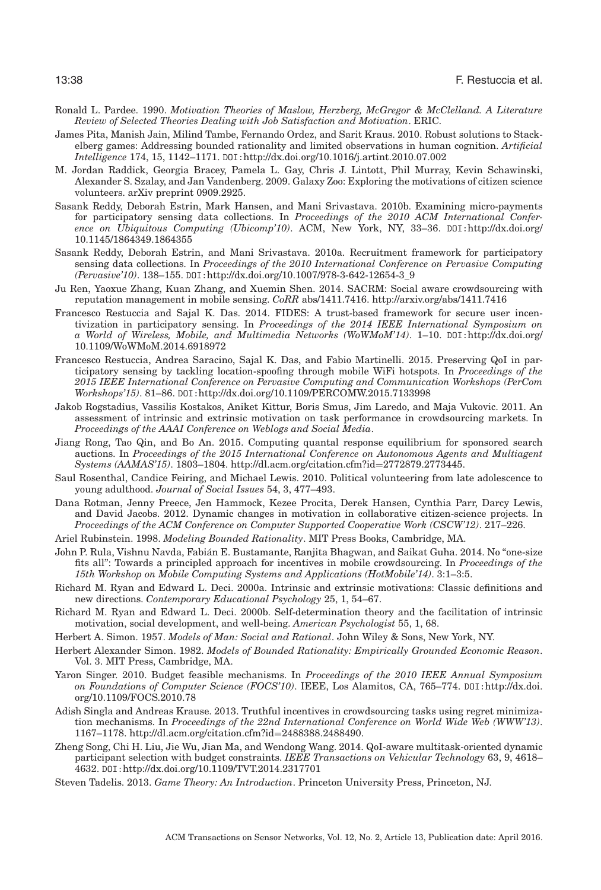- <span id="page-37-2"></span>Ronald L. Pardee. 1990. *Motivation Theories of Maslow, Herzberg, McGregor & McClelland. A Literature Review of Selected Theories Dealing with Job Satisfaction and Motivation*. ERIC.
- <span id="page-37-16"></span>James Pita, Manish Jain, Milind Tambe, Fernando Ordez, and Sarit Kraus. 2010. Robust solutions to Stackelberg games: Addressing bounded rationality and limited observations in human cognition. *Artificial Intelligence* 174, 15, 1142–1171. DOI:<http://dx.doi.org/10.1016/j.artint.2010.07.002>
- <span id="page-37-13"></span>M. Jordan Raddick, Georgia Bracey, Pamela L. Gay, Chris J. Lintott, Phil Murray, Kevin Schawinski, Alexander S. Szalay, and Jan Vandenberg. 2009. Galaxy Zoo: Exploring the motivations of citizen science volunteers. arXiv preprint 0909.2925.
- <span id="page-37-6"></span>Sasank Reddy, Deborah Estrin, Mark Hansen, and Mani Srivastava. 2010b. Examining micro-payments for participatory sensing data collections. In *Proceedings of the 2010 ACM International Conference on Ubiquitous Computing (Ubicomp'10)*. ACM, New York, NY, 33–36. DOI:[http://dx.doi.org/](http://dx.doi.org/10.1145/1864349.1864355) [10.1145/1864349.1864355](http://dx.doi.org/10.1145/1864349.1864355)
- <span id="page-37-7"></span>Sasank Reddy, Deborah Estrin, and Mani Srivastava. 2010a. Recruitment framework for participatory sensing data collections. In *Proceedings of the 2010 International Conference on Pervasive Computing (Pervasive'10)*. 138–155. DOI:[http://dx.doi.org/10.1007/978-3-642-12654-3\\_9](http://dx.doi.org/10.1007/978-3-642-12654-3_9)
- <span id="page-37-8"></span>Ju Ren, Yaoxue Zhang, Kuan Zhang, and Xuemin Shen. 2014. SACRM: Social aware crowdsourcing with reputation management in mobile sensing. *CoRR* abs/1411.7416.<http://arxiv.org/abs/1411.7416>
- <span id="page-37-1"></span>Francesco Restuccia and Sajal K. Das. 2014. FIDES: A trust-based framework for secure user incentivization in participatory sensing. In *Proceedings of the 2014 IEEE International Symposium on a World of Wireless, Mobile, and Multimedia Networks (WoWMoM'14)*. 1–10. DOI:[http://dx.doi.org/](http://dx.doi.org/10.1109/WoWMoM.2014.6918972) [10.1109/WoWMoM.2014.6918972](http://dx.doi.org/10.1109/WoWMoM.2014.6918972)
- Francesco Restuccia, Andrea Saracino, Sajal K. Das, and Fabio Martinelli. 2015. Preserving QoI in participatory sensing by tackling location-spoofing through mobile WiFi hotspots. In *Proceedings of the 2015 IEEE International Conference on Pervasive Computing and Communication Workshops (PerCom Workshops'15)*. 81–86. DOI:<http://dx.doi.org/10.1109/PERCOMW.2015.7133998>
- <span id="page-37-12"></span>Jakob Rogstadius, Vassilis Kostakos, Aniket Kittur, Boris Smus, Jim Laredo, and Maja Vukovic. 2011. An assessment of intrinsic and extrinsic motivation on task performance in crowdsourcing markets. In *Proceedings of the AAAI Conference on Weblogs and Social Media*.
- <span id="page-37-20"></span>Jiang Rong, Tao Qin, and Bo An. 2015. Computing quantal response equilibrium for sponsored search auctions. In *Proceedings of the 2015 International Conference on Autonomous Agents and Multiagent Systems (AAMAS'15)*. 1803–1804. [http://dl.acm.org/citation.cfm?id](http://dl.acm.org/citation.cfm?id$=$2772879.2773445)=2772879.2773445.
- <span id="page-37-14"></span>Saul Rosenthal, Candice Feiring, and Michael Lewis. 2010. Political volunteering from late adolescence to young adulthood. *Journal of Social Issues* 54, 3, 477–493.
- <span id="page-37-15"></span>Dana Rotman, Jenny Preece, Jen Hammock, Kezee Procita, Derek Hansen, Cynthia Parr, Darcy Lewis, and David Jacobs. 2012. Dynamic changes in motivation in collaborative citizen-science projects. In *Proceedings of the ACM Conference on Computer Supported Cooperative Work (CSCW'12)*. 217–226.
- <span id="page-37-19"></span>Ariel Rubinstein. 1998. *Modeling Bounded Rationality*. MIT Press Books, Cambridge, MA.
- <span id="page-37-11"></span>John P. Rula, Vishnu Navda, Fabian E. Bustamante, Ranjita Bhagwan, and Saikat Guha. 2014. No "one-size ´ fits all": Towards a principled approach for incentives in mobile crowdsourcing. In *Proceedings of the 15th Workshop on Mobile Computing Systems and Applications (HotMobile'14)*. 3:1–3:5.
- <span id="page-37-4"></span>Richard M. Ryan and Edward L. Deci. 2000a. Intrinsic and extrinsic motivations: Classic definitions and new directions. *Contemporary Educational Psychology* 25, 1, 54–67.
- <span id="page-37-3"></span>Richard M. Ryan and Edward L. Deci. 2000b. Self-determination theory and the facilitation of intrinsic motivation, social development, and well-being. *American Psychologist* 55, 1, 68.
- <span id="page-37-17"></span>Herbert A. Simon. 1957. *Models of Man: Social and Rational*. John Wiley & Sons, New York, NY.
- <span id="page-37-18"></span>Herbert Alexander Simon. 1982. *Models of Bounded Rationality: Empirically Grounded Economic Reason*. Vol. 3. MIT Press, Cambridge, MA.
- <span id="page-37-10"></span>Yaron Singer. 2010. Budget feasible mechanisms. In *Proceedings of the 2010 IEEE Annual Symposium on Foundations of Computer Science (FOCS'10)*. IEEE, Los Alamitos, CA, 765–774. DOI:[http://dx.doi.](http://dx.doi.org/10.1109/FOCS.2010.78) [org/10.1109/FOCS.2010.78](http://dx.doi.org/10.1109/FOCS.2010.78)
- <span id="page-37-5"></span>Adish Singla and Andreas Krause. 2013. Truthful incentives in crowdsourcing tasks using regret minimization mechanisms. In *Proceedings of the 22nd International Conference on World Wide Web (WWW'13)*. 1167–1178. [http://dl.acm.org/citation.cfm?id](http://dl.acm.org/citation.cfm?id$=$2488388.2488490)=2488388.2488490.
- <span id="page-37-9"></span>Zheng Song, Chi H. Liu, Jie Wu, Jian Ma, and Wendong Wang. 2014. QoI-aware multitask-oriented dynamic participant selection with budget constraints. *IEEE Transactions on Vehicular Technology* 63, 9, 4618– 4632. DOI:<http://dx.doi.org/10.1109/TVT.2014.2317701>
- <span id="page-37-0"></span>Steven Tadelis. 2013. *Game Theory: An Introduction*. Princeton University Press, Princeton, NJ.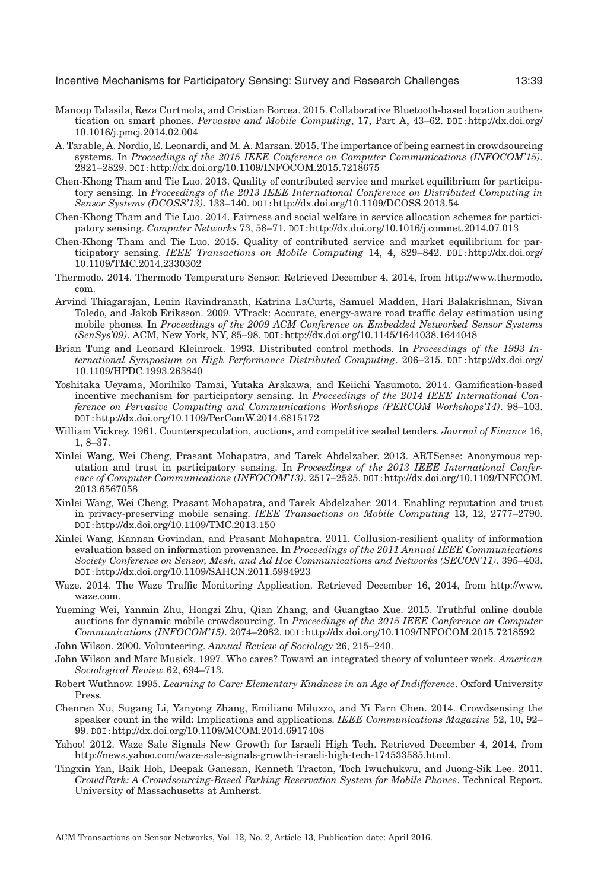- Manoop Talasila, Reza Curtmola, and Cristian Borcea. 2015. Collaborative Bluetooth-based location authentication on smart phones. *Pervasive and Mobile Computing*, 17, Part A, 43–62. DOI:[http://dx.doi.org/](http://dx.doi.org/10.1016/j.pmcj.2014.02.004) [10.1016/j.pmcj.2014.02.004](http://dx.doi.org/10.1016/j.pmcj.2014.02.004)
- <span id="page-38-8"></span>A. Tarable, A. Nordio, E. Leonardi, and M. A. Marsan. 2015. The importance of being earnest in crowdsourcing systems. In *Proceedings of the 2015 IEEE Conference on Computer Communications (INFOCOM'15)*. 2821–2829. DOI:<http://dx.doi.org/10.1109/INFOCOM.2015.7218675>
- <span id="page-38-17"></span>Chen-Khong Tham and Tie Luo. 2013. Quality of contributed service and market equilibrium for participatory sensing. In *Proceedings of the 2013 IEEE International Conference on Distributed Computing in Sensor Systems (DCOSS'13)*. 133–140. DOI:<http://dx.doi.org/10.1109/DCOSS.2013.54>
- <span id="page-38-3"></span>Chen-Khong Tham and Tie Luo. 2014. Fairness and social welfare in service allocation schemes for participatory sensing. *Computer Networks* 73, 58–71. DOI:<http://dx.doi.org/10.1016/j.comnet.2014.07.013>
- Chen-Khong Tham and Tie Luo. 2015. Quality of contributed service and market equilibrium for participatory sensing. *IEEE Transactions on Mobile Computing* 14, 4, 829–842. DOI:[http://dx.doi.org/](http://dx.doi.org/10.1109/TMC.2014.2330302) [10.1109/TMC.2014.2330302](http://dx.doi.org/10.1109/TMC.2014.2330302)
- <span id="page-38-0"></span>Thermodo. 2014. Thermodo Temperature Sensor. Retrieved December 4, 2014, from [http://www.thermodo.](http://www.thermodo.com) [com.](http://www.thermodo.com)
- <span id="page-38-2"></span>Arvind Thiagarajan, Lenin Ravindranath, Katrina LaCurts, Samuel Madden, Hari Balakrishnan, Sivan Toledo, and Jakob Eriksson. 2009. VTrack: Accurate, energy-aware road traffic delay estimation using mobile phones. In *Proceedings of the 2009 ACM Conference on Embedded Networked Sensor Systems (SenSys'09)*. ACM, New York, NY, 85–98. DOI:<http://dx.doi.org/10.1145/1644038.1644048>
- <span id="page-38-10"></span>Brian Tung and Leonard Kleinrock. 1993. Distributed control methods. In *Proceedings of the 1993 International Symposium on High Performance Distributed Computing*. 206–215. DOI:[http://dx.doi.org/](http://dx.doi.org/10.1109/HPDC.1993.263840) [10.1109/HPDC.1993.263840](http://dx.doi.org/10.1109/HPDC.1993.263840)
- <span id="page-38-5"></span>Yoshitaka Ueyama, Morihiko Tamai, Yutaka Arakawa, and Keiichi Yasumoto. 2014. Gamification-based incentive mechanism for participatory sensing. In *Proceedings of the 2014 IEEE International Conference on Pervasive Computing and Communications Workshops (PERCOM Workshops'14)*. 98–103. DOI:<http://dx.doi.org/10.1109/PerComW.2014.6815172>
- <span id="page-38-12"></span>William Vickrey. 1961. Counterspeculation, auctions, and competitive sealed tenders. *Journal of Finance* 16, 1, 8–37.
- <span id="page-38-4"></span>Xinlei Wang, Wei Cheng, Prasant Mohapatra, and Tarek Abdelzaher. 2013. ARTSense: Anonymous reputation and trust in participatory sensing. In *Proceedings of the 2013 IEEE International Conference of Computer Communications (INFOCOM'13)*. 2517–2525. DOI:[http://dx.doi.org/10.1109/INFCOM.](http://dx.doi.org/10.1109/INFCOM.2013.6567058) [2013.6567058](http://dx.doi.org/10.1109/INFCOM.2013.6567058)
- <span id="page-38-9"></span>Xinlei Wang, Wei Cheng, Prasant Mohapatra, and Tarek Abdelzaher. 2014. Enabling reputation and trust in privacy-preserving mobile sensing. *IEEE Transactions on Mobile Computing* 13, 12, 2777–2790. DOI:<http://dx.doi.org/10.1109/TMC.2013.150>
- <span id="page-38-16"></span>Xinlei Wang, Kannan Govindan, and Prasant Mohapatra. 2011. Collusion-resilient quality of information evaluation based on information provenance. In *Proceedings of the 2011 Annual IEEE Communications Society Conference on Sensor, Mesh, and Ad Hoc Communications and Networks (SECON'11)*. 395–403. DOI:<http://dx.doi.org/10.1109/SAHCN.2011.5984923>
- <span id="page-38-1"></span>Waze. 2014. The Waze Traffic Monitoring Application. Retrieved December 16, 2014, from [http://www.](http://www.waze.com) [waze.com.](http://www.waze.com)
- <span id="page-38-11"></span>Yueming Wei, Yanmin Zhu, Hongzi Zhu, Qian Zhang, and Guangtao Xue. 2015. Truthful online double auctions for dynamic mobile crowdsourcing. In *Proceedings of the 2015 IEEE Conference on Computer Communications (INFOCOM'15)*. 2074–2082. DOI:<http://dx.doi.org/10.1109/INFOCOM.2015.7218592>
- <span id="page-38-13"></span>John Wilson. 2000. Volunteering. *Annual Review of Sociology* 26, 215–240.
- <span id="page-38-14"></span>John Wilson and Marc Musick. 1997. Who cares? Toward an integrated theory of volunteer work. *American Sociological Review* 62, 694–713.
- <span id="page-38-15"></span>Robert Wuthnow. 1995. *Learning to Care: Elementary Kindness in an Age of Indifference*. Oxford University Press.
- <span id="page-38-18"></span>Chenren Xu, Sugang Li, Yanyong Zhang, Emiliano Miluzzo, and Yi Farn Chen. 2014. Crowdsensing the speaker count in the wild: Implications and applications. *IEEE Communications Magazine* 52, 10, 92– 99. DOI:<http://dx.doi.org/10.1109/MCOM.2014.6917408>
- <span id="page-38-7"></span>Yahoo! 2012. Waze Sale Signals New Growth for Israeli High Tech. Retrieved December 4, 2014, from [http://news.yahoo.com/waze-sale-signals-growth-israeli-high-tech-174533585.html.](http://news.yahoo.com/waze-sale-signals-growth-israeli-high-tech-174533585.html)
- <span id="page-38-6"></span>Tingxin Yan, Baik Hoh, Deepak Ganesan, Kenneth Tracton, Toch Iwuchukwu, and Juong-Sik Lee. 2011. *CrowdPark: A Crowdsourcing-Based Parking Reservation System for Mobile Phones*. Technical Report. University of Massachusetts at Amherst.